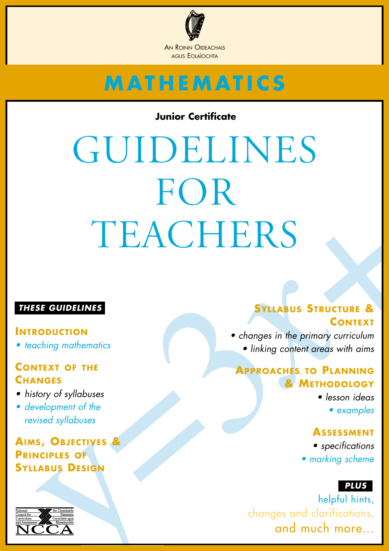

### **Junior Certificate**

# GUIDELINES FOR TEACHERS

### *THESE GUIDELINES*

#### **INTRODUCTION**

*• teaching mathematics*

### **CONTEXT OF THE CHANGES**

- *history of syllabuses*
- *development of the revised syllabuses*

**AIMS, OBJECTIVES & PRINCIPLES OF SYLLABUS DESIGN**



# **SYLLABUS STRUCTURE & CONTEXT**

*• changes in the primary curriculum • linking content areas with aims*

### **APPROACHES TO PLANNING & METHODOLOGY**

*• lesson ideas*

*• examples*

### **ASSESSMENT**

*• specifications • marking scheme*

### *PLUS*

helpful hints, changes and clarifications, and much more...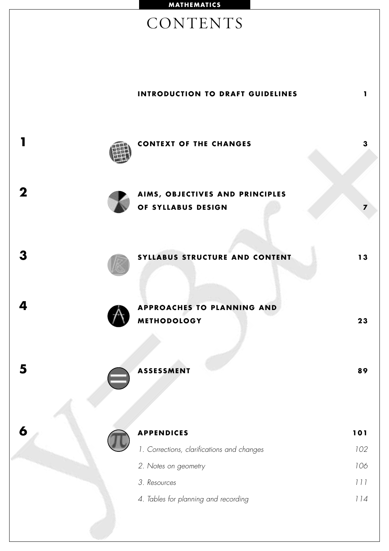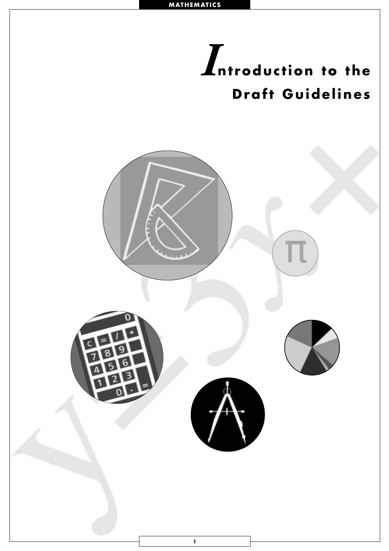<span id="page-3-0"></span>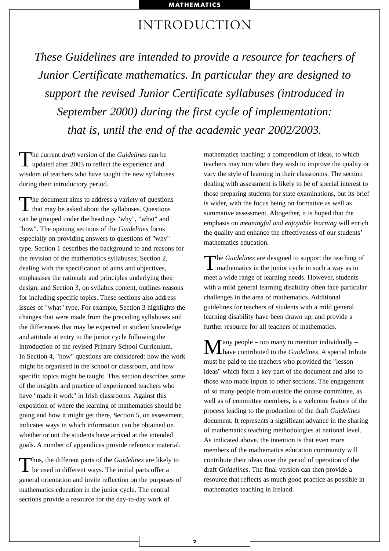# INTRODUCTION

*These Guidelines are intended to provide a resource for teachers of Junior Certificate mathematics. In particular they are designed to support the revised Junior Certificate syllabuses (introduced in September 2000) during the first cycle of implementation: that is, until the end of the academic year 2002/2003.*

The current *draft* version of the *Guidelines* can be updated after 2003 to reflect the experience and wisdom of teachers who have taught the new syllabuses during their introductory period.

The document aims to address a variety of questions<br>that may be asked about the syllabuses. Questions can be grouped under the headings "why", "what" and "how". The opening sections of the *Guidelines* focus especially on providing answers to questions of "why" type. Section 1 describes the background to and reasons for the revision of the mathematics syllabuses; Section 2, dealing with the specification of aims and objectives, emphasises the rationale and principles underlying their design; and Section 3, on syllabus content, outlines reasons for including specific topics. These sections also address issues of "what" type. For example, Section 3 highlights the changes that were made from the preceding syllabuses and the differences that may be expected in student knowledge and attitude at entry to the junior cycle following the introduction of the revised Primary School Curriculum. In Section 4, "how" questions are considered: how the work might be organised in the school or classroom, and how specific topics might be taught. This section describes some of the insights and practice of experienced teachers who have "made it work" in Irish classrooms. Against this exposition of where the learning of mathematics should be going and how it might get there, Section 5, on assessment, indicates ways in which information can be obtained on whether or not the students have arrived at the intended goals. A number of appendices provide reference material.

Thus, the different parts of the *Guidelines* are likely to  $\perp$  be used in different ways. The initial parts offer a general orientation and invite reflection on the purposes of mathematics education in the junior cycle. The central sections provide a resource for the day-to-day work of

mathematics teaching: a compendium of ideas, to which teachers may turn when they wish to improve the quality or vary the style of learning in their classrooms. The section dealing with assessment is likely to be of special interest to those preparing students for state examinations, but its brief is wider, with the focus being on formative as well as summative assessment. Altogether, it is hoped that the emphasis on *meaningful and enjoyable learning* will enrich the quality and enhance the effectiveness of our students' mathematics education.

The *Guidelines* are designed to support the teaching of mathematics in the junior cycle in such a way as to meet a wide range of learning needs. However, students with a mild general learning disability often face particular challenges in the area of mathematics. Additional guidelines for teachers of students with a mild general learning disability have been drawn up, and provide a further resource for all teachers of mathematics.

Many people – too many to mention individually – have contributed to the *Guidelines*. A special tribute must be paid to the teachers who provided the "lesson ideas" which form a key part of the document and also to those who made inputs to other sections. The engagement of so many people from outside the course committee, as well as of committee members, is a welcome feature of the process leading to the production of the draft *Guidelines* document. It represents a significant advance in the sharing of mathematics teaching methodologies at national level. As indicated above, the intention is that even more members of the mathematics education community will contribute their ideas over the period of operation of the draft *Guidelines*. The final version can then provide a resource that reflects as much good practice as possible in mathematics teaching in Ireland.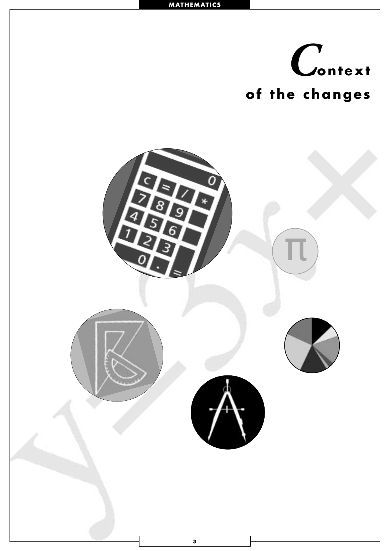<span id="page-5-0"></span>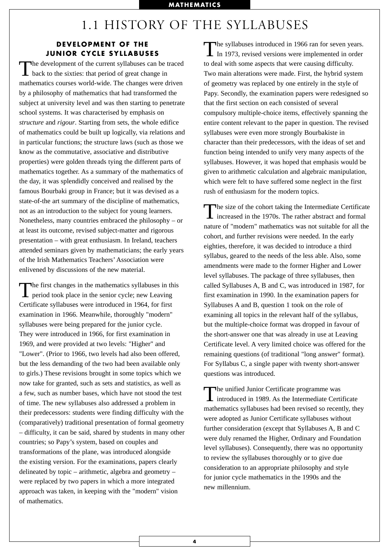### 1.1 HISTORY OF THE SYLLABUSES

#### **DEVELOPMENT OF THE JUNIOR CYCLE SYLLABUSES**

The development of the current syllabuses can be traced back to the sixties: that period of great change in mathematics courses world-wide. The changes were driven by a philosophy of mathematics that had transformed the subject at university level and was then starting to penetrate school systems. It was characterised by emphasis on *structure* and *rigour*. Starting from sets, the whole edifice of mathematics could be built up logically, via relations and in particular functions; the structure laws (such as those we know as the commutative, associative and distributive properties) were golden threads tying the different parts of mathematics together. As a summary of the mathematics of the day, it was splendidly conceived and realised by the famous Bourbaki group in France; but it was devised as a state-of-the art summary of the discipline of mathematics, not as an introduction to the subject for young learners. Nonetheless, many countries embraced the philosophy – or at least its outcome, revised subject-matter and rigorous presentation – with great enthusiasm. In Ireland, teachers attended seminars given by mathematicians; the early years of the Irish Mathematics Teachers' Association were enlivened by discussions of the new material.

The first changes in the mathematics syllabuses in this period took place in the senior cycle; new Leaving Certificate syllabuses were introduced in 1964, for first examination in 1966. Meanwhile, thoroughly "modern" syllabuses were being prepared for the junior cycle. They were introduced in 1966, for first examination in 1969, and were provided at two levels: "Higher" and "Lower". (Prior to 1966, two levels had also been offered, but the less demanding of the two had been available only to girls.) These revisions brought in some topics which we now take for granted, such as sets and statistics, as well as a few, such as number bases, which have not stood the test of time. The new syllabuses also addressed a problem in their predecessors: students were finding difficulty with the (comparatively) traditional presentation of formal geometry – difficulty, it can be said, shared by students in many other countries; so Papy's system, based on couples and transformations of the plane, was introduced alongside the existing version. For the examinations, papers clearly delineated by topic – arithmetic, algebra and geometry – were replaced by two papers in which a more integrated approach was taken, in keeping with the "modern" vision of mathematics.

The syllabuses introduced in 1966 ran for seven years.<br>In 1973, revised versions were implemented in order to deal with some aspects that were causing difficulty. Two main alterations were made. First, the hybrid system of geometry was replaced by one entirely in the style of Papy. Secondly, the examination papers were redesigned so that the first section on each consisted of several compulsory multiple-choice items, effectively spanning the entire content relevant to the paper in question. The revised syllabuses were even more strongly Bourbakiste in character than their predecessors, with the ideas of set and function being intended to unify very many aspects of the syllabuses. However, it was hoped that emphasis would be given to arithmetic calculation and algebraic manipulation, which were felt to have suffered some neglect in the first rush of enthusiasm for the modern topics.

The size of the cohort taking the Intermediate Certificate I increased in the 1970s. The rather abstract and formal nature of "modern" mathematics was not suitable for all the cohort, and further revisions were needed. In the early eighties, therefore, it was decided to introduce a third syllabus, geared to the needs of the less able. Also, some amendments were made to the former Higher and Lower level syllabuses. The package of three syllabuses, then called Syllabuses A, B and C, was introduced in 1987, for first examination in 1990. In the examination papers for Syllabuses A and B, question 1 took on the role of examining all topics in the relevant half of the syllabus, but the multiple-choice format was dropped in favour of the short-answer one that was already in use at Leaving Certificate level. A very limited choice was offered for the remaining questions (of traditional "long answer" format). For Syllabus C, a single paper with twenty short-answer questions was introduced.

The unified Junior Certificate programme was<br>introduced in 1989. As the Intermediate Certificate mathematics syllabuses had been revised so recently, they were adopted as Junior Certificate syllabuses without further consideration (except that Syllabuses A, B and C were duly renamed the Higher, Ordinary and Foundation level syllabuses). Consequently, there was no opportunity to review the syllabuses thoroughly or to give due consideration to an appropriate philosophy and style for junior cycle mathematics in the 1990s and the new millennium.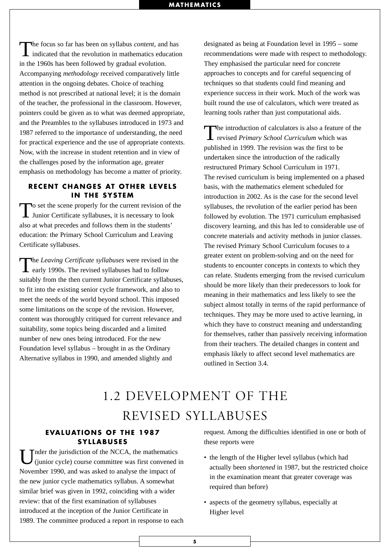The focus so far has been on syllabus *content*, and has indicated that the revolution in mathematics education in the 1960s has been followed by gradual evolution. Accompanying *methodology* received comparatively little attention in the ongoing debates. Choice of teaching method is not prescribed at national level; it is the domain of the teacher, the professional in the classroom. However, pointers could be given as to what was deemed appropriate, and the Preambles to the syllabuses introduced in 1973 and 1987 referred to the importance of understanding, the need for practical experience and the use of appropriate contexts. Now, with the increase in student retention and in view of the challenges posed by the information age, greater emphasis on methodology has become a matter of priority.

#### **RECENT CHANGES AT OTHER LEVELS IN THE SYSTEM**

To set the scene properly for the current revision of the Junior Certificate syllabuses, it is necessary to look also at what precedes and follows them in the students' education: the Primary School Curriculum and Leaving Certificate syllabuses.

The *Leaving Certificate syllabuses* were revised in the **L** early 1990s. The revised syllabuses had to follow suitably from the then current Junior Certificate syllabuses, to fit into the existing senior cycle framework, and also to meet the needs of the world beyond school. This imposed some limitations on the scope of the revision. However, content was thoroughly critiqued for current relevance and suitability, some topics being discarded and a limited number of new ones being introduced. For the new Foundation level syllabus – brought in as the Ordinary Alternative syllabus in 1990, and amended slightly and

designated as being at Foundation level in 1995 – some recommendations were made with respect to methodology. They emphasised the particular need for concrete approaches to concepts and for careful sequencing of techniques so that students could find meaning and experience success in their work. Much of the work was built round the use of calculators, which were treated as learning tools rather than just computational aids.

The introduction of calculators is also a feature of the revised *Primary School Curriculum* which was published in 1999. The revision was the first to be undertaken since the introduction of the radically restructured Primary School Curriculum in 1971. The revised curriculum is being implemented on a phased basis, with the mathematics element scheduled for introduction in 2002. As is the case for the second level syllabuses, the revolution of the earlier period has been followed by evolution. The 1971 curriculum emphasised discovery learning, and this has led to considerable use of concrete materials and activity methods in junior classes. The revised Primary School Curriculum focuses to a greater extent on problem-solving and on the need for students to encounter concepts in contexts to which they can relate. Students emerging from the revised curriculum should be more likely than their predecessors to look for meaning in their mathematics and less likely to see the subject almost totally in terms of the rapid performance of techniques. They may be more used to active learning, in which they have to construct meaning and understanding for themselves, rather than passively receiving information from their teachers. The detailed changes in content and emphasis likely to affect second level mathematics are outlined in Section 3.4.

# 1.2 DEVELOPMENT OF THE REVISED SYLLABUSES

#### **EVALUATIONS OF THE 1987 SYLLABUSES**

The ringularity in the NCCA, the mathematics (junior cycle) course committee was first convened in November 1990, and was asked to analyse the impact of the new junior cycle mathematics syllabus. A somewhat similar brief was given in 1992, coinciding with a wider review: that of the first examination of syllabuses introduced at the inception of the Junior Certificate in 1989. The committee produced a report in response to each

request. Among the difficulties identified in one or both of these reports were

- the length of the Higher level syllabus (which had actually been *shortened* in 1987, but the restricted choice in the examination meant that greater coverage was required than before)
- aspects of the geometry syllabus, especially at Higher level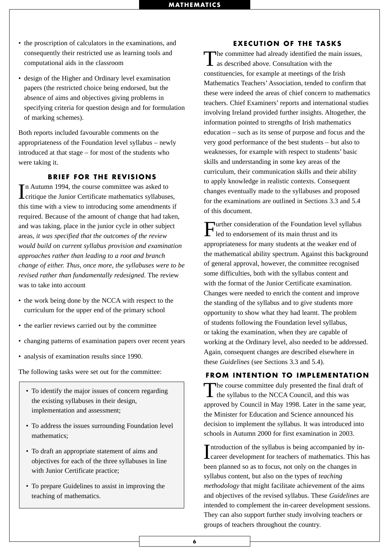- the proscription of calculators in the examinations, and consequently their restricted use as learning tools and computational aids in the classroom
- design of the Higher and Ordinary level examination papers (the restricted choice being endorsed, but the absence of aims and objectives giving problems in specifying criteria for question design and for formulation of marking schemes).

Both reports included favourable comments on the appropriateness of the Foundation level syllabus – newly introduced at that stage – for most of the students who were taking it.

#### **BRIEF FOR THE REVISIONS**

In Autumn 1994, the course committee was asked to<br>
critique the Junior Certificate mathematics syllabuses, n Autumn 1994, the course committee was asked to this time with a view to introducing some amendments if required. Because of the amount of change that had taken, and was taking, place in the junior cycle in other subject areas, *it was specified that the outcomes of the review would build on current syllabus provision and examination approaches rather than leading to a root and branch change of either. Thus, once more, the syllabuses were to be revised rather than fundamentally redesigned.* The review was to take into account

- the work being done by the NCCA with respect to the curriculum for the upper end of the primary school
- the earlier reviews carried out by the committee
- changing patterns of examination papers over recent years
- analysis of examination results since 1990.

The following tasks were set out for the committee:

- To identify the major issues of concern regarding the existing syllabuses in their design, implementation and assessment;
- To address the issues surrounding Foundation level mathematics;
- To draft an appropriate statement of aims and objectives for each of the three syllabuses in line with Junior Certificate practice;
- To prepare Guidelines to assist in improving the teaching of mathematics.

#### **EXECUTION OF THE TASKS**

The committee had already identified the main issues, as described above. Consultation with the constituencies, for example at meetings of the Irish Mathematics Teachers' Association, tended to confirm that these were indeed the areas of chief concern to mathematics teachers. Chief Examiners' reports and international studies involving Ireland provided further insights. Altogether, the information pointed to strengths of Irish mathematics education – such as its sense of purpose and focus and the very good performance of the best students – but also to weaknesses, for example with respect to students' basic skills and understanding in some key areas of the curriculum, their communication skills and their ability to apply knowledge in realistic contexts. Consequent changes eventually made to the syllabuses and proposed for the examinations are outlined in Sections 3.3 and 5.4 of this document.

Further consideration of the Foundation level syllabus led to endorsement of its main thrust and its appropriateness for many students at the weaker end of the mathematical ability spectrum. Against this background of general approval, however, the committee recognised some difficulties, both with the syllabus content and with the format of the Junior Certificate examination. Changes were needed to enrich the content and improve the standing of the syllabus and to give students more opportunity to show what they had learnt. The problem of students following the Foundation level syllabus, or taking the examination, when they are capable of working at the Ordinary level, also needed to be addressed. Again, consequent changes are described elsewhere in these *Guidelines* (see Sections 3.3 and 5.4).

#### **FROM INTENTION TO IMPLEMENTATION**

The course committee duly presented the final draft of the syllabus to the NCCA Council, and this was approved by Council in May 1998. Later in the same year, the Minister for Education and Science announced his decision to implement the syllabus. It was introduced into schools in Autumn 2000 for first examination in 2003.

Introduction of the syllabus is being accompanied by in-<br>Career development for teachers of mathematics. This has Introduction of the syllabus is being accompanied by inbeen planned so as to focus, not only on the changes in syllabus content, but also on the types of *teaching methodology* that might facilitate achievement of the aims and objectives of the revised syllabus. These *Guidelines* are intended to complement the in-career development sessions. They can also support further study involving teachers or groups of teachers throughout the country.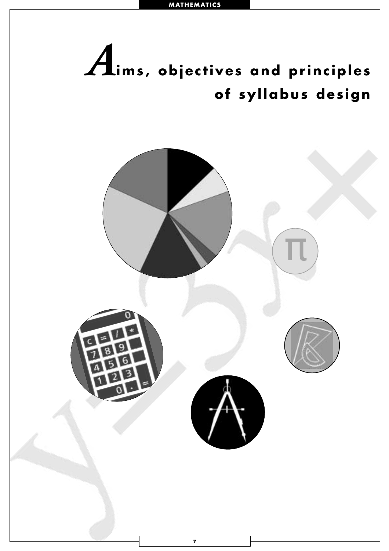<span id="page-9-0"></span>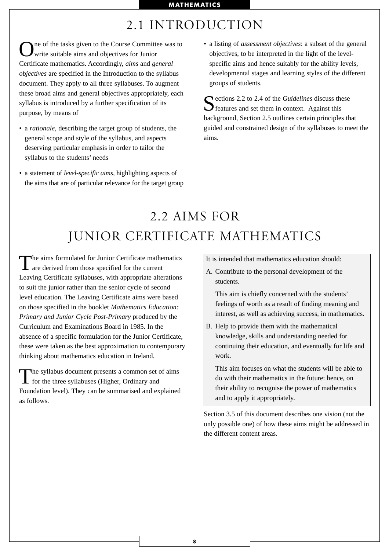# 2.1 INTRODUCTION

ne of the tasks given to the Course Committee was to write suitable aims and objectives for Junior Certificate mathematics. Accordingly, *aims* and *general objectives* are specified in the Introduction to the syllabus document. They apply to all three syllabuses. To augment these broad aims and general objectives appropriately, each syllabus is introduced by a further specification of its purpose, by means of

- a *rationale*, describing the target group of students, the general scope and style of the syllabus, and aspects deserving particular emphasis in order to tailor the syllabus to the students' needs
- a statement of *level-specific aims*, highlighting aspects of the aims that are of particular relevance for the target group

• a listing of *assessment objectives*: a subset of the general objectives, to be interpreted in the light of the levelspecific aims and hence suitably for the ability levels, developmental stages and learning styles of the different groups of students.

Sections 2.2 to 2.4 of the *Guidelines* discuss these  $\sum$  features and set them in context. Against this background, Section 2.5 outlines certain principles that guided and constrained design of the syllabuses to meet the aims.

# 2.2 AIMS FOR JUNIOR CERTIFICATE MATHEMATICS

The aims formulated for Junior Certificate mathematics<br>are derived from those specified for the current Leaving Certificate syllabuses, with appropriate alterations to suit the junior rather than the senior cycle of second level education. The Leaving Certificate aims were based on those specified in the booklet *Mathematics Education: Primary and Junior Cycle Post-Primary* produced by the Curriculum and Examinations Board in 1985. In the absence of a specific formulation for the Junior Certificate, these were taken as the best approximation to contemporary thinking about mathematics education in Ireland.

The syllabus document presents a common set of aims for the three syllabuses (Higher, Ordinary and Foundation level). They can be summarised and explained as follows.

It is intended that mathematics education should:

A. Contribute to the personal development of the students.

This aim is chiefly concerned with the students' feelings of worth as a result of finding meaning and interest, as well as achieving success, in mathematics.

B. Help to provide them with the mathematical knowledge, skills and understanding needed for continuing their education, and eventually for life and work.

This aim focuses on what the students will be able to do with their mathematics in the future: hence, on their ability to recognise the power of mathematics and to apply it appropriately.

Section 3.5 of this document describes one vision (not the only possible one) of how these aims might be addressed in the different content areas.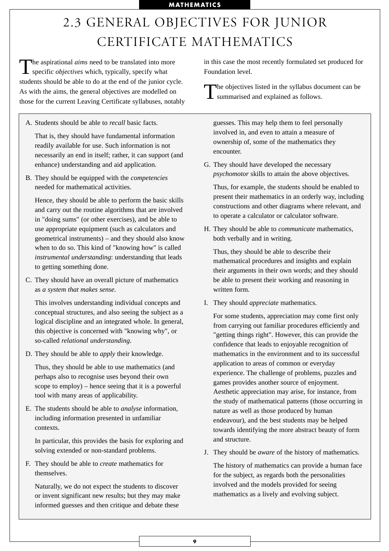# 2.3 GENERAL OBJECTIVES FOR JUNIOR CERTIFICATE MATHEMATICS

The aspirational *aims* need to be translated into more specific *objectives* which, typically, specify what students should be able to do at the end of the junior cycle. As with the aims, the general objectives are modelled on those for the current Leaving Certificate syllabuses, notably

A. Students should be able to *recall* basic facts.

That is, they should have fundamental information readily available for use. Such information is not necessarily an end in itself; rather, it can support (and enhance) understanding and aid application.

B. They should be equipped with the *competencies* needed for mathematical activities.

Hence, they should be able to perform the basic skills and carry out the routine algorithms that are involved in "doing sums" (or other exercises), and be able to use appropriate equipment (such as calculators and geometrical instruments) – and they should also know when to do so. This kind of "knowing how" is called *instrumental understanding*: understanding that leads to getting something done.

C. They should have an overall picture of mathematics as *a system that makes sense.* 

This involves understanding individual concepts and conceptual structures, and also seeing the subject as a logical discipline and an integrated whole. In general, this objective is concerned with "knowing why", or so-called *relational understanding*.

D. They should be able to *apply* their knowledge.

Thus, they should be able to use mathematics (and perhaps also to recognise uses beyond their own scope to employ) – hence seeing that it is a powerful tool with many areas of applicability.

E. The students should be able to *analyse* information, including information presented in unfamiliar contexts.

In particular, this provides the basis for exploring and solving extended or non-standard problems.

F. They should be able to *create* mathematics for themselves.

Naturally, we do not expect the students to discover or invent significant new results; but they may make informed guesses and then critique and debate these

in this case the most recently formulated set produced for Foundation level.

The objectives listed in the syllabus document can be **L** summarised and explained as follows.

guesses. This may help them to feel personally involved in, and even to attain a measure of ownership of, some of the mathematics they encounter.

G. They should have developed the necessary *psychomotor* skills to attain the above objectives.

Thus, for example, the students should be enabled to present their mathematics in an orderly way, including constructions and other diagrams where relevant, and to operate a calculator or calculator software.

H. They should be able to *communicate* mathematics, both verbally and in writing.

Thus, they should be able to describe their mathematical procedures and insights and explain their arguments in their own words; and they should be able to present their working and reasoning in written form.

I. They should *appreciate* mathematics.

For some students, appreciation may come first only from carrying out familiar procedures efficiently and "getting things right". However, this can provide the confidence that leads to enjoyable recognition of mathematics in the environment and to its successful application to areas of common or everyday experience. The challenge of problems, puzzles and games provides another source of enjoyment. Aesthetic appreciation may arise, for instance, from the study of mathematical patterns (those occurring in nature as well as those produced by human endeavour), and the best students may be helped towards identifying the more abstract beauty of form and structure.

J. They should be *aware* of the history of mathematics.

The history of mathematics can provide a human face for the subject, as regards both the personalities involved and the models provided for seeing mathematics as a lively and evolving subject.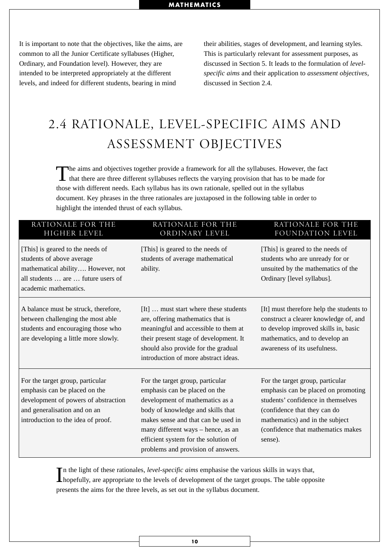It is important to note that the objectives, like the aims, are common to all the Junior Certificate syllabuses (Higher, Ordinary, and Foundation level). However, they are intended to be interpreted appropriately at the different levels, and indeed for different students, bearing in mind

their abilities, stages of development, and learning styles. This is particularly relevant for assessment purposes, as discussed in Section 5. It leads to the formulation of *levelspecific aims* and their application to *assessment objectives,* discussed in Section 2.4.

# 2.4 RATIONALE, LEVEL-SPECIFIC AIMS AND ASSESSMENT OBJECTIVES

The aims and objectives together provide a framework for all the syllabuses. However, the fact that there are three different syllabuses reflects the varying provision that has to be made for those with different needs. Each syllabus has its own rationale, spelled out in the syllabus document. Key phrases in the three rationales are juxtaposed in the following table in order to highlight the intended thrust of each syllabus.

| RATIONALE FOR THE<br><b>HIGHER LEVEL</b>                                                                                                                                        | RATIONALE FOR THE<br>ORDINARY LEVEL                                                                                                                                                                                                                                                                  | RATIONALE FOR THE<br>FOUNDATION LEVEL                                                                                                                                                                                             |  |  |  |
|---------------------------------------------------------------------------------------------------------------------------------------------------------------------------------|------------------------------------------------------------------------------------------------------------------------------------------------------------------------------------------------------------------------------------------------------------------------------------------------------|-----------------------------------------------------------------------------------------------------------------------------------------------------------------------------------------------------------------------------------|--|--|--|
| [This] is geared to the needs of<br>students of above average<br>mathematical ability However, not<br>all students  are  future users of<br>academic mathematics.               | [This] is geared to the needs of<br>students of average mathematical<br>ability.                                                                                                                                                                                                                     | [This] is geared to the needs of<br>students who are unready for or<br>unsuited by the mathematics of the<br>Ordinary [level syllabus].                                                                                           |  |  |  |
| A balance must be struck, therefore,<br>between challenging the most able<br>students and encouraging those who<br>are developing a little more slowly.                         | [It]  must start where these students<br>are, offering mathematics that is<br>meaningful and accessible to them at<br>their present stage of development. It<br>should also provide for the gradual<br>introduction of more abstract ideas.                                                          | [It] must therefore help the students to<br>construct a clearer knowledge of, and<br>to develop improved skills in, basic<br>mathematics, and to develop an<br>awareness of its usefulness.                                       |  |  |  |
| For the target group, particular<br>emphasis can be placed on the<br>development of powers of abstraction<br>and generalisation and on an<br>introduction to the idea of proof. | For the target group, particular<br>emphasis can be placed on the<br>development of mathematics as a<br>body of knowledge and skills that<br>makes sense and that can be used in<br>many different ways – hence, as an<br>efficient system for the solution of<br>problems and provision of answers. | For the target group, particular<br>emphasis can be placed on promoting<br>students' confidence in themselves<br>(confidence that they can do<br>mathematics) and in the subject<br>(confidence that mathematics makes<br>sense). |  |  |  |

In the light of these rationales, *level-specific aims* emphasise the various skills in ways that,<br>hopefully, are appropriate to the levels of development of the target groups. The table opposite n the light of these rationales, *level-specific aims* emphasise the various skills in ways that, presents the aims for the three levels, as set out in the syllabus document.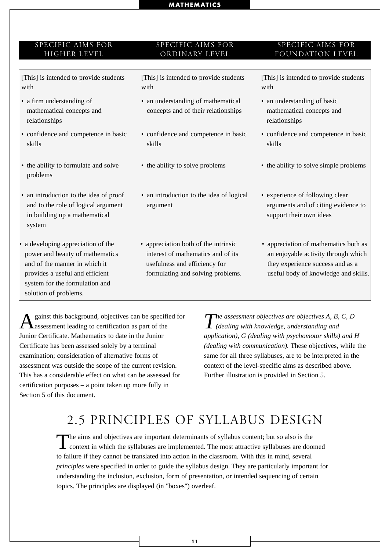#### SPECIFIC AIMS FOR HIGHER LEVEL

#### SPECIFIC AIMS FOR ORDINARY LEVEL

[This] is intended to provide students with

- a firm understanding of mathematical concepts and relationships
- confidence and competence in basic skills
- the ability to formulate and solve problems
- an introduction to the idea of proof and to the role of logical argument in building up a mathematical system
- a developing appreciation of the power and beauty of mathematics and of the manner in which it provides a useful and efficient system for the formulation and solution of problems.

[This] is intended to provide students with

- an understanding of mathematical concepts and of their relationships
- confidence and competence in basic skills
- 
- an introduction to the idea of logical argument
- appreciation both of the intrinsic interest of mathematics and of its usefulness and efficiency for formulating and solving problems.

#### SPECIFIC AIMS FOR FOUNDATION LEVEL

[This] is intended to provide students with

- an understanding of basic mathematical concepts and relationships
- confidence and competence in basic skills
- the ability to solve problems the ability to solve simple problems
	- experience of following clear arguments and of citing evidence to support their own ideas
	- appreciation of mathematics both as an enjoyable activity through which they experience success and as a useful body of knowledge and skills.

gainst this background, objectives can be specified for assessment leading to certification as part of the Junior Certificate. Mathematics to date in the Junior Certificate has been assessed solely by a terminal examination; consideration of alternative forms of assessment was outside the scope of the current revision. This has a considerable effect on what can be assessed for certification purposes – a point taken up more fully in Section 5 of this document.

*The assessment objectives are objectives A, B, C, D (dealing with knowledge, understanding and application), G (dealing with psychomotor skills) and H (dealing with communication).* These objectives, while the same for all three syllabuses, are to be interpreted in the context of the level-specific aims as described above. Further illustration is provided in Section 5.

# 2.5 PRINCIPLES OF SYLLABUS DESIGN

The aims and objectives are important determinants of syllabus content; but so also is the context in which the syllabuses are implemented. The most attractive syllabuses are doomed to failure if they cannot be translated into action in the classroom. With this in mind, several *principles* were specified in order to guide the syllabus design. They are particularly important for understanding the inclusion, exclusion, form of presentation, or intended sequencing of certain topics. The principles are displayed (in "boxes") overleaf.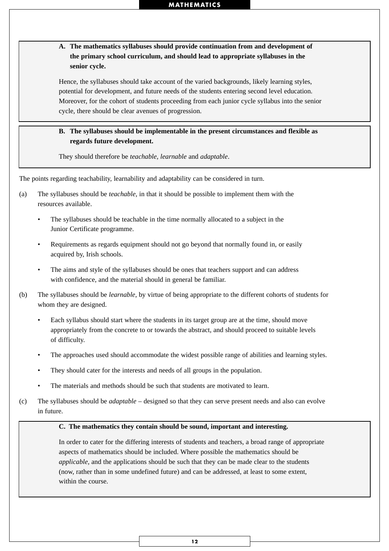**A. The mathematics syllabuses should provide continuation from and development of the primary school curriculum, and should lead to appropriate syllabuses in the senior cycle.**

Hence, the syllabuses should take account of the varied backgrounds, likely learning styles, potential for development, and future needs of the students entering second level education. Moreover, for the cohort of students proceeding from each junior cycle syllabus into the senior cycle, there should be clear avenues of progression.

#### **B. The syllabuses should be implementable in the present circumstances and flexible as regards future development.**

They should therefore be *teachable, learnable* and *adaptable*.

The points regarding teachability, learnability and adaptability can be considered in turn.

- (a) The syllabuses should be *teachable*, in that it should be possible to implement them with the resources available.
	- The syllabuses should be teachable in the time normally allocated to a subject in the Junior Certificate programme.
	- Requirements as regards equipment should not go beyond that normally found in, or easily acquired by, Irish schools.
	- The aims and style of the syllabuses should be ones that teachers support and can address with confidence, and the material should in general be familiar.
- (b) The syllabuses should be *learnable*, by virtue of being appropriate to the different cohorts of students for whom they are designed.
	- Each syllabus should start where the students in its target group are at the time, should move appropriately from the concrete to or towards the abstract, and should proceed to suitable levels of difficulty.
	- The approaches used should accommodate the widest possible range of abilities and learning styles.
	- They should cater for the interests and needs of all groups in the population.
	- The materials and methods should be such that students are motivated to learn.
- (c) The syllabuses should be *adaptable* designed so that they can serve present needs and also can evolve in future.

#### **C. The mathematics they contain should be sound, important and interesting.**

In order to cater for the differing interests of students and teachers, a broad range of appropriate aspects of mathematics should be included. Where possible the mathematics should be *applicable*, and the applications should be such that they can be made clear to the students (now, rather than in some undefined future) and can be addressed, at least to some extent, within the course.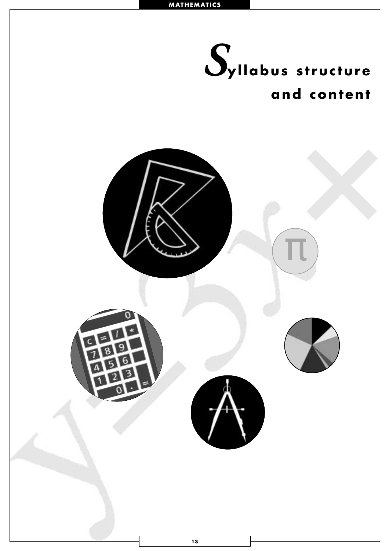<span id="page-15-0"></span>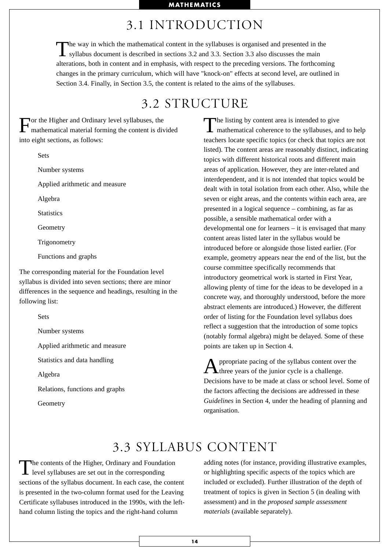# 3.1 INTRODUCTION

The way in which the mathematical content in the syllabuses is organised and presented in the syllabus document is described in sections 3.2 and 3.3. Section 3.3 also discusses the main alterations, both in content and in emphasis, with respect to the preceding versions. The forthcoming changes in the primary curriculum, which will have "knock-on" effects at second level, are outlined in Section 3.4. Finally, in Section 3.5, the content is related to the aims of the syllabuses.

# 3.2 STRUCTURE

For the Higher and Ordinary level syllabuses, the mathematical material forming the content is divided into eight sections, as follows:

Sets

Number systems

Applied arithmetic and measure

Algebra

**Statistics** 

**Geometry** 

**Trigonometry** 

Functions and graphs

The corresponding material for the Foundation level syllabus is divided into seven sections; there are minor differences in the sequence and headings, resulting in the following list:

Sets

Number systems

Applied arithmetic and measure

Statistics and data handling

Algebra

Relations, functions and graphs

Geometry

The listing by content area is intended to give<br>mathematical coherence to the syllabuses, and to help teachers locate specific topics (or check that topics are not listed). The content areas are reasonably distinct, indicating topics with different historical roots and different main areas of application. However, they are inter-related and interdependent, and it is not intended that topics would be dealt with in total isolation from each other. Also, while the seven or eight areas, and the contents within each area, are presented in a logical sequence – combining, as far as possible, a sensible mathematical order with a developmental one for learners – it is envisaged that many content areas listed later in the syllabus would be introduced before or alongside those listed earlier. (For example, geometry appears near the end of the list, but the course committee specifically recommends that introductory geometrical work is started in First Year, allowing plenty of time for the ideas to be developed in a concrete way, and thoroughly understood, before the more abstract elements are introduced.) However, the different order of listing for the Foundation level syllabus does reflect a suggestion that the introduction of some topics (notably formal algebra) might be delayed. Some of these points are taken up in Section 4.

Appropriate pacing of the syllabus content over the three years of the junior cycle is a challenge. Decisions have to be made at class or school level. Some of the factors affecting the decisions are addressed in these *Guidelines* in Section 4, under the heading of planning and organisation.

# 3.3 SYLLABUS CONTENT

The contents of the Higher, Ordinary and Foundation<br>level syllabuses are set out in the corresponding sections of the syllabus document. In each case, the content is presented in the two-column format used for the Leaving Certificate syllabuses introduced in the 1990s, with the lefthand column listing the topics and the right-hand column

adding notes (for instance, providing illustrative examples, or highlighting specific aspects of the topics which are included or excluded). Further illustration of the depth of treatment of topics is given in Section 5 (in dealing with assessment) and in the *proposed sample assessment materials* (available separately).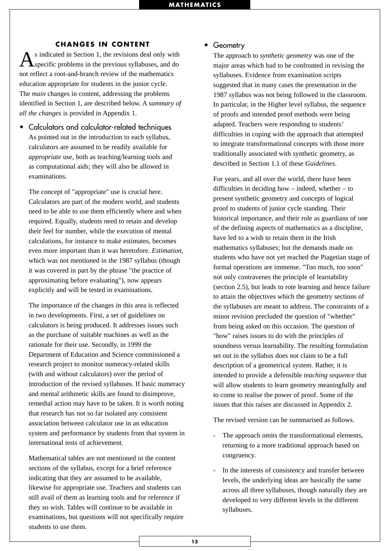#### **CHANGES IN CONTENT**

s indicated in Section 1, the revisions deal only with specific problems in the previous syllabuses, and do not reflect a root-and-branch review of the mathematics education appropriate for students in the junior cycle. The *main* changes in content, addressing the problems identified in Section 1, are described below. A *summary of all the changes* is provided in Appendix 1.

• Calculators and calculator-related techniques As pointed out in the introduction to each syllabus, calculators are assumed to be readily available for *appropriate* use, both as teaching/learning tools and as computational aids; they will also be allowed in examinations.

The concept of "appropriate" use is crucial here. Calculators are part of the modern world, and students need to be able to use them efficiently where and when required. Equally, students need to retain and develop their feel for number, while the execution of mental calculations, for instance to make estimates, becomes even more important than it was heretofore. *Estimation*, which was not mentioned in the 1987 syllabus (though it was covered in part by the phrase "the practice of approximating before evaluating"), now appears explicitly and will be tested in examinations.

The importance of the changes in this area is reflected in two developments. First, a set of guidelines on calculators is being produced. It addresses issues such as the purchase of suitable machines as well as the rationale for their use. Secondly, in 1999 the Department of Education and Science commissioned a research project to monitor numeracy-related skills (with and without calculators) over the period of introduction of the revised syllabuses. If basic numeracy and mental arithmetic skills are found to disimprove, remedial action may have to be taken. It is worth noting that research has not so far isolated any consistent association between calculator use in an education system and performance by students from that system in international tests of achievement.

Mathematical tables are not mentioned in the content sections of the syllabus, except for a brief reference indicating that they are assumed to be available, likewise for appropriate use. Teachers and students can still avail of them as learning tools and for reference if they so wish. Tables will continue to be available in examinations, but questions will not specifically require students to use them.

#### • Geometry

The approach to *synthetic geometry* was one of the major areas which had to be confronted in revising the syllabuses. Evidence from examination scripts suggested that in many cases the presentation in the 1987 syllabus was not being followed in the classroom. In particular, in the Higher level syllabus, the sequence of proofs and intended proof methods were being adapted. Teachers were responding to students' difficulties in coping with the approach that attempted to integrate transformational concepts with those more traditionally associated with synthetic geometry, as described in Section 1.1 of these *Guidelines*.

For years, and all over the world, there have been difficulties in deciding how – indeed, whether – to present synthetic geometry and concepts of logical proof to students of junior cycle standing. Their historical importance, and their role as guardians of one of the defining aspects of mathematics as a discipline, have led to a wish to retain them in the Irish mathematics syllabuses; but the demands made on students who have not yet reached the Piagetian stage of formal operations are immense. "Too much, too soon" not only contravenes the principle of learnability (section 2.5), but leads to rote learning and hence failure to attain the objectives which the geometry sections of the syllabuses are meant to address. The constraints of a minor revision precluded the question of "whether" from being asked on this occasion. The question of "how" raises issues to do with the principles of soundness versus learnability. The resulting formulation set out in the syllabus does not claim to be a full description of a geometrical system. Rather, it is intended to provide a defensible *teaching sequence* that will allow students to learn geometry meaningfully and to come to realise the power of proof. Some of the issues that this raises are discussed in Appendix 2.

The revised version can be summarised as follows.

- The approach omits the transformational elements, returning to a more traditional approach based on congruency.
- In the interests of consistency and transfer between levels, the underlying ideas are basically the same across all three syllabuses, though naturally they are developed to very different levels in the different syllabuses.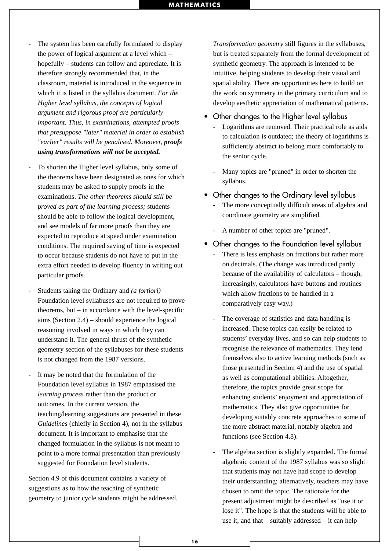- The system has been carefully formulated to display the power of logical argument at a level which – hopefully – students can follow and appreciate. It is therefore strongly recommended that, in the classroom, material is introduced in the sequence in which it is listed in the syllabus document. *For the Higher level syllabus, the concepts of logical argument and rigorous proof are particularly important. Thus, in examinations, attempted proofs that presuppose "later" material in order to establish "earlier" results will be penalised. Moreover, proofs using transformations will not be accepted.*
- To shorten the Higher level syllabus, only some of the theorems have been designated as ones for which students may be asked to supply proofs in the examinations. *The other theorems should still be proved as part of the learning process;* students should be able to follow the logical development, and see models of far more proofs than they are expected to reproduce at speed under examination conditions. The required saving of time is expected to occur because students do not have to put in the extra effort needed to develop fluency in writing out particular proofs.
- Students taking the Ordinary and *(a fortiori)* Foundation level syllabuses are not required to prove theorems, but – in accordance with the level-specific aims (Section 2.4) – should experience the logical reasoning involved in ways in which they can understand it. The general thrust of the synthetic geometry section of the syllabuses for these students is not changed from the 1987 versions.
- It may be noted that the formulation of the Foundation level syllabus in 1987 emphasised the *learning process* rather than the product or outcomes. In the current version, the teaching/learning suggestions are presented in these *Guidelines* (chiefly in Section 4), not in the syllabus document. It is important to emphasise that the changed formulation in the syllabus is not meant to point to a more formal presentation than previously suggested for Foundation level students.

Section 4.9 of this document contains a variety of suggestions as to how the teaching of synthetic geometry to junior cycle students might be addressed. *Transformation geometry* still figures in the syllabuses, but is treated separately from the formal development of synthetic geometry. The approach is intended to be intuitive, helping students to develop their visual and spatial ability. There are opportunities here to build on the work on symmetry in the primary curriculum and to develop aesthetic appreciation of mathematical patterns.

- Other changes to the Higher level syllabus
	- Logarithms are removed. Their practical role as aids to calculation is outdated; the theory of logarithms is sufficiently abstract to belong more comfortably to the senior cycle.
	- Many topics are "pruned" in order to shorten the syllabus.
- Other changes to the Ordinary level syllabus - The more conceptually difficult areas of algebra and coordinate geometry are simplified.
	- A number of other topics are "pruned".
- Other changes to the Foundation level syllabus
	- There is less emphasis on fractions but rather more on decimals. (The change was introduced partly because of the availability of calculators – though, increasingly, calculators have buttons and routines which allow fractions to be handled in a comparatively easy way.)
	- The coverage of statistics and data handling is increased. These topics can easily be related to students' everyday lives, and so can help students to recognise the relevance of mathematics. They lend themselves also to active learning methods (such as those presented in Section 4) and the use of spatial as well as computational abilities. Altogether, therefore, the topics provide great scope for enhancing students' enjoyment and appreciation of mathematics. They also give opportunities for developing suitably concrete approaches to some of the more abstract material, notably algebra and functions (see Section 4.8).
	- The algebra section is slightly expanded. The formal algebraic content of the 1987 syllabus was so slight that students may not have had scope to develop their understanding; alternatively, teachers may have chosen to omit the topic. The rationale for the present adjustment might be described as "use it or lose it". The hope is that the students will be able to use it, and that – suitably addressed – it can help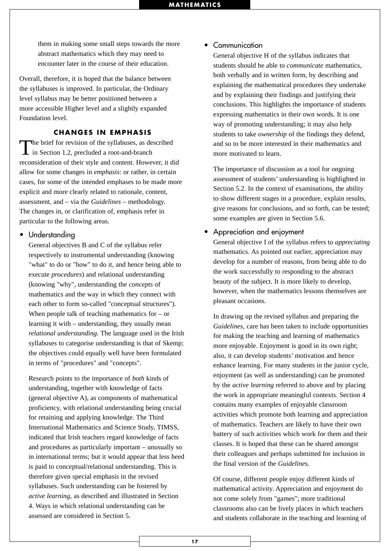them in making some small steps towards the more abstract mathematics which they may need to encounter later in the course of their education.

Overall, therefore, it is hoped that the balance between the syllabuses is improved. In particular, the Ordinary level syllabus may be better positioned between a more accessible Higher level and a slightly expanded Foundation level.

#### **CHANGES IN EMPHASIS**

The brief for revision of the syllabuses, as described in Section 1.2, precluded a root-and-branch reconsideration of their style and content. However, it did allow for some changes in *emphasis*: or rather, in certain cases, for some of the intended emphases to be made more explicit and more clearly related to rationale, content, assessment, and – via the *Guidelines* – methodology. The changes in, or clarification of, emphasis refer in particular to the following areas.

#### • Understanding

General objectives B and C of the syllabus refer respectively to instrumental understanding (knowing "what" to do or "how" to do it, and hence being able to execute *procedures*) and relational understanding (knowing "why", understanding the *concepts* of mathematics and the way in which they connect with each other to form so-called "conceptual structures"). When people talk of teaching mathematics for  $-$  or learning it with – understanding, they usually mean *relational understanding*. The language used in the Irish syllabuses to categorise understanding is that of Skemp; the objectives could equally well have been formulated in terms of "procedures" and "concepts".

Research points to the importance of *both* kinds of understanding, together with knowledge of facts (general objective A), as components of mathematical proficiency, with relational understanding being crucial for retaining and applying knowledge. The Third International Mathematics and Science Study, TIMSS, indicated that Irish teachers regard knowledge of facts and procedures as particularly important – unusually so in international terms; but it would appear that less heed is paid to conceptual/relational understanding. This is therefore given special emphasis in the revised syllabuses. Such understanding can be fostered by *active learning*, as described and illustrated in Section 4. Ways in which relational understanding can be assessed are considered in Section 5.

#### • Communication

General objective H of the syllabus indicates that students should be able to *communicate* mathematics, both verbally and in written form, by describing and explaining the mathematical procedures they undertake and by explaining their findings and justifying their conclusions. This highlights the importance of students expressing mathematics in their own words. It is one way of promoting understanding; it may also help students to take *ownership* of the findings they defend, and so to be more interested in their mathematics and more motivated to learn.

The importance of discussion as a tool for ongoing assessment of students' understanding is highlighted in Section 5.2. In the context of examinations, the ability to show different stages in a procedure, explain results, give reasons for conclusions, and so forth, can be tested; some examples are given in Section 5.6.

#### • Appreciation and enjoyment

General objective I of the syllabus refers to *appreciating* mathematics. As pointed out earlier, appreciation may develop for a number of reasons, from being able to do the work successfully to responding to the abstract beauty of the subject. It is more likely to develop, however, when the mathematics lessons themselves are pleasant occasions.

In drawing up the revised syllabus and preparing the *Guidelines*, care has been taken to include opportunities for making the teaching and learning of mathematics more enjoyable. Enjoyment is good in its own right; also, it can develop students' motivation and hence enhance learning. For many students in the junior cycle, enjoyment (as well as understanding) can be promoted by the *active learning* referred to above and by placing the work in appropriate meaningful contexts. Section 4 contains many examples of enjoyable classroom activities which promote both learning and appreciation of mathematics. Teachers are likely to have their own battery of such activities which work for them and their classes. It is hoped that these can be shared amongst their colleagues and perhaps submitted for inclusion in the final version of the *Guidelines*.

Of course, different people enjoy different kinds of mathematical activity. Appreciation and enjoyment do not come solely from "games"; more traditional classrooms also can be lively places in which teachers and students collaborate in the teaching and learning of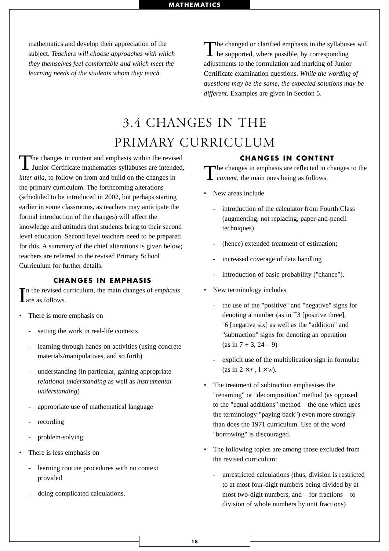mathematics and develop their appreciation of the subject. *Teachers will choose approaches with which they themselves feel comfortable and which meet the learning needs of the students whom they teach.*

The changed or clarified emphasis in the syllabuses will be supported, where possible, by corresponding adjustments to the formulation and marking of Junior Certificate examination questions. *While the wording of questions may be the same, the expected solutions may be different.* Examples are given in Section 5.

# 3.4 CHANGES IN THE PRIMARY CURRICULUM

The changes in content and emphasis within the revised<br>Junior Certificate mathematics syllabuses are intended, *inter alia*, to follow on from and build on the changes in the primary curriculum. The forthcoming alterations (scheduled to be introduced in 2002, but perhaps starting earlier in some classrooms, as teachers may anticipate the formal introduction of the changes) will affect the knowledge and attitudes that students bring to their second level education. Second level teachers need to be prepared for this. A summary of the chief alterations is given below; teachers are referred to the revised Primary School Curriculum for further details.

#### **CHANGES IN EMPHASIS**

In the revised curriculum, the main changes of *emphasis* are as follows. are as follows.

- There is more emphasis on
	- setting the work in real-life contexts
	- learning through hands-on activities (using concrete materials/manipulatives, and so forth)
	- understanding (in particular, gaining appropriate *relational understanding* as well as *instrumental understanding*)
	- appropriate use of mathematical language
	- recording
	- problem-solving.
- There is less emphasis on
	- learning routine procedures with no context provided
	- doing complicated calculations.

#### **CHANGES IN CONTENT**

The changes in emphasis are reflected in changes to the **L** content, the main ones being as follows.

- New areas include
	- introduction of the calculator from Fourth Class (augmenting, not replacing, paper-and-pencil techniques)
	- (hence) extended treatment of estimation:
	- increased coverage of data handling
	- introduction of basic probability ("chance").
- New terminology includes
	- the use of the "positive" and "negative" signs for denoting a number (as in  $+3$  [positive three], -6 [negative six] as well as the "addition" and "subtraction" signs for denoting an operation  $(as in 7 + 3, 24 - 9)$
	- explicit use of the multiplication sign in formulae (as in  $2 \times r$ ,  $1 \times w$ ).
- The treatment of subtraction emphasises the "renaming" or "decomposition" method (as opposed to the "equal additions" method – the one which uses the terminology "paying back") even more strongly than does the 1971 curriculum. Use of the word "borrowing" is discouraged.
- The following topics are among those excluded from the revised curriculum:
	- unrestricted calculations (thus, division is restricted to at most four-digit numbers being divided by at most two-digit numbers, and – for fractions – to division of whole numbers by unit fractions)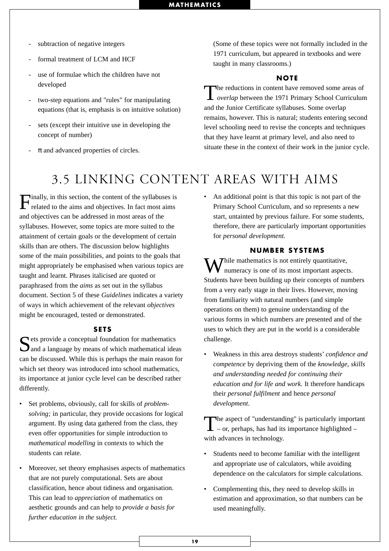- subtraction of negative integers
- formal treatment of LCM and HCF
- use of formulae which the children have not developed
- two-step equations and "rules" for manipulating equations (that is, emphasis is on intuitive solution)
- sets (except their intuitive use in developing the concept of number)
- $\pi$  and advanced properties of circles.

(Some of these topics were not formally included in the 1971 curriculum, but appeared in textbooks and were taught in many classrooms.)

#### **NOTE**

The reductions in content have removed some areas of *overlap* between the 1971 Primary School Curriculum and the Junior Certificate syllabuses. Some overlap remains, however. This is natural; students entering second level schooling need to revise the concepts and techniques that they have learnt at primary level, and also need to situate these in the context of their work in the junior cycle.

# 3.5 LINKING CONTENT AREAS WITH AIMS

Finally, in this section, the content of the syllabuses is related to the aims and objectives. In fact most aims and objectives can be addressed in most areas of the syllabuses. However, some topics are more suited to the attainment of certain goals or the development of certain skills than are others. The discussion below highlights some of the main possibilities, and points to the goals that might appropriately be emphasised when various topics are taught and learnt. Phrases italicised are quoted or paraphrased from the *aims* as set out in the syllabus document. Section 5 of these *Guidelines* indicates a variety of ways in which achievement of the relevant *objectives* might be encouraged, tested or demonstrated.

#### **SETS**

Sets provide a conceptual foundation for mathematics<br>and a language by means of which mathematical ideas can be discussed. While this is perhaps the main reason for which set theory was introduced into school mathematics, its importance at junior cycle level can be described rather differently.

- Set problems, obviously, call for skills of *problemsolving;* in particular, they provide occasions for logical argument. By using data gathered from the class, they even offer opportunities for simple introduction to *mathematical modelling* in contexts to which the students can relate.
- Moreover, set theory emphasises aspects of mathematics that are not purely computational. Sets are about classification, hence about tidiness and organisation. This can lead to *appreciation* of mathematics on aesthetic grounds and can help to *provide a basis for further education in the subject.*

• An additional point is that this topic is not part of the Primary School Curriculum, and so represents a new start, untainted by previous failure. For some students, therefore, there are particularly important opportunities for *personal development.*

#### **NUMBER SYSTEMS**

 $\sum$  *T* hile mathematics is not entirely quantitative, numeracy is one of its most important aspects. Students have been building up their concepts of numbers from a very early stage in their lives. However, moving from familiarity with natural numbers (and simple operations on them) to genuine understanding of the various forms in which numbers are presented and of the uses to which they are put in the world is a considerable challenge.

• Weakness in this area destroys students' *confidence and competence* by depriving them of the *knowledge, skills and understanding needed for continuing their education and for life and work.* It therefore handicaps their *personal fulfilment* and hence *personal development*.

The aspect of "understanding" is particularly important  $\perp$  – or, perhaps, has had its importance highlighted – with advances in technology.

- Students need to become familiar with the intelligent and appropriate use of calculators, while avoiding dependence on the calculators for simple calculations.
- Complementing this, they need to develop skills in estimation and approximation, so that numbers can be used meaningfully.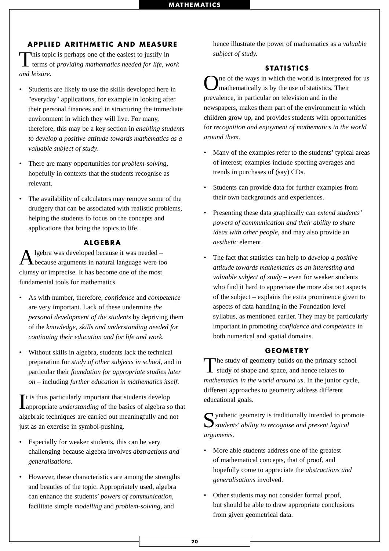#### **APPLIED ARITHMETIC AND MEASURE**

This topic is perhaps one of the easiest to justify in terms of *providing mathematics needed for life, work and leisure*.

- Students are likely to use the skills developed here in "everyday" applications, for example in looking after their personal finances and in structuring the immediate environment in which they will live. For many, therefore, this may be a key section in *enabling students to develop a positive attitude towards mathematics as a valuable subject of study*.
- There are many opportunities for *problem-solving*, hopefully in contexts that the students recognise as relevant.
- The availability of calculators may remove some of the drudgery that can be associated with realistic problems, helping the students to focus on the concepts and applications that bring the topics to life.

#### **ALGEBRA**

 $\mathbf{A}$  lgebra was developed because it was needed – because arguments in natural language were too clumsy or imprecise. It has become one of the most fundamental tools for mathematics.

- As with number, therefore, *confidence* and *competence* are very important. Lack of these undermine *the personal development of the students* by depriving them of the *knowledge, skills and understanding needed for continuing their education and for life and work.*
- Without skills in algebra, students lack the technical preparation for *study of other subjects in school,* and in particular their *foundation for appropriate studies later on* – including *further education in mathematics itself*.

It is thus particularly important that students develop appropriate *understanding* of the basics of algebra so that t is thus particularly important that students develop algebraic techniques are carried out meaningfully and not just as an exercise in symbol-pushing.

- Especially for weaker students, this can be very challenging because algebra involves *abstractions and generalisations.*
- However, these characteristics are among the strengths and beauties of the topic. Appropriately used, algebra can enhance the students' *powers of communication*, facilitate simple *modelling* and *problem-solving*, and

hence illustrate the power of mathematics as a *valuable subject of study.*

#### **STATISTICS**

ne of the ways in which the world is interpreted for us mathematically is by the use of statistics. Their prevalence, in particular on television and in the newspapers, makes them part of the environment in which children grow up, and provides students with opportunities for *recognition and enjoyment of mathematics in the world around them.*

- Many of the examples refer to the students' typical areas of interest; examples include sporting averages and trends in purchases of (say) CDs.
- Students can provide data for further examples from their own backgrounds and experiences.
- Presenting these data graphically can *extend students' powers of communication and their ability to share ideas with other people,* and may also provide an *aesthetic* element.
- The fact that statistics can help to *develop a positive attitude towards mathematics as an interesting and valuable subject of study* – even for weaker students who find it hard to appreciate the more abstract aspects of the subject – explains the extra prominence given to aspects of data handling in the Foundation level syllabus, as mentioned earlier. They may be particularly important in promoting *confidence and competence* in both numerical and spatial domains.

#### **GEOMETRY**

The study of geometry builds on the primary school<br>study of shape and space, and hence relates to *mathematics in the world around us*. In the junior cycle, different approaches to geometry address different educational goals.

 $\bigcap$  ynthetic geometry is traditionally intended to promote *students' ability to recognise and present logical arguments*.

- More able students address one of the greatest of mathematical concepts, that of proof, and hopefully come to appreciate the *abstractions and generalisations* involved.
- Other students may not consider formal proof, but should be able to draw appropriate conclusions from given geometrical data.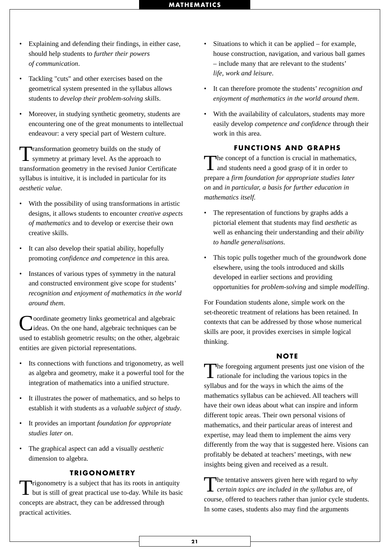- Explaining and defending their findings, in either case, should help students to *further their powers of communication*.
- Tackling "cuts" and other exercises based on the geometrical system presented in the syllabus allows students to *develop their problem-solving skills*.
- Moreover, in studying synthetic geometry, students are encountering one of the great monuments to intellectual endeavour: a very special part of Western culture.

Transformation geometry builds on the study of symmetry at primary level. As the approach to transformation geometry in the revised Junior Certificate syllabus is intuitive, it is included in particular for its *aesthetic value*.

- With the possibility of using transformations in artistic designs, it allows students to encounter *creative aspects of mathematics* and to develop or exercise their own creative skills.
- It can also develop their spatial ability, hopefully promoting *confidence and competence* in this area.
- Instances of various types of symmetry in the natural and constructed environment give scope for students' *recognition and enjoyment of mathematics in the world around them*.

**Noordinate geometry links geometrical and algebraic** ideas. On the one hand, algebraic techniques can be used to establish geometric results; on the other, algebraic entities are given pictorial representations.

- Its connections with functions and trigonometry, as well as algebra and geometry, make it a powerful tool for the integration of mathematics into a unified structure.
- It illustrates the power of mathematics, and so helps to establish it with students as a *valuable subject of study*.
- It provides an important *foundation for appropriate studies later on*.
- The graphical aspect can add a visually *aesthetic* dimension to algebra.

#### **TRIGONOMETRY**

Trigonometry is a subject that has its roots in antiquity  $\blacksquare$  but is still of great practical use to-day. While its basic concepts are abstract, they can be addressed through practical activities.

- Situations to which it can be applied for example, house construction, navigation, and various ball games – include many that are relevant to the students' *life, work and leisure*.
- It can therefore promote the students' *recognition and enjoyment of mathematics in the world around them*.
- With the availability of calculators, students may more easily develop *competence and confidence* through their work in this area.

#### **FUNCTIONS AND GRAPHS**

The concept of a function is crucial in mathematics, and students need a good grasp of it in order to prepare a *firm foundation for appropriate studies later on* and *in particular, a basis for further education in mathematics itself.*

- The representation of functions by graphs adds a pictorial element that students may find *aesthetic* as well as enhancing their understanding and their *ability to handle generalisations*.
- This topic pulls together much of the groundwork done elsewhere, using the tools introduced and skills developed in earlier sections and providing opportunities for *problem-solving* and simple *modelling*.

For Foundation students alone, simple work on the set-theoretic treatment of relations has been retained. In contexts that can be addressed by those whose numerical skills are poor, it provides exercises in simple logical thinking.

#### **NOTE**

The foregoing argument presents just one vision of the **1** rationale for including the various topics in the syllabus and for the ways in which the aims of the mathematics syllabus can be achieved. All teachers will have their own ideas about what can inspire and inform different topic areas. Their own personal visions of mathematics, and their particular areas of interest and expertise, may lead them to implement the aims very differently from the way that is suggested here. Visions can profitably be debated at teachers' meetings, with new insights being given and received as a result.

The tentative answers given here with regard to *why certain topics are included in the syllabus* are, of course, offered to teachers rather than junior cycle students. In some cases, students also may find the arguments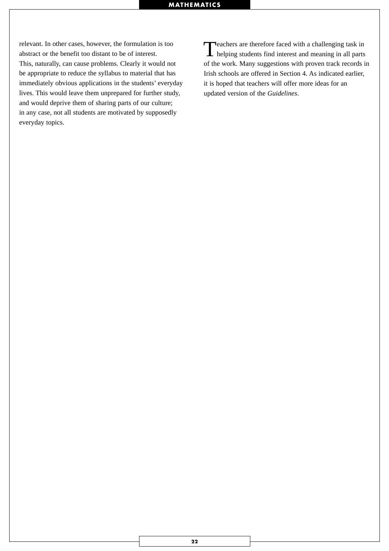relevant. In other cases, however, the formulation is too abstract or the benefit too distant to be of interest. This, naturally, can cause problems. Clearly it would not be appropriate to reduce the syllabus to material that has immediately obvious applications in the students' everyday lives. This would leave them unprepared for further study, and would deprive them of sharing parts of our culture; in any case, not all students are motivated by supposedly everyday topics.

Teachers are therefore faced with a challenging task in helping students find interest and meaning in all parts of the work. Many suggestions with proven track records in Irish schools are offered in Section 4. As indicated earlier, it is hoped that teachers will offer more ideas for an updated version of the *Guidelines*.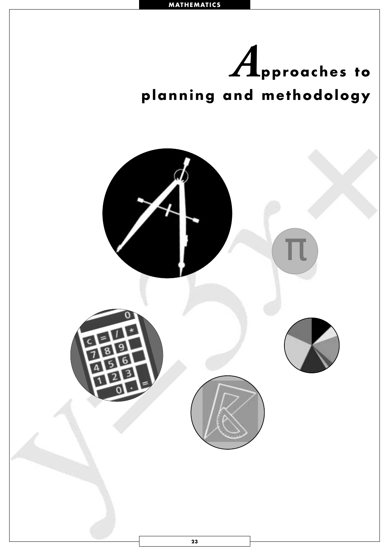<span id="page-25-0"></span>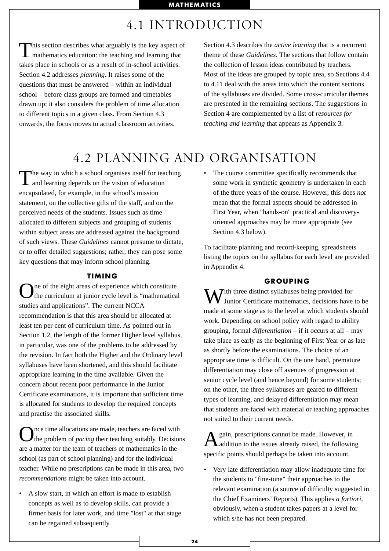# 4.1 INTRODUCTION

This section describes what arguably is the key aspect of mathematics education: the teaching and learning that takes place in schools or as a result of in-school activities. Section 4.2 addresses *planning*. It raises some of the questions that must be answered – within an individual school – before class groups are formed and timetables drawn up; it also considers the problem of time allocation to different topics in a given class. From Section 4.3 onwards, the focus moves to actual classroom activities.

Section 4.3 describes the *active learning* that is a recurrent theme of these *Guidelines*. The sections that follow contain the collection of lesson ideas contributed by teachers. Most of the ideas are grouped by topic area, so Sections 4.4 to 4.11 deal with the areas into which the content sections of the syllabuses are divided. Some cross-curricular themes are presented in the remaining sections. The suggestions in Section 4 are complemented by a list of *resources for teaching and learning* that appears as Appendix 3.

# 4.2 PLANNING AND ORGANISATION

The way in which a school organises itself for teaching and learning depends on the vision of education encapsulated, for example, in the school's mission statement, on the collective gifts of the staff, and on the perceived needs of the students. Issues such as time allocated to different subjects and grouping of students within subject areas are addressed against the background of such views. These *Guidelines* cannot presume to dictate, or to offer detailed suggestions; rather, they can pose some key questions that may inform school planning.

#### **TIMING**

One of the eight areas of experience which constitute<br>the curriculum at junior cycle level is "mathematical" studies and applications". The current NCCA recommendation is that this area should be allocated at least ten per cent of curriculum time. As pointed out in Section 1.2, the length of the former Higher level syllabus, in particular, was one of the problems to be addressed by the revision. In fact both the Higher and the Ordinary level syllabuses have been shortened, and this should facilitate appropriate learning in the time available. Given the concern about recent poor performance in the Junior Certificate examinations, it is important that sufficient time is allocated for students to develop the required concepts and practise the associated skills.

Once time allocations are made, teachers are faced with the problem of *pacing* their teaching suitably. Decisions are a matter for the team of teachers of mathematics in the school (as part of school planning) and for the individual teacher. While no prescriptions can be made in this area, two *recommendations* might be taken into account.

• A slow start, in which an effort is made to establish concepts as well as to develop skills, can provide a firmer basis for later work, and time "lost" at that stage can be regained subsequently.

• The course committee specifically recommends that some work in synthetic geometry is undertaken in each of the three years of the course. However, this does *not* mean that the formal aspects should be addressed in First Year, when "hands-on" practical and discoveryoriented approaches may be more appropriate (see Section 4.3 below).

To facilitate planning and record-keeping, spreadsheets listing the topics on the syllabus for each level are provided in Appendix 4.

#### **GROUPING**

W Junior Certificate mathematics, decisions have to be made at some stage as to the level at which students should work. Depending on school policy with regard to ability grouping, formal *differentiation* – if it occurs at all – may take place as early as the beginning of First Year or as late as shortly before the examinations. The choice of an appropriate time is difficult. On the one hand, premature differentiation may close off avenues of progression at senior cycle level (and hence beyond) for some students; on the other, the three syllabuses are geared to different types of learning, and delayed differentiation may mean that students are faced with material or teaching approaches not suited to their current needs.

A gain, prescriptions cannot be made. However, in<br>
Aaddition to the issues already raised, the following specific points should perhaps be taken into account.

• Very late differentiation may allow inadequate time for the students to "fine-tune" their approaches to the relevant examination (a source of difficulty suggested in the Chief Examiners' Reports). This applies *a fortiori,* obviously, when a student takes papers at a level for which s/he has not been prepared.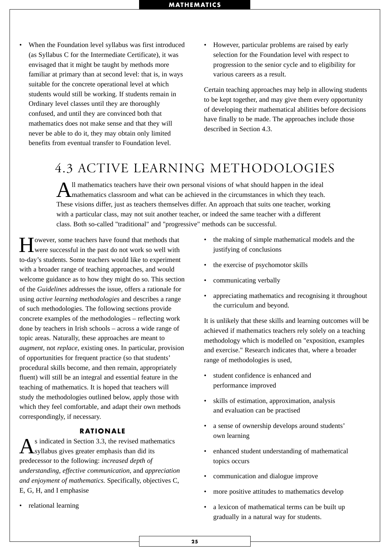- When the Foundation level syllabus was first introduced (as Syllabus C for the Intermediate Certificate), it was envisaged that it might be taught by methods more familiar at primary than at second level: that is, in ways suitable for the concrete operational level at which students would still be working. If students remain in Ordinary level classes until they are thoroughly confused, and until they are convinced both that mathematics does not make sense and that they will never be able to do it, they may obtain only limited benefits from eventual transfer to Foundation level.
- However, particular problems are raised by early selection for the Foundation level with respect to progression to the senior cycle and to eligibility for various careers as a result.

Certain teaching approaches may help in allowing students to be kept together, and may give them every opportunity of developing their mathematical abilities before decisions have finally to be made. The approaches include those described in Section 4.3.

# 4.3 ACTIVE LEARNING METHODOLOGIES

All mathematics teachers have their own personal visions of what should happen in the ideal mathematics classroom and what can be achieved in the circumstances in which they teach. These visions differ, just as teachers themselves differ. An approach that suits one teacher, working with a particular class, may not suit another teacher, or indeed the same teacher with a different class. Both so-called "traditional" and "progressive" methods can be successful.

**T**owever, some teachers have found that methods that **L** were successful in the past do not work so well with to-day's students. Some teachers would like to experiment with a broader range of teaching approaches, and would welcome guidance as to how they might do so. This section of the *Guidelines* addresses the issue, offers a rationale for using *active learning methodologies* and describes a range of such methodologies. The following sections provide concrete examples of the methodologies – reflecting work done by teachers in Irish schools – across a wide range of topic areas. Naturally, these approaches are meant to *augment*, not *replace*, existing ones. In particular, provision of opportunities for frequent practice (so that students' procedural skills become, and then remain, appropriately fluent) will still be an integral and essential feature in the teaching of mathematics. It is hoped that teachers will study the methodologies outlined below, apply those with which they feel comfortable, and adapt their own methods correspondingly, if necessary.

#### **RATIONALE**

 $\mathbf{A}$ s indicated in Section 3.3, the revised mathematics syllabus gives greater emphasis than did its predecessor to the following: *increased depth of understanding, effective communication,* and *appreciation and enjoyment of mathematics.* Specifically, objectives C, E, G, H, and I emphasise

• relational learning

- the making of simple mathematical models and the justifying of conclusions
- the exercise of psychomotor skills
- communicating verbally
- appreciating mathematics and recognising it throughout the curriculum and beyond.

It is unlikely that these skills and learning outcomes will be achieved if mathematics teachers rely solely on a teaching methodology which is modelled on "exposition, examples and exercise." Research indicates that, where a broader range of methodologies is used,

- student confidence is enhanced and performance improved
- skills of estimation, approximation, analysis and evaluation can be practised
- a sense of ownership develops around students' own learning
- enhanced student understanding of mathematical topics occurs
- communication and dialogue improve
- more positive attitudes to mathematics develop
- a lexicon of mathematical terms can be built up gradually in a natural way for students.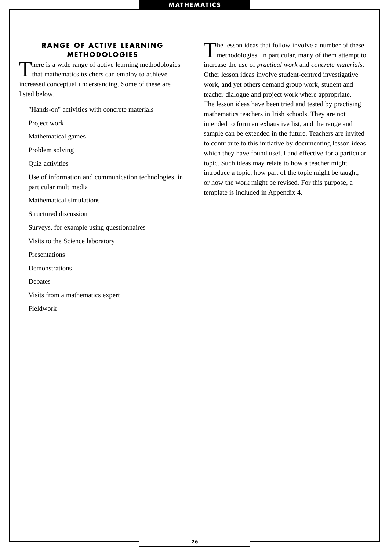#### **RANGE OF ACTIVE LEARNING METHODOLOGIES**

There is a wide range of active learning methodologies  $\blacktriangle$  that mathematics teachers can employ to achieve increased conceptual understanding. Some of these are listed below.

"Hands-on" activities with concrete materials

Project work

Mathematical games

Problem solving

Quiz activities

Use of information and communication technologies, in particular multimedia

Mathematical simulations

Structured discussion

Surveys, for example using questionnaires

Visits to the Science laboratory

Presentations

Demonstrations

Debates

Visits from a mathematics expert

Fieldwork

The lesson ideas that follow involve a number of these **L** methodologies. In particular, many of them attempt to increase the use of *practical work* and *concrete materials*. Other lesson ideas involve student-centred investigative work, and yet others demand group work, student and teacher dialogue and project work where appropriate. The lesson ideas have been tried and tested by practising mathematics teachers in Irish schools. They are not intended to form an exhaustive list, and the range and sample can be extended in the future. Teachers are invited to contribute to this initiative by documenting lesson ideas which they have found useful and effective for a particular topic. Such ideas may relate to how a teacher might introduce a topic, how part of the topic might be taught, or how the work might be revised. For this purpose, a template is included in Appendix 4.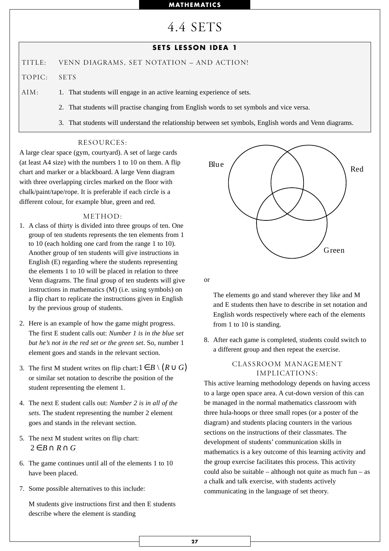4.4 SETS

#### **SETS LESSON IDEA 1**

TITLE: VENN DIAGRAMS, SET NOTATION – AND ACTION!

TOPIC: SETS

AIM: 1. That students will engage in an active learning experience of sets.

- 2. That students will practise changing from English words to set symbols and vice versa.
- 3. That students will understand the relationship between set symbols, English words and Venn diagrams.

#### RESOURCES:

A large clear space (gym, courtyard). A set of large cards (at least A4 size) with the numbers 1 to 10 on them. A flip chart and marker or a blackboard. A large Venn diagram with three overlapping circles marked on the floor with chalk/paint/tape/rope. It is preferable if each circle is a different colour, for example blue, green and red.

#### METHOD:

- 1. A class of thirty is divided into three groups of ten. One group of ten students represents the ten elements from 1 to 10 (each holding one card from the range 1 to 10). Another group of ten students will give instructions in English (E) regarding where the students representing the elements 1 to 10 will be placed in relation to three Venn diagrams. The final group of ten students will give instructions in mathematics (M) (i.e. using symbols) on a flip chart to replicate the instructions given in English by the previous group of students.
- 2. Here is an example of how the game might progress. The first E student calls out: *Number 1 is in the blue set but he's not in the red set or the green set*. So, number 1 element goes and stands in the relevant section.
- 3. The first M student writes on flip chart:  $1 \in B \setminus (R \cup G)$ or similar set notation to describe the position of the student representing the element 1.
- 4. The next E student calls out: *Number 2 is in all of the sets*. The student representing the number 2 element goes and stands in the relevant section.
- 5. The next M student writes on flip chart:  $2 \in B \cap R \cap G$
- 6. The game continues until all of the elements 1 to 10 have been placed.
- 7. Some possible alternatives to this include:

M students give instructions first and then E students describe where the element is standing



or

The elements go and stand wherever they like and M and E students then have to describe in set notation and English words respectively where each of the elements from 1 to 10 is standing.

8. After each game is completed, students could switch to a different group and then repeat the exercise.

#### CLASSROOM MANAGEMENT IMPLICATIONS:

This active learning methodology depends on having access to a large open space area. A cut-down version of this can be managed in the normal mathematics classroom with three hula-hoops or three small ropes (or a poster of the diagram) and students placing counters in the various sections on the instructions of their classmates. The development of students' communication skills in mathematics is a key outcome of this learning activity and the group exercise facilitates this process. This activity could also be suitable – although not quite as much fun – as a chalk and talk exercise, with students actively communicating in the language of set theory.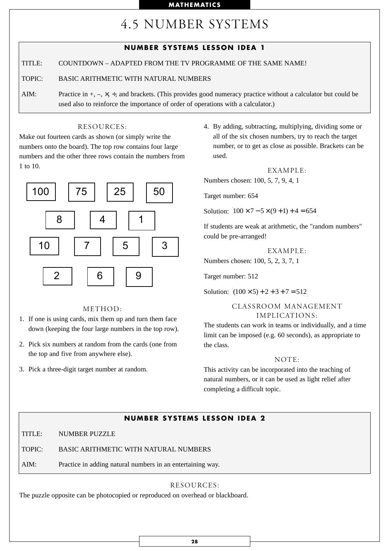# 4.5 NUMBER SYSTEMS

|        | <b>NUMBER SYSTEMS LESSON IDEA 1</b>                                                                                                                                                                                   |
|--------|-----------------------------------------------------------------------------------------------------------------------------------------------------------------------------------------------------------------------|
| TITLE: | COUNTDOWN – ADAPTED FROM THE TV PROGRAMME OF THE SAME NAME!                                                                                                                                                           |
| TOPIC: | BASIC ARITHMETIC WITH NATURAL NUMBERS                                                                                                                                                                                 |
| AIM:   | Practice in $+$ , $-$ , $\times$ , $\div$ , and brackets. (This provides good numeracy practice without a calculator but could be<br>used also to reinforce the importance of order of operations with a calculator.) |

#### RESOURCES:

Make out fourteen cards as shown (or simply write the numbers onto the board). The top row contains four large numbers and the other three rows contain the numbers from 1 to 10.



#### METHOD:

- 1. If one is using cards, mix them up and turn them face down (keeping the four large numbers in the top row).
- 2. Pick six numbers at random from the cards (one from the top and five from anywhere else).
- 3. Pick a three-digit target number at random.

4. By adding, subtracting, multiplying, dividing some or all of the six chosen numbers, try to reach the target number, or to get as close as possible. Brackets can be used.

$$
EXAMPLE:
$$

Numbers chosen: 100, 5, 7, 9, 4, 1

Target number: 654

Solution:  $100 \times 7 - 5 \times (9 + 1) + 4 = 654$ 

If students are weak at arithmetic, the "random numbers" could be pre-arranged!

EXAMPLE:

Numbers chosen: 100, 5, 2, 3, 7, 1

Target number: 512

Solution:  $(100 \times 5) + 2 + 3 + 7 = 512$ 

#### CLASSROOM MANAGEMENT IMPLICATIONS:

The students can work in teams or individually, and a time limit can be imposed (e.g. 60 seconds), as appropriate to the class.

#### NOTE:

This activity can be incorporated into the teaching of natural numbers, or it can be used as light relief after completing a difficult topic.

#### **NUMBER SYSTEMS LESSON IDEA 2**

TITLE: NUMBER PUZZLE

TOPIC: BASIC ARITHMETIC WITH NATURAL NUMBERS

AIM: Practice in adding natural numbers in an entertaining way.

#### RESOURCES:

The puzzle opposite can be photocopied or reproduced on overhead or blackboard.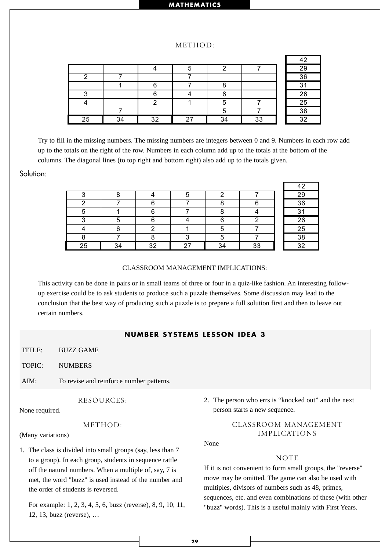#### METHOD:

|                 |        |    |    |    |    | 42     |
|-----------------|--------|----|----|----|----|--------|
|                 |        |    |    |    |    | 29     |
|                 |        |    |    |    |    | 36     |
|                 |        |    |    |    |    | $\sim$ |
| c               |        | ⌒  |    | ⌒  |    | 26     |
|                 |        |    |    |    |    | 25     |
|                 |        |    |    |    |    | 38     |
| $\overline{25}$ | $\sim$ | 32 | っっ | 34 | 33 | つ      |

Try to fill in the missing numbers. The missing numbers are integers between 0 and 9. Numbers in each row add up to the totals on the right of the row. Numbers in each column add up to the totals at the bottom of the columns. The diagonal lines (to top right and bottom right) also add up to the totals given.

#### Solution:

|    |    |      |   |    | 1 ຕ |
|----|----|------|---|----|-----|
|    |    |      |   |    | 29  |
|    |    |      |   |    | 36  |
|    |    |      |   |    | ົ   |
|    |    |      | ⌒ |    | 26  |
|    |    |      |   |    | 25  |
|    |    |      |   |    | 38  |
| 25 | 32 | - 27 |   | 33 | າາ  |

#### CLASSROOM MANAGEMENT IMPLICATIONS:

This activity can be done in pairs or in small teams of three or four in a quiz-like fashion. An interesting followup exercise could be to ask students to produce such a puzzle themselves. Some discussion may lead to the conclusion that the best way of producing such a puzzle is to prepare a full solution first and then to leave out certain numbers.

#### **NUMBER SYSTEMS LESSON IDEA 3**

TITLE: BUZZ GAME

TOPIC: NUMBERS

AIM: To revise and reinforce number patterns.

RESOURCES:

None required.

#### METHOD:

(Many variations)

1. The class is divided into small groups (say, less than 7 to a group). In each group, students in sequence rattle off the natural numbers. When a multiple of, say, 7 is met, the word "buzz" is used instead of the number and the order of students is reversed.

For example: 1, 2, 3, 4, 5, 6, buzz (reverse), 8, 9, 10, 11, 12, 13, buzz (reverse), …

2. The person who errs is "knocked out" and the next person starts a new sequence.

#### CLASSROOM MANAGEMENT IMPLICATIONS

None

#### NOTE

If it is not convenient to form small groups, the "reverse" move may be omitted. The game can also be used with multiples, divisors of numbers such as 48, primes, sequences, etc. and even combinations of these (with other "buzz" words). This is a useful mainly with First Years.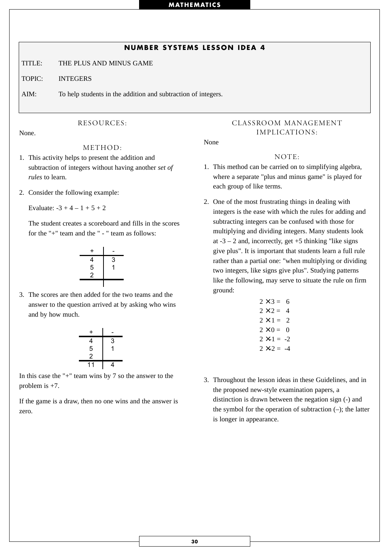#### **NUMBER SYSTEMS LESSON IDEA 4**

TITLE: THE PLUS AND MINUS GAME

TOPIC: INTEGERS

AIM: To help students in the addition and subtraction of integers.

#### RESOURCES:

None.

METHOD:

- 1. This activity helps to present the addition and subtraction of integers without having another *set of rules* to learn.
- 2. Consider the following example:

Evaluate:  $-3 + 4 - 1 + 5 + 2$ 

The student creates a scoreboard and fills in the scores for the "+" team and the " - " team as follows:



3. The scores are then added for the two teams and the answer to the question arrived at by asking who wins and by how much.



In this case the "+" team wins by 7 so the answer to the problem is  $+7$ .

If the game is a draw, then no one wins and the answer is zero.

#### CLASSROOM MANAGEMENT IMPLICATIONS:

None

#### NOTE:

- 1. This method can be carried on to simplifying algebra, where a separate "plus and minus game" is played for each group of like terms.
- 2. One of the most frustrating things in dealing with integers is the ease with which the rules for adding and subtracting integers can be confused with those for multiplying and dividing integers. Many students look at  $-3 - 2$  and, incorrectly, get  $+5$  thinking "like signs give plus". It is important that students learn a full rule rather than a partial one: "when multiplying or dividing two integers, like signs give plus". Studying patterns like the following, may serve to situate the rule on firm ground:

$$
2 \times 3 = 6
$$
  
\n
$$
2 \times 2 = 4
$$
  
\n
$$
2 \times 1 = 2
$$
  
\n
$$
2 \times 0 = 0
$$
  
\n
$$
2 \times -1 = -2
$$
  
\n
$$
2 \times -2 = -4
$$

3. Throughout the lesson ideas in these Guidelines, and in the proposed new-style examination papers, a distinction is drawn between the negation sign (-) and the symbol for the operation of subtraction  $(-)$ ; the latter is longer in appearance.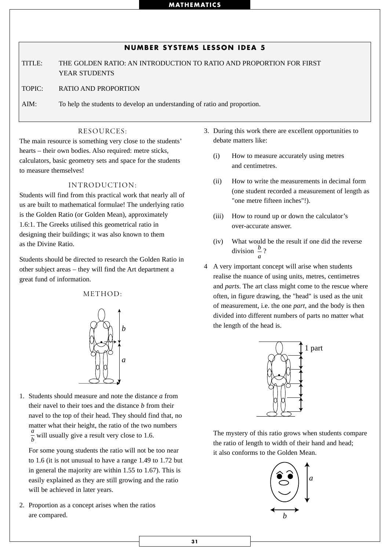#### **NUMBER SYSTEMS LESSON IDEA 5**

TITLE: THE GOLDEN RATIO: AN INTRODUCTION TO RATIO AND PROPORTION FOR FIRST YEAR STUDENTS

TOPIC: RATIO AND PROPORTION

AIM: To help the students to develop an understanding of ratio and proportion.

#### RESOURCES:

The main resource is something very close to the students' hearts – their own bodies. Also required: metre sticks, calculators, basic geometry sets and space for the students to measure themselves!

#### INTRODUCTION:

Students will find from this practical work that nearly all of us are built to mathematical formulae! The underlying ratio is the Golden Ratio (or Golden Mean), approximately 1.6:1. The Greeks utilised this geometrical ratio in designing their buildings; it was also known to them as the Divine Ratio.

Students should be directed to research the Golden Ratio in other subject areas – they will find the Art department a great fund of information.

#### METHOD:



1. Students should measure and note the distance *a* from their navel to their toes and the distance *b* from their navel to the top of their head. They should find that, no matter what their height, the ratio of the two numbers  $\frac{a}{b}$  will usually give a result very close to 1.6. *b*

For some young students the ratio will not be too near to 1.6 (it is not unusual to have a range 1.49 to 1.72 but in general the majority are within 1.55 to 1.67). This is easily explained as they are still growing and the ratio will be achieved in later years.

2. Proportion as a concept arises when the ratios are compared.

- 3. During this work there are excellent opportunities to debate matters like:
	- (i) How to measure accurately using metres and centimetres.
	- (ii) How to write the measurements in decimal form (one student recorded a measurement of length as "one metre fifteen inches"!).
	- (iii) How to round up or down the calculator's over-accurate answer.
	- (iv) What would be the result if one did the reverse division  $\frac{b}{a}$ ? *a*
- 4 A very important concept will arise when students realise the nuance of using units, metres, centimetres and *parts*. The art class might come to the rescue where often, in figure drawing, the "head" is used as the unit of measurement, i.e. the one *part,* and the body is then divided into different numbers of parts no matter what the length of the head is.



The mystery of this ratio grows when students compare the ratio of length to width of their hand and head; it also conforms to the Golden Mean.

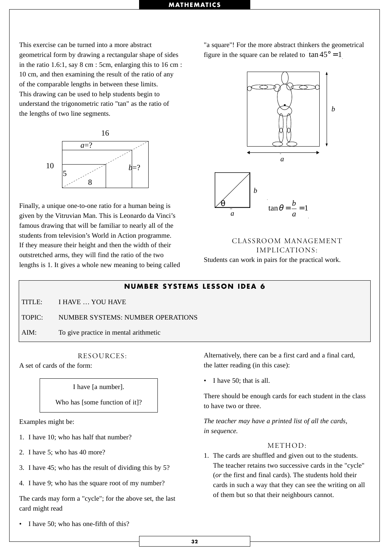This exercise can be turned into a more abstract geometrical form by drawing a rectangular shape of sides in the ratio 1.6:1, say 8 cm : 5cm, enlarging this to 16 cm : 10 cm, and then examining the result of the ratio of any of the comparable lengths in between these limits. This drawing can be used to help students begin to understand the trigonometric ratio "tan" as the ratio of the lengths of two line segments.



Finally, a unique one-to-one ratio for a human being is given by the Vitruvian Man. This is Leonardo da Vinci's famous drawing that will be familiar to nearly all of the students from television's World in Action programme. If they measure their height and then the width of their outstretched arms, they will find the ratio of the two lengths is 1. It gives a whole new meaning to being called "a square"! For the more abstract thinkers the geometrical figure in the square can be related to  $\tan 45^\circ = 1$ 



CLASSROOM MANAGEMENT IMPLICATIONS: Students can work in pairs for the practical work.

#### **NUMBER SYSTEMS LESSON IDEA 6**

TITLE: I HAVE YOU HAVE

TOPIC: NUMBER SYSTEMS: NUMBER OPERATIONS

AIM: To give practice in mental arithmetic

#### RESOURCES:

A set of cards of the form:

I have [a number].

Who has [some function of it]?

Examples might be:

- 1. I have 10; who has half that number?
- 2. I have 5; who has 40 more?
- 3. I have 45; who has the result of dividing this by 5?

4. I have 9; who has the square root of my number?

The cards may form a "cycle"; for the above set, the last card might read

I have 50; who has one-fifth of this?

Alternatively, there can be a first card and a final card, the latter reading (in this case):

• I have 50; that is all.

There should be enough cards for each student in the class to have two or three.

*The teacher may have a printed list of all the cards, in sequence.*

#### METHOD:

1. The cards are shuffled and given out to the students. The teacher retains two successive cards in the "cycle" (*or* the first and final cards). The students hold their cards in such a way that they can see the writing on all of them but so that their neighbours cannot.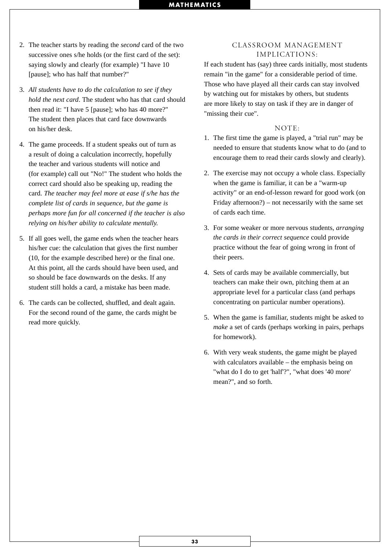- 2. The teacher starts by reading the *second* card of the two successive ones s/he holds (or the first card of the set): saying slowly and clearly (for example) "I have 10 [pause]; who has half that number?"
- 3. *All students have to do the calculation to see if they hold the next card*. The student who has that card should then read it: "I have 5 [pause]; who has 40 more?" The student then places that card face downwards on his/her desk.
- 4. The game proceeds. If a student speaks out of turn as a result of doing a calculation incorrectly, hopefully the teacher and various students will notice and (for example) call out "No!" The student who holds the correct card should also be speaking up, reading the card. *The teacher may feel more at ease if s/he has the complete list of cards in sequence, but the game is perhaps more fun for all concerned if the teacher is also relying on his/her ability to calculate mentally.*
- 5. If all goes well, the game ends when the teacher hears his/her cue: the calculation that gives the first number (10, for the example described here) or the final one. At this point, all the cards should have been used, and so should be face downwards on the desks. If any student still holds a card, a mistake has been made.
- 6. The cards can be collected, shuffled, and dealt again. For the second round of the game, the cards might be read more quickly.

#### CLASSROOM MANAGEMENT IMPLICATIONS:

If each student has (say) three cards initially, most students remain "in the game" for a considerable period of time. Those who have played all their cards can stay involved by watching out for mistakes by others, but students are more likely to stay on task if they are in danger of "missing their cue".

#### NOTE:

- 1. The first time the game is played, a "trial run" may be needed to ensure that students know what to do (and to encourage them to read their cards slowly and clearly).
- 2. The exercise may not occupy a whole class. Especially when the game is familiar, it can be a "warm-up activity" or an end-of-lesson reward for good work (on Friday afternoon?) – not necessarily with the same set of cards each time.
- 3. For some weaker or more nervous students, *arranging the cards in their correct sequence* could provide practice without the fear of going wrong in front of their peers.
- 4. Sets of cards may be available commercially, but teachers can make their own, pitching them at an appropriate level for a particular class (and perhaps concentrating on particular number operations).
- 5. When the game is familiar, students might be asked to *make* a set of cards (perhaps working in pairs, perhaps for homework).
- 6. With very weak students, the game might be played with calculators available – the emphasis being on "what do I do to get 'half'?", "what does '40 more' mean?", and so forth.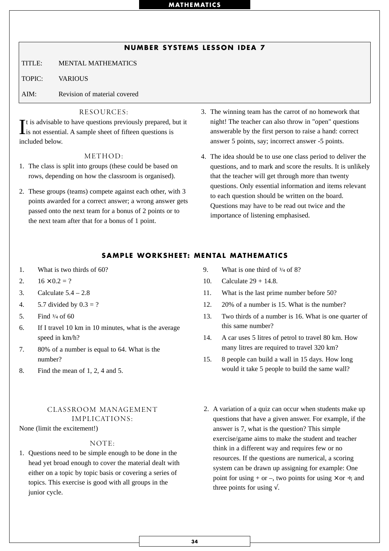## **NUMBER SYSTEMS LESSON IDEA 7**

TITLE: MENTAL MATHEMATICS

TOPIC: VARIOUS

AIM: Revision of material covered

#### RESOURCES:

It is advisable to have questions previously prepared, but it is not essential. A sample sheet of fifteen questions is Lis not essential. A sample sheet of fifteen questions is included below.

#### METHOD:

- 1. The class is split into groups (these could be based on rows, depending on how the classroom is organised).
- 2. These groups (teams) compete against each other, with 3 points awarded for a correct answer; a wrong answer gets passed onto the next team for a bonus of 2 points or to the next team after that for a bonus of 1 point.
- 3. The winning team has the carrot of no homework that night! The teacher can also throw in "open" questions answerable by the first person to raise a hand: correct answer 5 points, say; incorrect answer -5 points.
- 4. The idea should be to use one class period to deliver the questions, and to mark and score the results. It is unlikely that the teacher will get through more than twenty questions. Only essential information and items relevant to each question should be written on the board. Questions may have to be read out twice and the importance of listening emphasised.

### **SAMPLE WORKSHEET: MENTAL MATHEMATICS**

- 1. What is two thirds of 60?
- 2.  $16 \times 0.2 = ?$
- 3. Calculate 5.4 2.8
- 4. 5.7 divided by  $0.3 = ?$
- 5. Find  $\frac{3}{4}$  of 60
- 6. If I travel 10 km in 10 minutes, what is the average speed in km/h?
- 7. 80% of a number is equal to 64. What is the number?
- 8. Find the mean of 1, 2, 4 and 5.

## CLASSROOM MANAGEMENT IMPLICATIONS:

None (limit the excitement!)

#### NOTE:

1. Questions need to be simple enough to be done in the head yet broad enough to cover the material dealt with either on a topic by topic basis or covering a series of topics. This exercise is good with all groups in the junior cycle.

- 9. What is one third of  $\frac{3}{4}$  of 8?
- 10. Calculate 29 + 14.8.
- 11. What is the last prime number before 50?
- 12. 20% of a number is 15. What is the number?
- 13. Two thirds of a number is 16. What is one quarter of this same number?
- 14. A car uses 5 litres of petrol to travel 80 km. How many litres are required to travel 320 km?
- 15. 8 people can build a wall in 15 days. How long would it take 5 people to build the same wall?
- 2. A variation of a quiz can occur when students make up questions that have a given answer. For example, if the answer is 7, what is the question? This simple exercise/game aims to make the student and teacher think in a different way and requires few or no resources. If the questions are numerical, a scoring system can be drawn up assigning for example: One point for using + or –, two points for using  $\times$  or  $\div$ , and three points for using  $\sqrt{ }$ .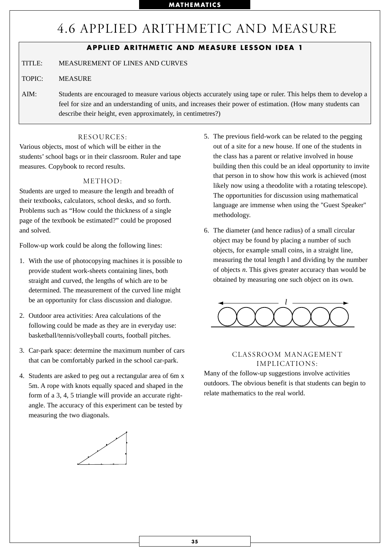# 4.6 APPLIED ARITHMETIC AND MEASURE

# **APPLIED ARITHMETIC AND MEASURE LESSON IDEA 1**

TITLE: MEASUREMENT OF LINES AND CURVES

TOPIC: MEASURE

AIM: Students are encouraged to measure various objects accurately using tape or ruler. This helps them to develop a feel for size and an understanding of units, and increases their power of estimation. (How many students can describe their height, even approximately, in centimetres?)

## RESOURCES:

Various objects, most of which will be either in the students' school bags or in their classroom. Ruler and tape measures. Copybook to record results.

### METHOD:

Students are urged to measure the length and breadth of their textbooks, calculators, school desks, and so forth. Problems such as "How could the thickness of a single page of the textbook be estimated?" could be proposed and solved.

Follow-up work could be along the following lines:

- 1. With the use of photocopying machines it is possible to provide student work-sheets containing lines, both straight and curved, the lengths of which are to be determined. The measurement of the curved line might be an opportunity for class discussion and dialogue.
- 2. Outdoor area activities: Area calculations of the following could be made as they are in everyday use: basketball/tennis/volleyball courts, football pitches.
- 3. Car-park space: determine the maximum number of cars that can be comfortably parked in the school car-park.
- 4. Students are asked to peg out a rectangular area of 6m x 5m. A rope with knots equally spaced and shaped in the form of a 3, 4, 5 triangle will provide an accurate rightangle. The accuracy of this experiment can be tested by measuring the two diagonals.



- 5. The previous field-work can be related to the pegging out of a site for a new house. If one of the students in the class has a parent or relative involved in house building then this could be an ideal opportunity to invite that person in to show how this work is achieved (most likely now using a theodolite with a rotating telescope). The opportunities for discussion using mathematical language are immense when using the "Guest Speaker" methodology.
- 6. The diameter (and hence radius) of a small circular object may be found by placing a number of such objects, for example small coins, in a straight line, measuring the total length l and dividing by the number of objects *n*. This gives greater accuracy than would be obtained by measuring one such object on its own.



# CLASSROOM MANAGEMENT IMPLICATIONS:

Many of the follow-up suggestions involve activities outdoors. The obvious benefit is that students can begin to relate mathematics to the real world.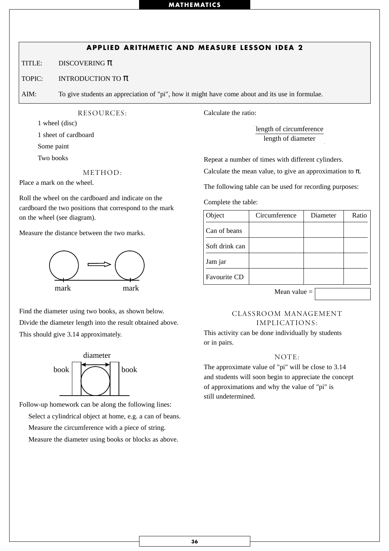# **APPLIED ARITHMETIC AND MEASURE LESSON IDEA 2**

TITLE: DISCOVERING  $\pi$ 

#### TOPIC: INTRODUCTION TO  $\pi$

AIM: To give students an appreciation of "pi", how it might have come about and its use in formulae.

RESOURCES:

1 wheel (disc)

1 sheet of cardboard

Some paint

Two books

METHOD:

Place a mark on the wheel.

Roll the wheel on the cardboard and indicate on the cardboard the two positions that correspond to the mark on the wheel (see diagram).

Measure the distance between the two marks.



Find the diameter using two books, as shown below. Divide the diameter length into the result obtained above. This should give 3.14 approximately.



Follow-up homework can be along the following lines: Select a cylindrical object at home, e.g. a can of beans. Measure the circumference with a piece of string. Measure the diameter using books or blocks as above.

Calculate the ratio:

length of circumference length of diameter

Repeat a number of times with different cylinders.

Calculate the mean value, to give an approximation to  $\pi$ .

The following table can be used for recording purposes:

Complete the table:

| Object              | Circumference | Diameter | Ratio |
|---------------------|---------------|----------|-------|
| Can of beans        |               |          |       |
| Soft drink can      |               |          |       |
| Jam jar             |               |          |       |
| <b>Favourite CD</b> |               |          |       |

Mean value =

## CLASSROOM MANAGEMENT IMPLICATIONS:

This activity can be done individually by students or in pairs.

#### NOTE:

The approximate value of "pi" will be close to 3.14 and students will soon begin to appreciate the concept of approximations and why the value of "pi" is still undetermined.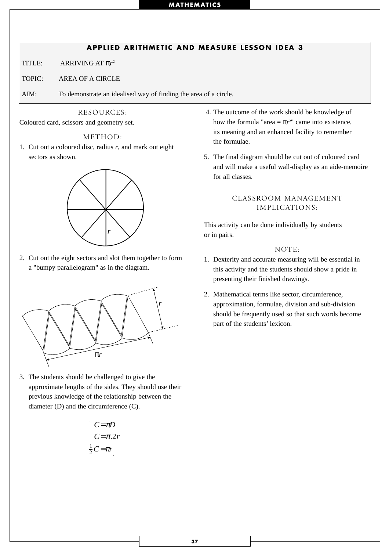# **APPLIED ARITHMETIC AND MEASURE LESSON IDEA 3**

TITLE: ARRIVING AT π*r*<sup>2</sup>

TOPIC: AREA OF A CIRCLE

AIM: To demonstrate an idealised way of finding the area of a circle.

#### RESOURCES:

Coloured card, scissors and geometry set.

#### METHOD:

1. Cut out a coloured disc, radius *r*, and mark out eight sectors as shown.



2. Cut out the eight sectors and slot them together to form a "bumpy parallelogram" as in the diagram.



3. The students should be challenged to give the approximate lengths of the sides. They should use their previous knowledge of the relationship between the diameter (D) and the circumference (C).

$$
C = \pi D
$$
  

$$
C = \pi . 2r
$$
  

$$
\frac{1}{2} C = \pi r
$$

- 4. The outcome of the work should be knowledge of how the formula "area  $= \pi r^2$ " came into existence, its meaning and an enhanced facility to remember the formulae.
- 5. The final diagram should be cut out of coloured card and will make a useful wall-display as an aide-memoire for all classes.

## CLASSROOM MANAGEMENT IMPLICATIONS:

This activity can be done individually by students or in pairs.

#### NOTE:

- 1. Dexterity and accurate measuring will be essential in this activity and the students should show a pride in presenting their finished drawings.
- 2. Mathematical terms like sector, circumference, approximation, formulae, division and sub-division should be frequently used so that such words become part of the students' lexicon.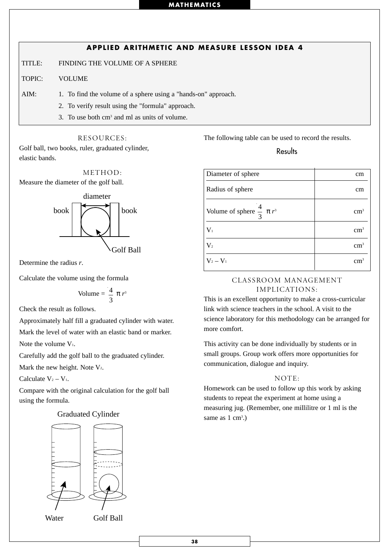# **APPLIED ARITHMETIC AND MEASURE LESSON IDEA 4**

TITLE: FINDING THE VOLUME OF A SPHERE

TOPIC: VOLUME

AIM: 1. To find the volume of a sphere using a "hands-on" approach.

- 2. To verify result using the "formula" approach.
- 3. To use both cm3 and ml as units of volume.

#### RESOURCES:

Golf ball, two books, ruler, graduated cylinder, elastic bands.

METHOD:

Measure the diameter of the golf ball.



Determine the radius *r*.

Calculate the volume using the formula

Volume = 
$$
\frac{4}{3} \pi r^3
$$

Check the result as follows.

Approximately half fill a graduated cylinder with water.

Mark the level of water with an elastic band or marker.

Note the volume  $V_1$ .

Carefully add the golf ball to the graduated cylinder.

Mark the new height. Note  $V_2$ .

Calculate  $V_2 - V_1$ .

Compare with the original calculation for the golf ball using the formula.

#### .) Graduated Cylinder



The following table can be used to record the results.

## **Results**

| Diameter of sphere                       | cm            |
|------------------------------------------|---------------|
| Radius of sphere                         | cm            |
| Volume of sphere $\frac{4}{3}$ $\pi r^3$ | $\rm cm^3$    |
| $\mathbf{V}_1$                           | $\text{cm}^3$ |
| $\mathrm{V}_2$                           | $\rm cm^3$    |
| $V_2 - V_1$                              | cm            |

## CLASSROOM MANAGEMENT IMPLICATIONS:

This is an excellent opportunity to make a cross-curricular link with science teachers in the school. A visit to the science laboratory for this methodology can be arranged for more comfort.

This activity can be done individually by students or in small groups. Group work offers more opportunities for communication, dialogue and inquiry.

#### NOTE:

Homework can be used to follow up this work by asking students to repeat the experiment at home using a measuring jug. (Remember, one millilitre or 1 ml is the same as  $1 \text{ cm}^3$ .)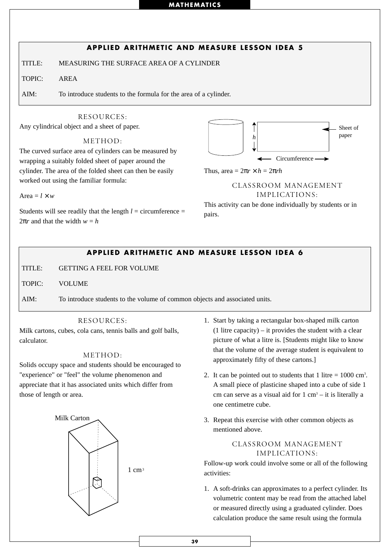# RESOURCES: **APPLIED ARITHMETIC AND MEASURE LESSON IDEA 5** TITLE: MEASURING THE SURFACE AREA OF A CYLINDER TOPIC: AREA AIM: To introduce students to the formula for the area of a cylinder.

Any cylindrical object and a sheet of paper.

METHOD:

The curved surface area of cylinders can be measured by wrapping a suitably folded sheet of paper around the cylinder. The area of the folded sheet can then be easily worked out using the familiar formula:

Area  $=$  *l*  $\times$  *w* 

Students will see readily that the length  $l =$  circumference  $=$  $2\pi r$  and that the width  $w = h$ 



Thus, area =  $2\pi r \times h = 2\pi rh$ 

## CLASSROOM MANAGEMENT IMPLICATIONS:

This activity can be done individually by students or in pairs.

# **APPLIED ARITHMETIC AND MEASURE LESSON IDEA 6**

TITLE: GETTING A FEEL FOR VOLUME

TOPIC: VOLUME

AIM: To introduce students to the volume of common objects and associated units.

## RESOURCES:

Milk cartons, cubes, cola cans, tennis balls and golf balls, calculator.

## METHOD:

Solids occupy space and students should be encouraged to "experience" or "feel" the volume phenomenon and appreciate that it has associated units which differ from those of length or area.



- 1. Start by taking a rectangular box-shaped milk carton  $(1$  litre capacity) – it provides the student with a clear picture of what a litre is. [Students might like to know that the volume of the average student is equivalent to approximately fifty of these cartons.]
- 2. It can be pointed out to students that  $1$  litre  $= 1000$  cm<sup>3</sup>. A small piece of plasticine shaped into a cube of side 1 cm can serve as a visual aid for  $1 \text{ cm}^3 - \text{it}$  is literally a one centimetre cube.
- 3. Repeat this exercise with other common objects as mentioned above.

## CLASSROOM MANAGEMENT IMPLICATIONS:

Follow-up work could involve some or all of the following activities:

1. A soft-drinks can approximates to a perfect cylinder. Its volumetric content may be read from the attached label or measured directly using a graduated cylinder. Does calculation produce the same result using the formula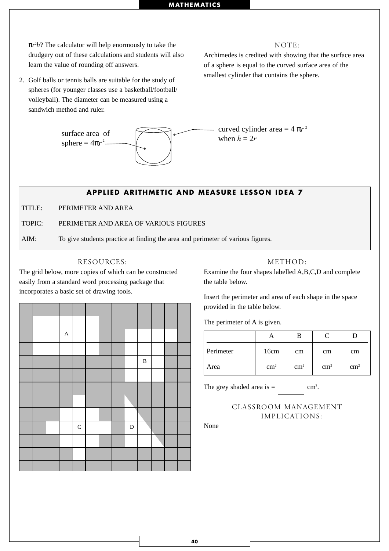π*r*<sup>2</sup> *h*? The calculator will help enormously to take the drudgery out of these calculations and students will also learn the value of rounding off answers.

2. Golf balls or tennis balls are suitable for the study of spheres (for younger classes use a basketball/football/ volleyball). The diameter can be measured using a sandwich method and ruler.



#### NOTE:

Archimedes is credited with showing that the surface area of a sphere is equal to the curved surface area of the smallest cylinder that contains the sphere.

curved cylinder area  $= 4 \pi r^2$ when  $h = 2r$ 

## **APPLIED ARITHMETIC AND MEASURE LESSON IDEA 7**

TITLE: PERIMETER AND AREA

TOPIC: PERIMETER AND AREA OF VARIOUS FIGURES

AIM: To give students practice at finding the area and perimeter of various figures.

#### RESOURCES:

The grid below, more copies of which can be constructed easily from a standard word processing package that incorporates a basic set of drawing tools.

|  | $\mathbf{A}$ |           |  |           |              |  |  |
|--|--------------|-----------|--|-----------|--------------|--|--|
|  |              |           |  |           |              |  |  |
|  |              |           |  |           | $\, {\bf B}$ |  |  |
|  |              |           |  |           |              |  |  |
|  |              |           |  |           |              |  |  |
|  |              |           |  |           |              |  |  |
|  |              |           |  |           |              |  |  |
|  |              | ${\bf C}$ |  | ${\bf D}$ |              |  |  |
|  |              |           |  |           |              |  |  |
|  |              |           |  |           |              |  |  |
|  |              |           |  |           |              |  |  |

#### METHOD:

Examine the four shapes labelled A,B,C,D and complete the table below.

Insert the perimeter and area of each shape in the space provided in the table below.

The perimeter of A is given.

| Perimeter | 16cm          | cm         | cm         | cm         |
|-----------|---------------|------------|------------|------------|
| Area      | $\text{cm}^2$ | $\rm cm^2$ | $\rm cm^2$ | $\rm cm^2$ |

The grey shaded area is  $=$ 

None

cm<sup>2</sup>.

CLASSROOM MANAGEMENT IMPLICATIONS: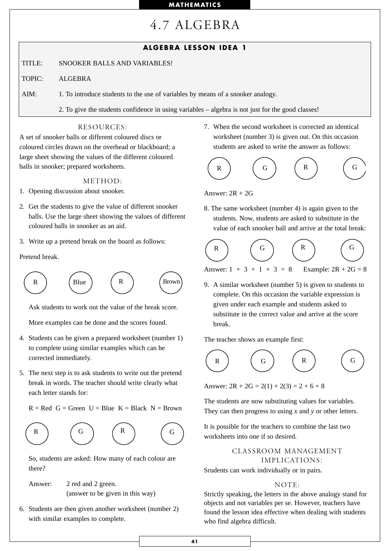# 4.7 ALGEBRA

# **ALGEBRA LESSON IDEA 1**

TITLE: SNOOKER BALLS AND VARIABLES!

TOPIC: ALGEBRA

AIM: 1. To introduce students to the use of variables by means of a snooker analogy.

2. To give the students confidence in using variables – algebra is not just for the good classes!

#### RESOURCES:

A set of snooker balls or different coloured discs or coloured circles drawn on the overhead or blackboard; a large sheet showing the values of the different coloured balls in snooker; prepared worksheets.

#### METHOD:

- 1. Opening discussion about snooker.
- 2. Get the students to give the value of different snooker balls. Use the large sheet showing the values of different coloured balls in snooker as an aid.
- 3. Write up a pretend break on the board as follows:

Pretend break.



Ask students to work out the value of the break score.

More examples can be done and the scores found.

- 4. Students can be given a prepared worksheet (number 1) to complete using similar examples which can be corrected immediately.
- 5. The next step is to ask students to write out the pretend break in words. The teacher should write clearly what each letter stands for:

 $R = Red G = Green U = Blue K = Black N = Brown$ 



So, students are asked: How many of each colour are there?

Answer: 2 red and 2 green. (answer to be given in this way)

6. Students are then given another worksheet (number 2) with similar examples to complete.

7. When the second worksheet is corrected an identical worksheet (number 3) is given out. On this occasion students are asked to write the answer as follows:

$$
\begin{array}{ccc}\n\begin{pmatrix}\nR \\
\end{pmatrix} & \begin{pmatrix}\nG \\
\end{pmatrix} & \begin{pmatrix}\nR \\
\end{pmatrix} & \begin{pmatrix}\nG \\
\end{pmatrix}\n\end{array}
$$

Answer:  $2R + 2G$ 

8. The same worksheet (number 4) is again given to the students. Now, students are asked to substitute in the value of each snooker ball and arrive at the total break:

$$
\begin{array}{ccc}\n\begin{pmatrix}\nR \\
\end{pmatrix} & \begin{pmatrix}\nG \\
\end{pmatrix} & \begin{pmatrix}\nR \\
\end{pmatrix} & \begin{pmatrix}\nG \\
\end{pmatrix}\n\end{array}
$$

Answer:  $1 + 3 + 1 + 3 = 8$  Example:  $2R + 2G = 8$ 

9. A similar worksheet (number 5) is given to students to complete. On this occasion the variable expression is given under each example and students asked to substitute in the correct value and arrive at the score break.

The teacher shows an example first:



Answer:  $2R + 2G = 2(1) + 2(3) = 2 + 6 = 8$ 

The students are now substituting values for variables. They can then progress to using *x* and *y* or other letters.

It is possible for the teachers to combine the last two worksheets into one if so desired.

> CLASSROOM MANAGEMENT IMPLICATIONS:

Srudents can work individually or in pairs.

#### $NOTF.$

Strictly speaking, the letters in the above analogy stand for objects and not variables per se. However, teachers have found the lesson idea effective when dealing with students who find algebra difficult.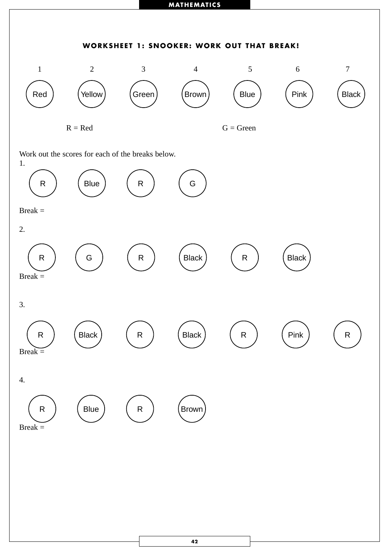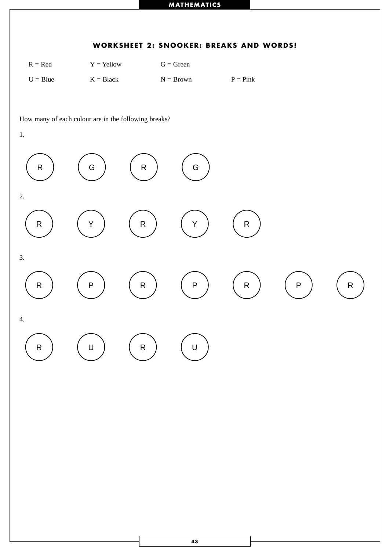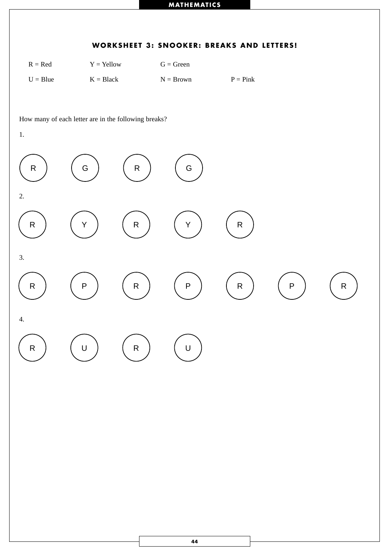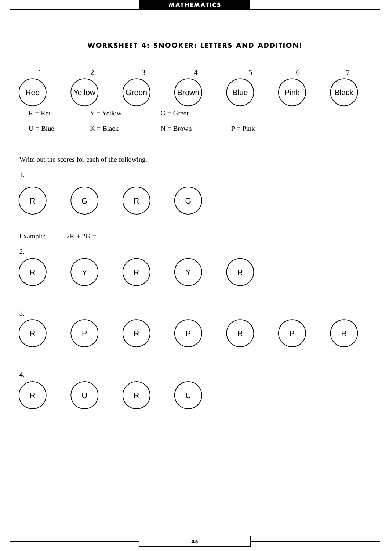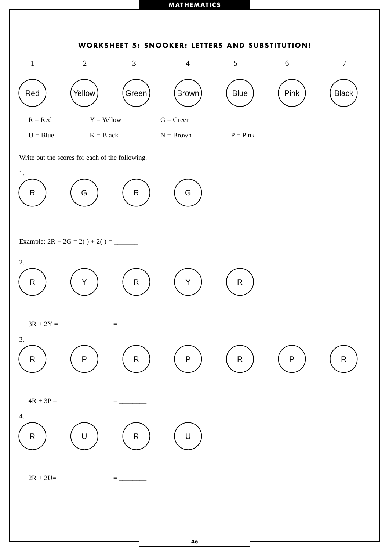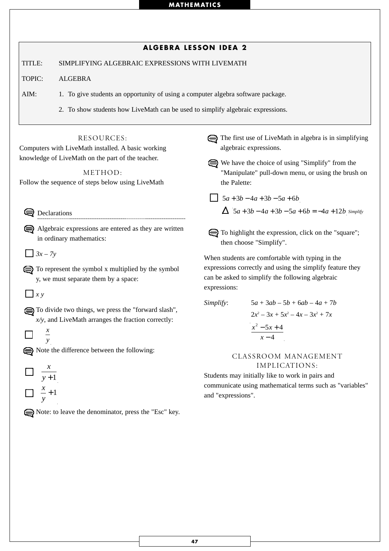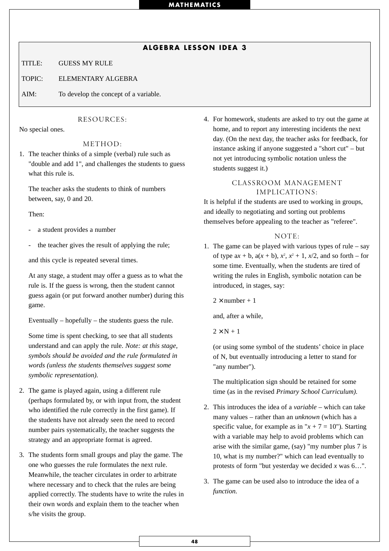# **ALGEBRA LESSON IDEA 3**

TITLE: GUESS MY RULE

TOPIC: ELEMENTARY ALGEBRA

AIM: To develop the concept of a variable.

#### RESOURCES:

No special ones.

#### METHOD:

1. The teacher thinks of a simple (verbal) rule such as "double and add 1", and challenges the students to guess what this rule is.

The teacher asks the students to think of numbers between, say, 0 and 20.

Then:

- a student provides a number
- the teacher gives the result of applying the rule;

and this cycle is repeated several times.

At any stage, a student may offer a guess as to what the rule is. If the guess is wrong, then the student cannot guess again (or put forward another number) during this game.

Eventually – hopefully – the students guess the rule.

Some time is spent checking, to see that all students understand and can apply the rule. *Note: at this stage, symbols should be avoided and the rule formulated in words (unless the students themselves suggest some symbolic representation).*

- 2. The game is played again, using a different rule (perhaps formulated by, or with input from, the student who identified the rule correctly in the first game). If the students have not already seen the need to record number pairs systematically, the teacher suggests the strategy and an appropriate format is agreed.
- 3. The students form small groups and play the game. The one who guesses the rule formulates the next rule. Meanwhile, the teacher circulates in order to arbitrate where necessary and to check that the rules are being applied correctly. The students have to write the rules in their own words and explain them to the teacher when s/he visits the group.

4. For homework, students are asked to try out the game at home, and to report any interesting incidents the next day. (On the next day, the teacher asks for feedback, for instance asking if anyone suggested a "short cut" – but not yet introducing symbolic notation unless the students suggest it.)

### CLASSROOM MANAGEMENT IMPLICATIONS:

It is helpful if the students are used to working in groups, and ideally to negotiating and sorting out problems themselves before appealing to the teacher as "referee".

#### NOTE:

1. The game can be played with various types of rule – say of type  $ax + b$ ,  $a(x + b)$ ,  $x^2$ ,  $x^2 + 1$ ,  $x/2$ , and so forth – for some time. Eventually, when the students are tired of writing the rules in English, symbolic notation can be introduced, in stages, say:

 $2 \times$  number + 1

and, after a while,

 $2 \times N + 1$ 

(or using some symbol of the students' choice in place of N, but eventually introducing a letter to stand for "any number").

The multiplication sign should be retained for some time (as in the revised *Primary School Curriculum).*

- 2. This introduces the idea of a *variable* which can take many values – rather than an *unknown* (which has a specific value, for example as in " $x + 7 = 10$ "). Starting with a variable may help to avoid problems which can arise with the similar game, (say) "my number plus 7 is 10, what is my number?" which can lead eventually to protests of form "but yesterday we decided *x* was 6…".
- 3. The game can be used also to introduce the idea of a *function.*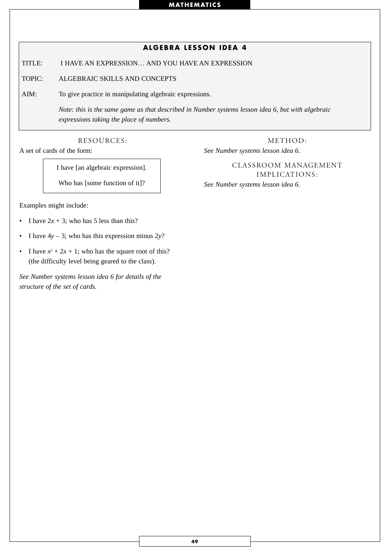# **ALGEBRA LESSON IDEA 4**

TITLE: I HAVE AN EXPRESSION… AND YOU HAVE AN EXPRESSION

TOPIC: ALGEBRAIC SKILLS AND CONCEPTS

AIM: To give practice in manipulating algebraic expressions.

*Note: this is the same game as that described in Number systems lesson idea 6, but with algebraic expressions taking the place of numbers.*

RESOURCES:

A set of cards of the form:

*See Number systems lesson idea 6.*

I have [an algebraic expression].

Who has [some function of it]?

Examples might include:

- I have  $2x + 3$ ; who has 5 less than this?
- I have  $4y 3$ ; who has this expression minus  $2y$ ?
- I have  $x^2 + 2x + 1$ ; who has the square root of this? (the difficulty level being geared to the class).

*See Number systems lesson idea 6 for details of the structure of the set of cards.*

CLASSROOM MANAGEMENT IMPLICATIONS: *See Number systems lesson idea 6.*

METHOD: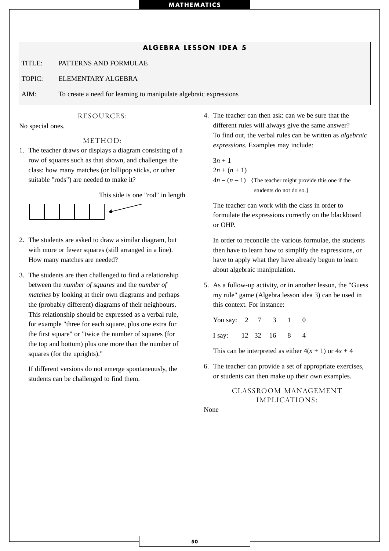### **ALGEBRA LESSON IDEA 5**

TITLE: PATTERNS AND FORMULAE

TOPIC: ELEMENTARY ALGEBRA

AIM: To create a need for learning to manipulate algebraic expressions

#### RESOURCES:

No special ones.

#### METHOD:

1. The teacher draws or displays a diagram consisting of a row of squares such as that shown, and challenges the class: how many matches (or lollipop sticks, or other suitable "rods") are needed to make it?

This side is one "rod" in length



- 2. The students are asked to draw a similar diagram, but with more or fewer squares (still arranged in a line). How many matches are needed?
- 3. The students are then challenged to find a relationship between the *number of squares* and the *number of matches* by looking at their own diagrams and perhaps the (probably different) diagrams of their neighbours. This relationship should be expressed as a verbal rule, for example "three for each square, plus one extra for the first square" or "twice the number of squares (for the top and bottom) plus one more than the number of squares (for the uprights)."

If different versions do not emerge spontaneously, the students can be challenged to find them.

4. The teacher can then ask: can we be sure that the different rules will always give the same answer? To find out, the verbal rules can be written as *algebraic expressions.* Examples may include:

 $3n + 1$  $2n + (n + 1)$  $4n - (n - 1)$  {The teacher might provide this one if the students do not do so.}

The teacher can work with the class in order to formulate the expressions correctly on the blackboard or OHP.

In order to reconcile the various formulae, the students then have to learn how to simplify the expressions, or have to apply what they have already begun to learn about algebraic manipulation.

5. As a follow-up activity, or in another lesson, the "Guess my rule" game (Algebra lesson idea 3) can be used in this context. For instance:

| You say: 2        |  |  | $\Omega$ |
|-------------------|--|--|----------|
| I say: 12 32 16 8 |  |  |          |

This can be interpreted as either  $4(x + 1)$  or  $4x + 4$ 

6. The teacher can provide a set of appropriate exercises, or students can then make up their own examples.

# CLASSROOM MANAGEMENT IMPLICATIONS:

None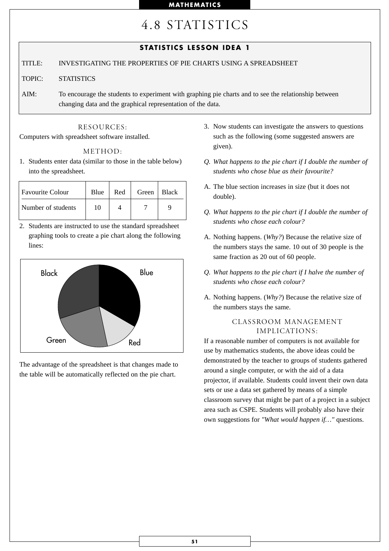# 4.8 STATISTICS

# **STATISTICS LESSON IDEA 1**

### TITLE: INVESTIGATING THE PROPERTIES OF PIE CHARTS USING A SPREADSHEET

#### TOPIC: STATISTICS

AIM: To encourage the students to experiment with graphing pie charts and to see the relationship between changing data and the graphical representation of the data.

## RESOURCES:

Computers with spreadsheet software installed.

#### METHOD:

1. Students enter data (similar to those in the table below) into the spreadsheet.

| <b>Favourite Colour</b> | Blue | Red | Green | $ $ Black |
|-------------------------|------|-----|-------|-----------|
| Number of students      | 10   |     |       |           |

2. Students are instructed to use the standard spreadsheet graphing tools to create a pie chart along the following lines:



The advantage of the spreadsheet is that changes made to the table will be automatically reflected on the pie chart.

- 3. Now students can investigate the answers to questions such as the following (some suggested answers are given).
- *Q. What happens to the pie chart if I double the number of students who chose blue as their favourite?*
- A. The blue section increases in size (but it does not double).
- *Q. What happens to the pie chart if I double the number of students who chose each colour?*
- A. Nothing happens. (*Why?*) Because the relative size of the numbers stays the same. 10 out of 30 people is the same fraction as 20 out of 60 people.
- *Q. What happens to the pie chart if I halve the number of students who chose each colour?*
- A. Nothing happens. (*Why?*) Because the relative size of the numbers stays the same.

## CLASSROOM MANAGEMENT IMPLICATIONS:

If a reasonable number of computers is not available for use by mathematics students, the above ideas could be demonstrated by the teacher to groups of students gathered around a single computer, or with the aid of a data projector, if available. Students could invent their own data sets or use a data set gathered by means of a simple classroom survey that might be part of a project in a subject area such as CSPE. Students will probably also have their own suggestions for *"What would happen if…"* questions.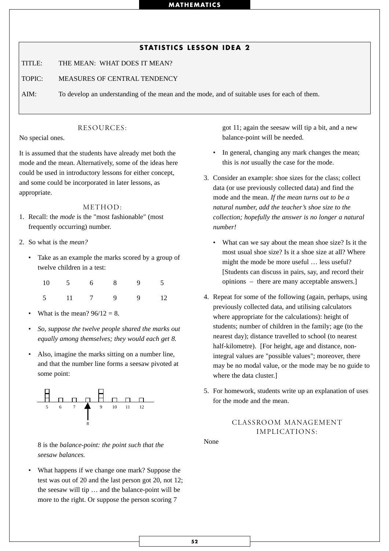# **STATISTICS LESSON IDEA 2**

TITLE: THE MEAN: WHAT DOES IT MEAN?

TOPIC: MEASURES OF CENTRAL TENDENCY

AIM: To develop an understanding of the mean and the mode, and of suitable uses for each of them.

#### RESOURCES:

No special ones.

It is assumed that the students have already met both the mode and the mean. Alternatively, some of the ideas here could be used in introductory lessons for either concept, and some could be incorporated in later lessons, as appropriate.

#### METHOD:

- 1. Recall: the *mode* is the "most fashionable" (most frequently occurring) number.
- 2. So what is the *mean?*
	- Take as an example the marks scored by a group of twelve children in a test:

|  |  | $10 \qquad 5 \qquad 6 \qquad 8 \qquad 9 \qquad 5$ |  |
|--|--|---------------------------------------------------|--|
|  |  | 5 11 7 9 9 12                                     |  |

- What is the mean?  $96/12 = 8$ .
- *So, suppose the twelve people shared the marks out equally among themselves; they would each get 8.*
- Also, imagine the marks sitting on a number line, and that the number line forms a seesaw pivoted at some point:



8 is the *balance-point: the point such that the seesaw balances.*

• What happens if we change one mark? Suppose the test was out of 20 and the last person got 20, not 12; the seesaw will tip … and the balance-point will be more to the right. Or suppose the person scoring 7

got 11; again the seesaw will tip a bit, and a new balance-point will be needed.

- In general, changing any mark changes the mean; this is *not* usually the case for the mode.
- 3. Consider an example: shoe sizes for the class; collect data (or use previously collected data) and find the mode and the mean. *If the mean turns out to be a natural number, add the teacher's shoe size to the collection; hopefully the answer is no longer a natural number!*
	- What can we say about the mean shoe size? Is it the most usual shoe size? Is it a shoe size at all? Where might the mode be more useful … less useful? [Students can discuss in pairs, say, and record their opinions – there are many acceptable answers.]
- 4. Repeat for some of the following (again, perhaps, using previously collected data, and utilising calculators where appropriate for the calculations): height of students; number of children in the family; age (to the nearest day); distance travelled to school (to nearest half-kilometre). [For height, age and distance, nonintegral values are "possible values"; moreover, there may be no modal value, or the mode may be no guide to where the data cluster.]
- 5. For homework, students write up an explanation of uses for the mode and the mean.

## CLASSROOM MANAGEMENT IMPLICATIONS:

None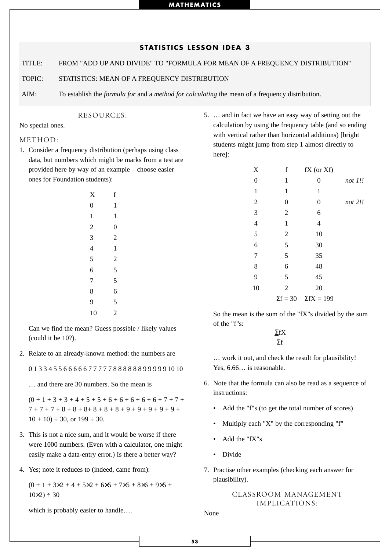|        | <b>STATISTICS LESSON IDEA 3</b>                                                                               |
|--------|---------------------------------------------------------------------------------------------------------------|
| TITLE: | FROM "ADD UP AND DIVIDE" TO "FORMULA FOR MEAN OF A FREQUENCY DISTRIBUTION"                                    |
| TOPIC: | STATISTICS: MEAN OF A FREQUENCY DISTRIBUTION                                                                  |
| AIM:   | To establish the <i>formula for</i> and a <i>method for calculating</i> the mean of a frequency distribution. |

No special ones.

#### METHOD:

1. Consider a frequency distribution (perhaps using class data, but numbers which might be marks from a test are provided here by way of an example – choose easier ones for Foundation students):

RESOURCES:

| X                       | f                       |  |
|-------------------------|-------------------------|--|
| $\overline{0}$          | $\mathbf{1}$            |  |
| $\mathbf{1}$            | $\mathbf{1}$            |  |
| $\overline{\mathbf{c}}$ | $\mathbf{0}$            |  |
| 3                       | $\overline{c}$          |  |
| 4                       | $\mathbf{1}$            |  |
| 5                       | $\overline{\mathbf{c}}$ |  |
| 6                       | 5                       |  |
| 7                       | 5                       |  |
| 8                       | 6                       |  |
| 9                       | $\frac{5}{2}$           |  |
| 10                      |                         |  |

Can we find the mean? Guess possible / likely values (could it be 10?).

2. Relate to an already-known method: the numbers are

0 1 3 3 4 5 5 6 6 6 6 6 7 7 7 7 7 8 8 8 8 8 8 9 9 9 9 9 10 10

… and there are 30 numbers. So the mean is

 $(0 + 1 + 3 + 3 + 4 + 5 + 5 + 6 + 6 + 6 + 6 + 6 + 7 + 7 +$  $7 + 7 + 7 + 8 + 8 + 8 + 8 + 8 + 8 + 9 + 9 + 9 + 9 + 9 + 9 +$  $10 + 10$   $\div$  30, or  $199 \div 30$ .

- 3. This is not a nice sum, and it would be worse if there were 1000 numbers. (Even with a calculator, one might easily make a data-entry error.) Is there a better way?
- 4. Yes; note it reduces to (indeed, came from):

 $(0 + 1 + 3x^2 + 4 + 5x^2 + 6x^2 + 7x^2 + 8x^2 + 9x^2 + 1)$  $10\times2$ ) ÷ 30

which is probably easier to handle….

5. … and in fact we have an easy way of setting out the calculation by using the frequency table (and so ending with vertical rather than horizontal additions) [bright students might jump from step 1 almost directly to here]:

| $\boldsymbol{\mathrm{X}}$ | f                | fX (or Xf)                        |         |
|---------------------------|------------------|-----------------------------------|---------|
| $\boldsymbol{0}$          | $\mathbf{1}$     | 0                                 | not 1!! |
| $\mathbf{1}$              | 1                | 1                                 |         |
| $\overline{2}$            | $\boldsymbol{0}$ | $\boldsymbol{0}$                  | not 2!! |
| 3                         | $\mathbf{2}$     | 6                                 |         |
| $\overline{4}$            | $\mathbf{1}$     | $\overline{4}$                    |         |
| 5                         | $\overline{2}$   | 10                                |         |
| 6                         | 5                | 30                                |         |
| $\overline{7}$            | 5                | 35                                |         |
| 8                         | 6                | 48                                |         |
| 9                         | 5                | 45                                |         |
| 10                        | $\overline{2}$   | 20                                |         |
|                           |                  | $\Sigma f = 30$ $\Sigma fX = 199$ |         |

So the mean is the sum of the "fX"s divided by the sum of the "f"s:

> ΣfX Σf

… work it out, and check the result for plausibility! Yes, 6.66… is reasonable.

- 6. Note that the formula can also be read as a sequence of instructions:
	- Add the "f"s (to get the total number of scores)
	- Multiply each "X" by the corresponding "f"
	- Add the "fX"s
	- Divide
- 7. Practise other examples (checking each answer for plausibility).

# CLASSROOM MANAGEMENT IMPLICATIONS:

None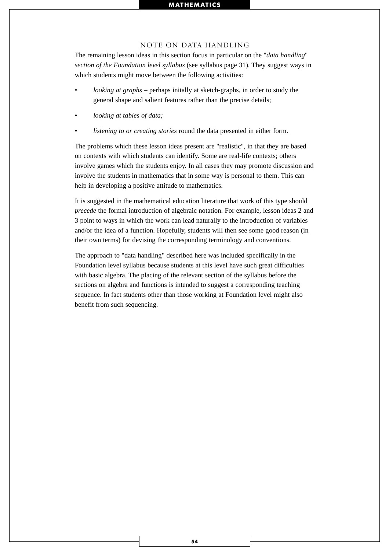#### NOTE ON DATA HANDLING

The remaining lesson ideas in this section focus in particular on the "*data handling*" *section of the Foundation level syllabus* (see syllabus page 31). They suggest ways in which students might move between the following activities:

- *looking at graphs* perhaps initally at sketch-graphs, in order to study the general shape and salient features rather than the precise details;
- *looking at tables of data;*
- *listening to or creating stories* round the data presented in either form.

The problems which these lesson ideas present are "realistic", in that they are based on contexts with which students can identify. Some are real-life contexts; others involve games which the students enjoy. In all cases they may promote discussion and involve the students in mathematics that in some way is personal to them. This can help in developing a positive attitude to mathematics.

It is suggested in the mathematical education literature that work of this type should *precede* the formal introduction of algebraic notation. For example, lesson ideas 2 and 3 point to ways in which the work can lead naturally to the introduction of variables and/or the idea of a function. Hopefully, students will then see some good reason (in their own terms) for devising the corresponding terminology and conventions.

The approach to "data handling" described here was included specifically in the Foundation level syllabus because students at this level have such great difficulties with basic algebra. The placing of the relevant section of the syllabus before the sections on algebra and functions is intended to suggest a corresponding teaching sequence. In fact students other than those working at Foundation level might also benefit from such sequencing.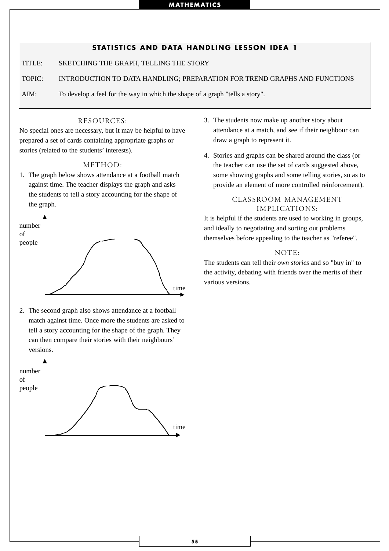# **STATISTICS AND DATA HANDLING LESSON IDEA 1**

TITLE: SKETCHING THE GRAPH, TELLING THE STORY

TOPIC: INTRODUCTION TO DATA HANDLING; PREPARATION FOR TREND GRAPHS AND FUNCTIONS

AIM: To develop a feel for the way in which the shape of a graph "tells a story".

## RESOURCES:

No special ones are necessary, but it may be helpful to have prepared a set of cards containing appropriate graphs or stories (related to the students' interests).

### METHOD:

1. The graph below shows attendance at a football match against time. The teacher displays the graph and asks the students to tell a story accounting for the shape of the graph.



2. The second graph also shows attendance at a football match against time. Once more the students are asked to tell a story accounting for the shape of the graph. They can then compare their stories with their neighbours' versions.



- 3. The students now make up another story about attendance at a match, and see if their neighbour can draw a graph to represent it.
- 4. Stories and graphs can be shared around the class (or the teacher can use the set of cards suggested above, some showing graphs and some telling stories, so as to provide an element of more controlled reinforcement).

## CLASSROOM MANAGEMENT IMPLICATIONS:

It is helpful if the students are used to working in groups, and ideally to negotiating and sorting out problems themselves before appealing to the teacher as "referee".

# NOTE:

The students can tell their *own stories* and so "buy in" to the activity, debating with friends over the merits of their various versions.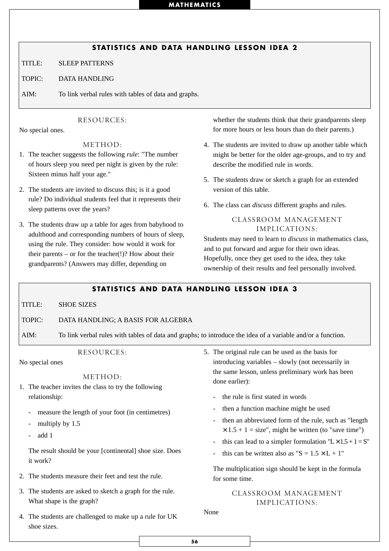# **STATISTICS AND DATA HANDLING LESSON IDEA 2**

TITLE: SLEEP PATTERNS

TOPIC: DATA HANDLING

AIM: To link verbal rules with tables of data and graphs.

## RESOURCES:

No special ones.

### METHOD:

- 1. The teacher suggests the following *rule*: "The number of hours sleep you need per night is given by the rule: Sixteen minus half your age."
- 2. The students are invited to discuss this; is it a good rule? Do individual students feel that it represents their sleep patterns over the years?
- 3. The students draw up a table for ages from babyhood to adulthood and corresponding numbers of hours of sleep, using the rule. They consider: how would it work for their parents – or for the teacher $(!)$ ? How about their grandparents? (Answers may differ, depending on

whether the students think that their grandparents sleep for more hours or less hours than do their parents.)

- 4. The students are invited to draw up another table which might be better for the older age-groups, and to try and describe the modified rule in words.
- 5. The students draw or sketch a graph for an extended version of this table.
- 6. The class can *discuss* different graphs and rules.

## CLASSROOM MANAGEMENT IMPLICATIONS:

Students may need to learn to *discuss* in mathematics class, and to put forward and argue for their own ideas. Hopefully, once they get used to the idea, they take ownership of their results and feel personally involved.

## **STATISTICS AND DATA HANDLING LESSON IDEA 3**

TITLE: SHOE SIZES

#### TOPIC: DATA HANDLING; A BASIS FOR ALGEBRA

AIM: To link verbal rules with tables of data and graphs; to introduce the idea of a variable and/or a function.

#### RESOURCES:

No special ones

METHOD:

- 1. The teacher invites the class to try the following relationship:
	- measure the length of your foot (in centimetres)
	- multiply by 1.5
	- add 1

The result should be your [continental] shoe size. Does it work?

- 2. The students measure their feet and test the rule.
- 3. The students are asked to sketch a graph for the rule. What shape is the graph?
- 5. The original rule can be used as the basis for introducing variables – slowly (not necessarily in the same lesson, unless preliminary work has been done earlier):
	- the rule is first stated in words
	- then a function machine might be used
	- then an abbreviated form of the rule, such as "length"  $\times$  1.5 + 1 = size", might be written (to "save time")
	- this can lead to a simpler formulation  $"L \times 1.5 + 1 = S"$
	- this can be written also as " $S = 1.5 \times L + 1$ "

The multiplication sign should be kept in the formula for some time.

# CLASSROOM MANAGEMENT IMPLICATIONS:

4. The students are challenged to make up a rule for UK shoe sizes.

None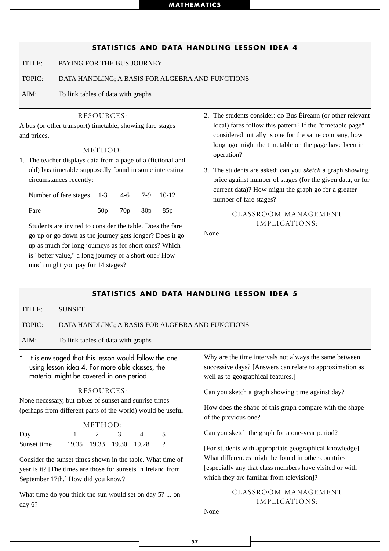# **STATISTICS AND DATA HANDLING LESSON IDEA 4**

TITLE: PAYING FOR THE BUS JOURNEY

TOPIC: DATA HANDLING; A BASIS FOR ALGEBRA AND FUNCTIONS

AIM: To link tables of data with graphs

#### RESOURCES:

A bus (or other transport) timetable, showing fare stages and prices.

### METHOD:

1. The teacher displays data from a page of a (fictional and old) bus timetable supposedly found in some interesting circumstances recently:

| Number of fare stages 1-3 4-6 7-9 10-12 |                         |  |
|-----------------------------------------|-------------------------|--|
| Fare                                    | $50p$ $70p$ $80p$ $85p$ |  |

Students are invited to consider the table. Does the fare go up or go down as the journey gets longer? Does it go up as much for long journeys as for short ones? Which is "better value," a long journey or a short one? How much might you pay for 14 stages?

- 2. The students consider: do Bus Éireann (or other relevant local) fares follow this pattern? If the "timetable page" considered initially is one for the same company, how long ago might the timetable on the page have been in operation?
- 3. The students are asked: can you *sketch* a graph showing price against number of stages (for the given data, or for current data)? How might the graph go for a greater number of fare stages?

## CLASSROOM MANAGEMENT IMPLICATIONS:

None

## **STATISTICS AND DATA HANDLING LESSON IDEA 5**

TITLE: SUNSET

#### TOPIC: DATA HANDLING; A BASIS FOR ALGEBRA AND FUNCTIONS

AIM: To link tables of data with graphs

## It is envisaged that this lesson would follow the one using lesson idea 4. For more able classes, the material might be covered in one period.

## RESOURCES:

None necessary, but tables of sunset and sunrise times (perhaps from different parts of the world) would be useful

|             | METHOD: |          |                         |  |  |  |
|-------------|---------|----------|-------------------------|--|--|--|
| Day         |         | $\gamma$ |                         |  |  |  |
| Sunset time |         |          | 19.35 19.33 19.30 19.28 |  |  |  |

Consider the sunset times shown in the table. What time of year is it? [The times are those for sunsets in Ireland from September 17th.] How did you know?

What time do you think the sun would set on day 5? ... on day 6?

Why are the time intervals not always the same between successive days? [Answers can relate to approximation as well as to geographical features.]

Can you sketch a graph showing time against day?

How does the shape of this graph compare with the shape of the previous one?

Can you sketch the graph for a one-year period?

[For students with appropriate geographical knowledge] What differences might be found in other countries [especially any that class members have visited or with which they are familiar from television]?

# CLASSROOM MANAGEMENT IMPLICATIONS:

None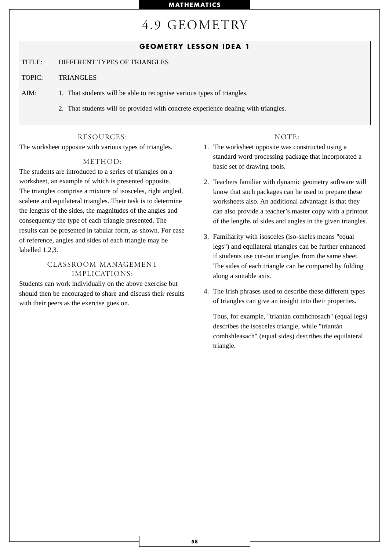# 4.9 GEOMETRY

# **GEOMETRY LESSON IDEA 1**

TITLE: DIFFERENT TYPES OF TRIANGLES

TOPIC: TRIANGLES

AIM: 1. That students will be able to recognise various types of triangles.

2. That students will be provided with concrete experience dealing with triangles.

#### RESOURCES:

The worksheet opposite with various types of triangles.

## METHOD:

The students are introduced to a series of triangles on a worksheet, an example of which is presented opposite. The triangles comprise a mixture of isosceles, right angled, scalene and equilateral triangles. Their task is to determine the lengths of the sides, the magnitudes of the angles and consequently the type of each triangle presented. The results can be presented in tabular form, as shown. For ease of reference, angles and sides of each triangle may be labelled 1,2,3.

# CLASSROOM MANAGEMENT IMPLICATIONS:

Students can work individually on the above exercise but should then be encouraged to share and discuss their results with their peers as the exercise goes on.

#### NOTE:

- 1. The worksheet opposite was constructed using a standard word processing package that incorporated a basic set of drawing tools.
- 2. Teachers familiar with dynamic geometry software will know that such packages can be used to prepare these worksheets also. An additional advantage is that they can also provide a teacher's master copy with a printout of the lengths of sides and angles in the given triangles.
- 3. Familiarity with isosceles (iso-skeles means "equal legs") and equilateral triangles can be further enhanced if students use cut-out triangles from the same sheet. The sides of each triangle can be compared by folding along a suitable axis.
- 4. The Irish phrases used to describe these different types of triangles can give an insight into their properties.

Thus, for example, "triantán comhchosach" (equal legs) describes the isosceles triangle, while "triantán comhshleasach" (equal sides) describes the equilateral triangle.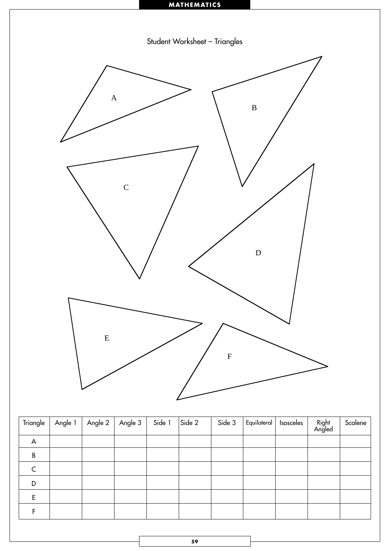

| Triangle    | Angle 1 | Angle 2 | Angle 3 | Side 1 | Side 2 | Side 3 | Equilateral   Isosceles | Right<br>Angled | Scalene |
|-------------|---------|---------|---------|--------|--------|--------|-------------------------|-----------------|---------|
| A           |         |         |         |        |        |        |                         |                 |         |
| $\sf B$     |         |         |         |        |        |        |                         |                 |         |
| $\mathsf C$ |         |         |         |        |        |        |                         |                 |         |
| D           |         |         |         |        |        |        |                         |                 |         |
| E           |         |         |         |        |        |        |                         |                 |         |
|             |         |         |         |        |        |        |                         |                 |         |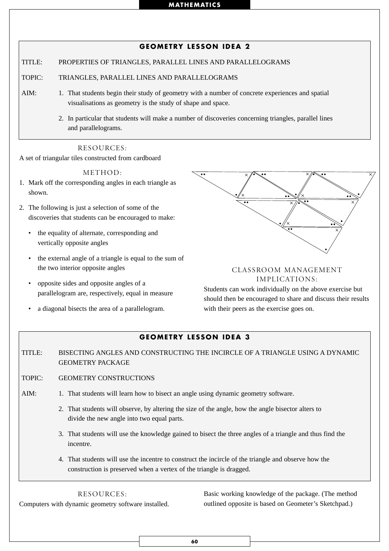# **GEOMETRY LESSON IDEA 2**

TITLE: PROPERTIES OF TRIANGLES, PARALLEL LINES AND PARALLELOGRAMS

TOPIC: TRIANGLES, PARALLEL LINES AND PARALLELOGRAMS

- AIM: 1. That students begin their study of geometry with a number of concrete experiences and spatial visualisations as geometry is the study of shape and space.
	- 2. In particular that students will make a number of discoveries concerning triangles, parallel lines and parallelograms.

# RESOURCES:

A set of triangular tiles constructed from cardboard

#### METHOD:

- 1. Mark off the corresponding angles in each triangle as shown.
- 2. The following is just a selection of some of the discoveries that students can be encouraged to make:
	- the equality of alternate, corresponding and vertically opposite angles
	- the external angle of a triangle is equal to the sum of the two interior opposite angles
	- opposite sides and opposite angles of a parallelogram are, respectively, equal in measure
	- a diagonal bisects the area of a parallelogram.



# CLASSROOM MANAGEMENT IMPLICATIONS:

Students can work individually on the above exercise but should then be encouraged to share and discuss their results with their peers as the exercise goes on.

# **GEOMETRY LESSON IDEA 3**

TITLE: BISECTING ANGLES AND CONSTRUCTING THE INCIRCLE OF A TRIANGLE USING A DYNAMIC GEOMETRY PACKAGE

- TOPIC: GEOMETRY CONSTRUCTIONS
- AIM: 1. That students will learn how to bisect an angle using dynamic geometry software.
	- 2. That students will observe, by altering the size of the angle, how the angle bisector alters to divide the new angle into two equal parts.
	- 3. That students will use the knowledge gained to bisect the three angles of a triangle and thus find the incentre.
	- 4. That students will use the incentre to construct the incircle of the triangle and observe how the construction is preserved when a vertex of the triangle is dragged.

RESOURCES:

Computers with dynamic geometry software installed.

Basic working knowledge of the package. (The method outlined opposite is based on Geometer's Sketchpad.)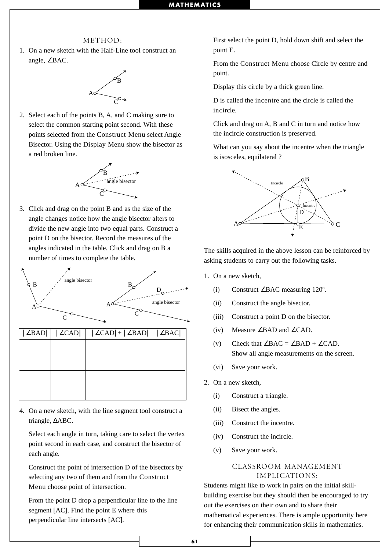#### METHOD:

1. On a new sketch with the Half-Line tool construct an angle, ∠BAC.



2. Select each of the points B, A, and C making sure to select the common starting point second. With these points selected from the Construct Menu select Angle Bisector. Using the Display Menu show the bisector as a red broken line.



3. Click and drag on the point B and as the size of the angle changes notice how the angle bisector alters to divide the new angle into two equal parts. Construct a point D on the bisector. Record the measures of the angles indicated in the table. Click and drag on B a number of times to complete the table.



4. On a new sketch, with the line segment tool construct a triangle, ∆ABC.

Select each angle in turn, taking care to select the vertex point second in each case, and construct the bisector of each angle.

Construct the point of intersection D of the bisectors by selecting any two of them and from the Construct Menu choose point of intersection.

From the point D drop a perpendicular line to the line segment [AC]. Find the point E where this perpendicular line intersects [AC].

First select the point D, hold down shift and select the point E.

From the Construct Menu choose Circle by centre and point.

Display this circle by a thick green line.

D is called the incentre and the circle is called the incircle.

Click and drag on A, B and C in turn and notice how the incircle construction is preserved.

What can you say about the incentre when the triangle is isosceles, equilateral ?



The skills acquired in the above lesson can be reinforced by asking students to carry out the following tasks.

- 1. On a new sketch,
	- (i) Construct ∠BAC measuring 120º.
	- (ii) Construct the angle bisector.
	- (iii) Construct a point D on the bisector.
	- (iv) Measure ∠BAD and ∠CAD.
	- (v) Check that  $\angle BAC = \angle BAD + \angle CAD$ . Show all angle measurements on the screen.
	- (vi) Save your work.
- 2. On a new sketch,
	- (i) Construct a triangle.
	- (ii) Bisect the angles.
	- (iii) Construct the incentre.
	- (iv) Construct the incircle.
	- (v) Save your work.

#### CLASSROOM MANAGEMENT IMPLICATIONS:

Students might like to work in pairs on the initial skillbuilding exercise but they should then be encouraged to try out the exercises on their own and to share their mathematical experiences. There is ample opportunity here for enhancing their communication skills in mathematics.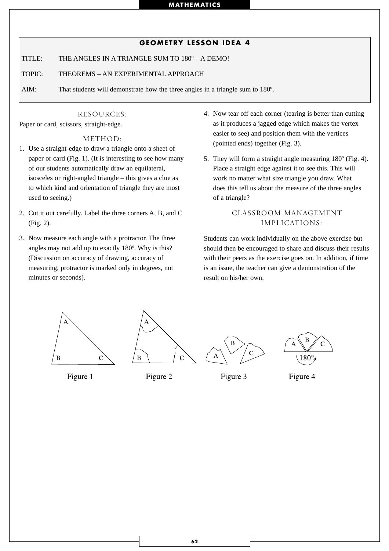## **GEOMETRY LESSON IDEA 4**

TITLE: THE ANGLES IN A TRIANGLE SUM TO 180º – A DEMO!

TOPIC: THEOREMS – AN EXPERIMENTAL APPROACH

AIM: That students will demonstrate how the three angles in a triangle sum to 180º.

## RESOURCES:

Paper or card, scissors, straight-edge.

### METHOD:

- 1. Use a straight-edge to draw a triangle onto a sheet of paper or card (Fig. 1). (It is interesting to see how many of our students automatically draw an equilateral, isosceles or right-angled triangle – this gives a clue as to which kind and orientation of triangle they are most used to seeing.)
- 2. Cut it out carefully. Label the three corners A, B, and C (Fig. 2).
- 3. Now measure each angle with a protractor. The three angles may not add up to exactly 180º. Why is this? (Discussion on accuracy of drawing, accuracy of measuring, protractor is marked only in degrees, not minutes or seconds).
- 4. Now tear off each corner (tearing is better than cutting as it produces a jagged edge which makes the vertex easier to see) and position them with the vertices (pointed ends) together (Fig. 3).
- 5. They will form a straight angle measuring 180º (Fig. 4). Place a straight edge against it to see this. This will work no matter what size triangle you draw. What does this tell us about the measure of the three angles of a triangle?

# CLASSROOM MANAGEMENT IMPLICATIONS:

Students can work individually on the above exercise but should then be encouraged to share and discuss their results with their peers as the exercise goes on. In addition, if time is an issue, the teacher can give a demonstration of the result on his/her own.







Figure 2

Figure 3



Figure 4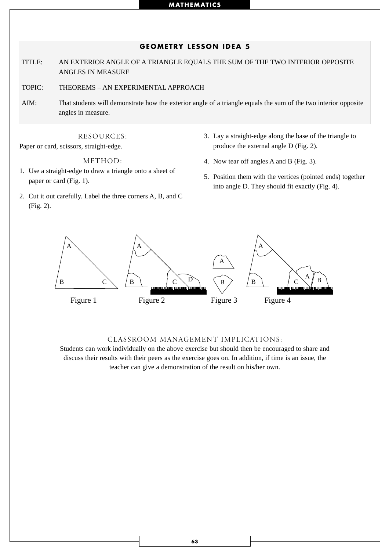# **GEOMETRY LESSON IDEA 5**

TITLE: AN EXTERIOR ANGLE OF A TRIANGLE EQUALS THE SUM OF THE TWO INTERIOR OPPOSITE ANGLES IN MEASURE

TOPIC: THEOREMS – AN EXPERIMENTAL APPROACH

AIM: That students will demonstrate how the exterior angle of a triangle equals the sum of the two interior opposite angles in measure.

RESOURCES:

Paper or card, scissors, straight-edge.

METHOD:

- 1. Use a straight-edge to draw a triangle onto a sheet of paper or card (Fig. 1).
- 2. Cut it out carefully. Label the three corners A, B, and C (Fig. 2).
- 3. Lay a straight-edge along the base of the triangle to produce the external angle D (Fig. 2).
- 4. Now tear off angles A and B (Fig. 3).
- 5. Position them with the vertices (pointed ends) together into angle D. They should fit exactly (Fig. 4).



#### CLASSROOM MANAGEMENT IMPLICATIONS:

Students can work individually on the above exercise but should then be encouraged to share and discuss their results with their peers as the exercise goes on. In addition, if time is an issue, the teacher can give a demonstration of the result on his/her own.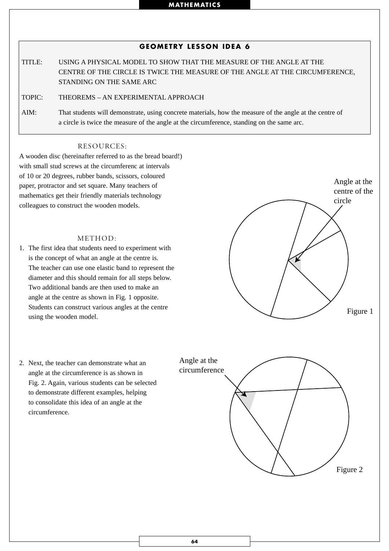# **GEOMETRY LESSON IDEA 6**

TITLE: USING A PHYSICAL MODEL TO SHOW THAT THE MEASURE OF THE ANGLE AT THE CENTRE OF THE CIRCLE IS TWICE THE MEASURE OF THE ANGLE AT THE CIRCUMFERENCE, STANDING ON THE SAME ARC

TOPIC: THEOREMS – AN EXPERIMENTAL APPROACH

AIM: That students will demonstrate, using concrete materials, how the measure of the angle at the centre of a circle is twice the measure of the angle at the circumference, standing on the same arc.

#### RESOURCES:

A wooden disc (hereinafter referred to as the bread board!) with small stud screws at the circumferenc at intervals of 10 or 20 degrees, rubber bands, scissors, coloured paper, protractor and set square. Many teachers of mathematics get their friendly materials technology colleagues to construct the wooden models.

#### METHOD:

- 1. The first idea that students need to experiment with is the concept of what an angle at the centre is. The teacher can use one elastic band to represent the diameter and this should remain for all steps below. Two additional bands are then used to make an angle at the centre as shown in Fig. 1 opposite. Students can construct various angles at the centre using the wooden model.
- 2. Next, the teacher can demonstrate what an angle at the circumference is as shown in Fig. 2. Again, various students can be selected to demonstrate different examples, helping to consolidate this idea of an angle at the circumference.

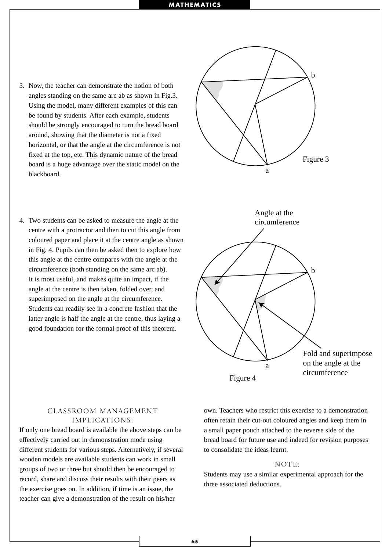- 3. Now, the teacher can demonstrate the notion of both angles standing on the same arc ab as shown in Fig.3. Using the model, many different examples of this can be found by students. After each example, students should be strongly encouraged to turn the bread board around, showing that the diameter is not a fixed horizontal, or that the angle at the circumference is not fixed at the top, etc. This dynamic nature of the bread board is a huge advantage over the static model on the blackboard.
- 4. Two students can be asked to measure the angle at the centre with a protractor and then to cut this angle from coloured paper and place it at the centre angle as shown in Fig. 4. Pupils can then be asked then to explore how this angle at the centre compares with the angle at the circumference (both standing on the same arc ab). It is most useful, and makes quite an impact, if the angle at the centre is then taken, folded over, and superimposed on the angle at the circumference. Students can readily see in a concrete fashion that the latter angle is half the angle at the centre, thus laying a good foundation for the formal proof of this theorem.



## CLASSROOM MANAGEMENT IMPLICATIONS:

If only one bread board is available the above steps can be effectively carried out in demonstration mode using different students for various steps. Alternatively, if several wooden models are available students can work in small groups of two or three but should then be encouraged to record, share and discuss their results with their peers as the exercise goes on. In addition, if time is an issue, the teacher can give a demonstration of the result on his/her

own. Teachers who restrict this exercise to a demonstration often retain their cut-out coloured angles and keep them in a small paper pouch attached to the reverse side of the bread board for future use and indeed for revision purposes to consolidate the ideas learnt.

## $NOTF$

Students may use a similar experimental approach for the three associated deductions.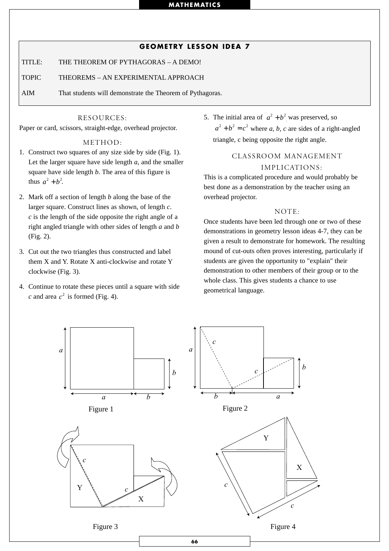## **GEOMETRY LESSON IDEA 7**

TITLE: THE THEOREM OF PYTHAGORAS – A DEMO!

TOPIC THEOREMS – AN EXPERIMENTAL APPROACH

AIM That students will demonstrate the Theorem of Pythagoras.

## RESOURCES:

Paper or card, scissors, straight-edge, overhead projector.

## METHOD:

- 1. Construct two squares of any size side by side (Fig. 1). Let the larger square have side length *a*, and the smaller square have side length *b*. The area of this figure is thus  $a^2 + b^2$ .
- 2. Mark off a section of length *b* along the base of the larger square. Construct lines as shown, of length *c*. *c* is the length of the side opposite the right angle of a right angled triangle with other sides of length *a* and *b* (Fig. 2).
- 3. Cut out the two triangles thus constructed and label them X and Y. Rotate X anti-clockwise and rotate Y clockwise (Fig. 3).
- 4. Continue to rotate these pieces until a square with side *c* and area  $c^2$  is formed (Fig. 4).

5. The initial area of  $a^2 + b^2$  was preserved, so  $a^2 + b^2 = c^2$  where *a*, *b*, *c* are sides of a right-angled triangle, c being opposite the right angle.

# CLASSROOM MANAGEMENT IMPLICATIONS:

This is a complicated procedure and would probably be best done as a demonstration by the teacher using an overhead projector.

#### NOTE:

Once students have been led through one or two of these demonstrations in geometry lesson ideas 4-7, they can be given a result to demonstrate for homework. The resulting mound of cut-outs often proves interesting, particularly if students are given the opportunity to "explain" their demonstration to other members of their group or to the whole class. This gives students a chance to use geometrical language.

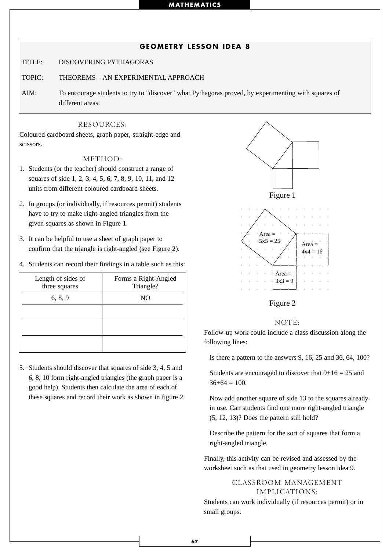# **GEOMETRY LESSON IDEA 8**

TITLE: DISCOVERING PYTHAGORAS

TOPIC: THEOREMS – AN EXPERIMENTAL APPROACH

AIM: To encourage students to try to "discover" what Pythagoras proved, by experimenting with squares of different areas.

### RESOURCES:

Coloured cardboard sheets, graph paper, straight-edge and scissors.

#### METHOD:

- 1. Students (or the teacher) should construct a range of squares of side 1, 2, 3, 4, 5, 6, 7, 8, 9, 10, 11, and 12 units from different coloured cardboard sheets.
- 2. In groups (or individually, if resources permit) students have to try to make right-angled triangles from the given squares as shown in Figure 1.
- 3. It can be helpful to use a sheet of graph paper to confirm that the triangle is right-angled (see Figure 2).
- 4. Students can record their findings in a table such as this:

| Length of sides of<br>three squares | Forms a Right-Angled<br>Triangle? | $Area =$<br>$3x3=9$<br>$\mathbf{a}^{\dagger} = \mathbf{a}^{\dagger} = \mathbf{a}^{\dagger} = \mathbf{a}^{\dagger}$ |
|-------------------------------------|-----------------------------------|--------------------------------------------------------------------------------------------------------------------|
| 6, 8, 9                             | NO.                               | Figure 2                                                                                                           |
|                                     |                                   | <b>NOTE</b><br>Follow-up work could include a<br>following lines:                                                  |

5. Students should discover that squares of side 3, 4, 5 and 6, 8, 10 form right-angled triangles (the graph paper is a good help). Students then calculate the area of each of these squares and record their work as shown in figure 2.





#### NOTE:

Follow-up work could include a class discussion along the following lines:

Is there a pattern to the answers 9, 16, 25 and 36, 64, 100?

Students are encouraged to discover that  $9+16 = 25$  and  $36+64 = 100$ .

Now add another square of side 13 to the squares already in use. Can students find one more right-angled triangle (5, 12, 13)? Does the pattern still hold?

Describe the pattern for the sort of squares that form a right-angled triangle.

Finally, this activity can be revised and assessed by the worksheet such as that used in geometry lesson idea 9.

# CLASSROOM MANAGEMENT IMPLICATIONS:

Students can work individually (if resources permit) or in small groups.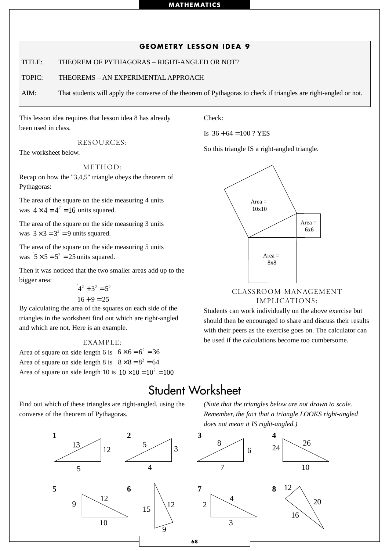# **GEOMETRY LESSON IDEA 9**

TITLE: THEOREM OF PYTHAGORAS – RIGHT-ANGLED OR NOT?

TOPIC: THEOREMS – AN EXPERIMENTAL APPROACH

AIM: That students will apply the converse of the theorem of Pythagoras to check if triangles are right-angled or not.

This lesson idea requires that lesson idea 8 has already been used in class.

RESOURCES:

The worksheet below.

METHOD:

Recap on how the "3,4,5" triangle obeys the theorem of Pythagoras:

The area of the square on the side measuring 4 units was  $4 \times 4 = 4^2 = 16$  units squared.

The area of the square on the side measuring 3 units was  $3 \times 3 = 3^2 = 9$  units squared.

The area of the square on the side measuring 5 units was  $5 \times 5 = 5^2 = 25$  units squared.

Then it was noticed that the two smaller areas add up to the bigger area:

> $4^2 + 3^2 = 5^2$  $16 + 9 = 25$

By calculating the area of the squares on each side of the triangles in the worksheet find out which are right-angled and which are not. Here is an example.

#### EXAMPLE:

Area of square on side length 6 is  $6 \times 6 = 6^2 = 36$ Area of square on side length 8 is  $8 \times 8 = 8^2 = 64$ Area of square on side length 10 is  $10 \times 10 = 10^2 = 100$ 

Find out which of these triangles are right-angled, using the converse of the theorem of Pythagoras.

Check:

Is  $36 + 64 = 100$  ? YES

So this triangle IS a right-angled triangle.



## CLASSROOM MANAGEMENT IMPLICATIONS:

Students can work individually on the above exercise but should then be encouraged to share and discuss their results with their peers as the exercise goes on. The calculator can be used if the calculations become too cumbersome.

# Student Worksheet

*(Note that the triangles below are not drawn to scale. Remember, the fact that a triangle LOOKS right-angled does not mean it IS right-angled.)*

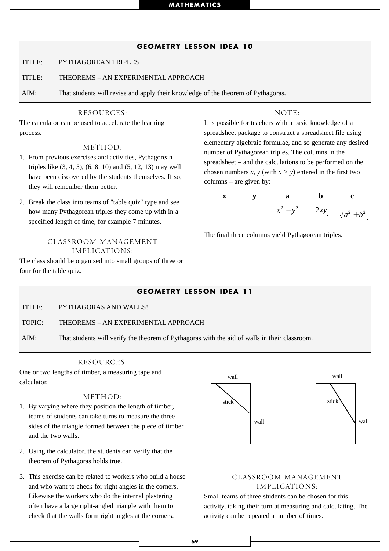# **GEOMETRY LESSON IDEA 10**

TITLE: PYTHAGOREAN TRIPLES

TITLE: THEOREMS – AN EXPERIMENTAL APPROACH

AIM: That students will revise and apply their knowledge of the theorem of Pythagoras.

#### RESOURCES:

The calculator can be used to accelerate the learning process.

## METHOD:

- 1. From previous exercises and activities, Pythagorean triples like (3, 4, 5), (6, 8, 10) and (5, 12, 13) may well have been discovered by the students themselves. If so, they will remember them better.
- 2. Break the class into teams of "table quiz" type and see how many Pythagorean triples they come up with in a specified length of time, for example 7 minutes.

## CLASSROOM MANAGEMENT IMPLICATIONS:

The class should be organised into small groups of three or four for the table quiz.

#### $NOTE$

It is possible for teachers with a basic knowledge of a spreadsheet package to construct a spreadsheet file using elementary algebraic formulae, and so generate any desired number of Pythagorean triples. The columns in the spreadsheet – and the calculations to be performed on the chosen numbers *x*, *y* (with  $x > y$ ) entered in the first two columns – are given by:



The final three columns yield Pythagorean triples.

# **GEOMETRY LESSON IDEA 11**

TITLE: PYTHAGORAS AND WALLS!

TOPIC: THEOREMS – AN EXPERIMENTAL APPROACH

AIM: That students will verify the theorem of Pythagoras with the aid of walls in their classroom.

#### RESOURCES:

One or two lengths of timber, a measuring tape and calculator.

#### METHOD:

- 1. By varying where they position the length of timber, teams of students can take turns to measure the three sides of the triangle formed between the piece of timber and the two walls.
- 2. Using the calculator, the students can verify that the theorem of Pythagoras holds true.
- 3. This exercise can be related to workers who build a house and who want to check for right angles in the corners. Likewise the workers who do the internal plastering often have a large right-angled triangle with them to check that the walls form right angles at the corners.



### CLASSROOM MANAGEMENT IMPLICATIONS:

Small teams of three students can be chosen for this activity, taking their turn at measuring and calculating. The activity can be repeated a number of times.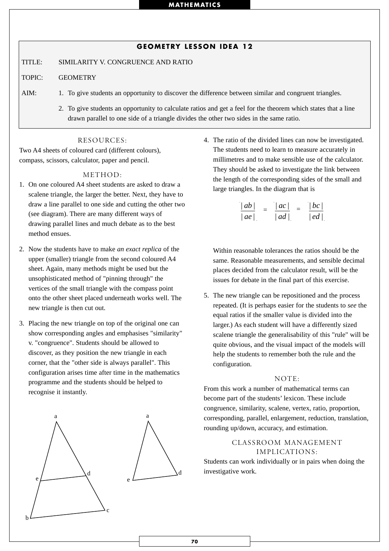#### **GEOMETRY LESSON IDEA 12**

TITLE: SIMILARITY V. CONGRUENCE AND RATIO

TOPIC: GEOMETRY

AIM: 1. To give students an opportunity to discover the difference between similar and congruent triangles.

2. To give students an opportunity to calculate ratios and get a feel for the theorem which states that a line drawn parallel to one side of a triangle divides the other two sides in the same ratio.

#### RESOURCES:

Two A4 sheets of coloured card (different colours), compass, scissors, calculator, paper and pencil.

#### METHOD:

- 1. On one coloured A4 sheet students are asked to draw a scalene triangle, the larger the better. Next, they have to draw a line parallel to one side and cutting the other two (see diagram). There are many different ways of drawing parallel lines and much debate as to the best method ensues.
- 2. Now the students have to make *an exact replica* of the upper (smaller) triangle from the second coloured A4 sheet. Again, many methods might be used but the unsophisticated method of "pinning through" the vertices of the small triangle with the compass point onto the other sheet placed underneath works well. The new triangle is then cut out.
- 3. Placing the new triangle on top of the original one can show corresponding angles and emphasises "similarity" v. "congruence". Students should be allowed to discover, as they position the new triangle in each corner, that the "other side is always parallel". This configuration arises time after time in the mathematics programme and the students should be helped to recognise it instantly.



4. The ratio of the divided lines can now be investigated. The students need to learn to measure accurately in millimetres and to make sensible use of the calculator. They should be asked to investigate the link between the length of the corresponding sides of the small and large triangles. In the diagram that is

$$
\frac{|ab|}{|ae|} = \frac{|ac|}{|ad|} = \frac{|bc|}{|ed|}
$$

Within reasonable tolerances the ratios should be the same. Reasonable measurements, and sensible decimal places decided from the calculator result, will be the issues for debate in the final part of this exercise.

5. The new triangle can be repositioned and the process repeated. (It is perhaps easier for the students to *see* the equal ratios if the smaller value is divided into the larger.) As each student will have a differently sized scalene triangle the generalisability of this "rule" will be quite obvious, and the visual impact of the models will help the students to remember both the rule and the configuration.

#### NOTE:

From this work a number of mathematical terms can become part of the students' lexicon. These include congruence, similarity, scalene, vertex, ratio, proportion, corresponding, parallel, enlargement, reduction, translation, rounding up/down, accuracy, and estimation.

#### CLASSROOM MANAGEMENT IMPLICATIONS:

Students can work individually or in pairs when doing the investigative work.

**70**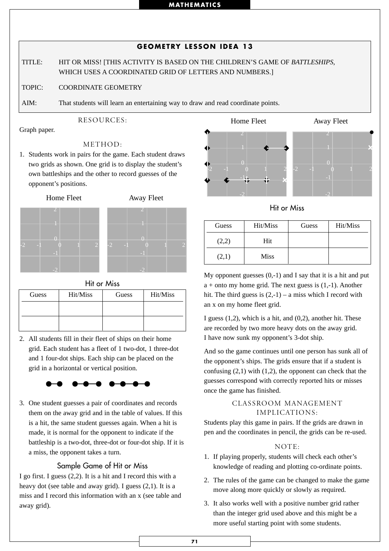## **71**

## **GEOMETRY LESSON IDEA 13**

TITLE: HIT OR MISS! [THIS ACTIVITY IS BASED ON THE CHILDREN'S GAME OF *BATTLESHIPS*, WHICH USES A COORDINATED GRID OF LETTERS AND NUMBERS.]

TOPIC: COORDINATE GEOMETRY

AIM: That students will learn an entertaining way to draw and read coordinate points.

## RESOURCES:

Graph paper.

## METHOD:

1. Students work in pairs for the game. Each student draws two grids as shown. One grid is to display the student's own battleships and the other to record guesses of the opponent's positions.

Home Fleet Away Fleet







Hit or Miss

| Guess | Hit/Miss | Guess | Hit/Miss |
|-------|----------|-------|----------|
|       |          |       |          |
|       |          |       |          |
|       |          |       |          |

2. All students fill in their fleet of ships on their home grid. Each student has a fleet of 1 two-dot, 1 three-dot and 1 four-dot ships. Each ship can be placed on the grid in a horizontal or vertical position.

## $\bullet\hspace{0.1cm}\bullet\hspace{0.1cm}\bullet$

3. One student guesses a pair of coordinates and records them on the away grid and in the table of values. If this is a hit, the same student guesses again. When a hit is made, it is normal for the opponent to indicate if the battleship is a two-dot, three-dot or four-dot ship. If it is a miss, the opponent takes a turn.

## Sample Game of Hit or Miss

I go first. I guess (2,2). It is a hit and I record this with a heavy dot (see table and away grid). I guess (2,1). It is a miss and I record this information with an x (see table and away grid).



Hit or Miss

| Guess | Hit/Miss    | Guess | Hit/Miss |
|-------|-------------|-------|----------|
| (2,2) | Hit         |       |          |
| (2,1) | <b>Miss</b> |       |          |

My opponent guesses  $(0,-1)$  and I say that it is a hit and put  $a +$  onto my home grid. The next guess is  $(1,-1)$ . Another hit. The third guess is  $(2,-1)$  – a miss which I record with an x on my home fleet grid.

I guess  $(1,2)$ , which is a hit, and  $(0,2)$ , another hit. These are recorded by two more heavy dots on the away grid. I have now sunk my opponent's 3-dot ship.

And so the game continues until one person has sunk all of the opponent's ships. The grids ensure that if a student is confusing  $(2,1)$  with  $(1,2)$ , the opponent can check that the guesses correspond with correctly reported hits or misses once the game has finished.

## CLASSROOM MANAGEMENT IMPLICATIONS:

Students play this game in pairs. If the grids are drawn in pen and the coordinates in pencil, the grids can be re-used.

## NOTE:

- 1. If playing properly, students will check each other's knowledge of reading and plotting co-ordinate points.
- 2. The rules of the game can be changed to make the game move along more quickly or slowly as required.
- 3. It also works well with a positive number grid rather than the integer grid used above and this might be a more useful starting point with some students.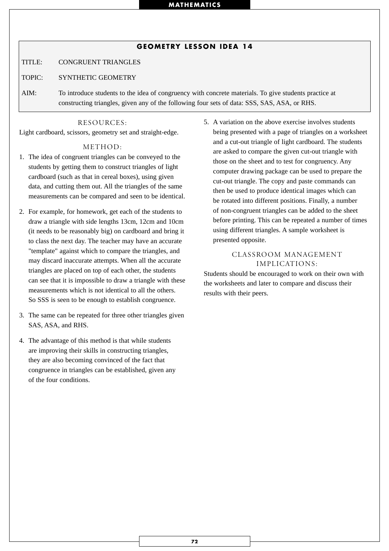#### **GEOMETRY LESSON IDEA 14**

TITLE: CONGRUENT TRIANGLES

#### TOPIC: SYNTHETIC GEOMETRY

AIM: To introduce students to the idea of congruency with concrete materials. To give students practice at constructing triangles, given any of the following four sets of data: SSS, SAS, ASA, or RHS.

#### RESOURCES:

Light cardboard, scissors, geometry set and straight-edge.

#### METHOD:

- 1. The idea of congruent triangles can be conveyed to the students by getting them to construct triangles of light cardboard (such as that in cereal boxes), using given data, and cutting them out. All the triangles of the same measurements can be compared and seen to be identical.
- 2. For example, for homework, get each of the students to draw a triangle with side lengths 13cm, 12cm and 10cm (it needs to be reasonably big) on cardboard and bring it to class the next day. The teacher may have an accurate "template" against which to compare the triangles, and may discard inaccurate attempts. When all the accurate triangles are placed on top of each other, the students can see that it is impossible to draw a triangle with these measurements which is not identical to all the others. So SSS is seen to be enough to establish congruence.
- 3. The same can be repeated for three other triangles given SAS, ASA, and RHS.
- 4. The advantage of this method is that while students are improving their skills in constructing triangles, they are also becoming convinced of the fact that congruence in triangles can be established, given any of the four conditions.

5. A variation on the above exercise involves students being presented with a page of triangles on a worksheet and a cut-out triangle of light cardboard. The students are asked to compare the given cut-out triangle with those on the sheet and to test for congruency. Any computer drawing package can be used to prepare the cut-out triangle. The copy and paste commands can then be used to produce identical images which can be rotated into different positions. Finally, a number of non-congruent triangles can be added to the sheet before printing. This can be repeated a number of times using different triangles. A sample worksheet is presented opposite.

#### CLASSROOM MANAGEMENT IMPLICATIONS:

Students should be encouraged to work on their own with the worksheets and later to compare and discuss their results with their peers.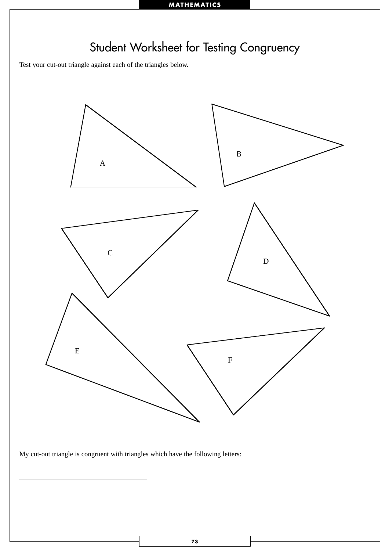

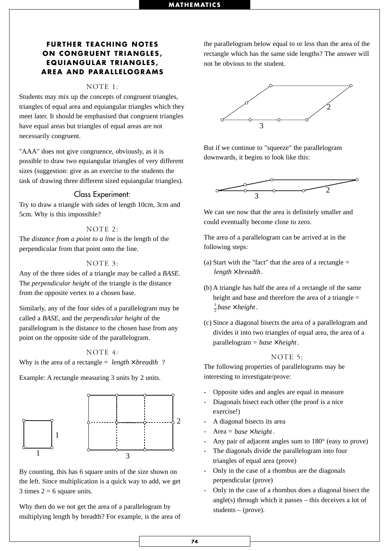#### **FURTHER TEACHING NOTES ON CONGRUENT TRIANGLES, EQUIANGULAR TRIANGLES, AREA AND PARALLELOGRAMS**

#### NOTE 1:

Students may mix up the concepts of congruent triangles, triangles of equal area and equiangular triangles which they meet later. It should be emphasised that congruent triangles have equal areas but triangles of equal areas are not necessarily congruent.

"AAA" does not give congruence, obviously, as it is possible to draw two equiangular triangles of very different sizes (suggestion: give as an exercise to the students the task of drawing three different sized equiangular triangles).

#### Class Experiment:

Try to draw a triangle with sides of length 10cm, 3cm and 5cm. Why is this impossible?

#### NOTE 2:

The *distance from a point to a line* is the length of the perpendicular from that point onto the line.

#### NOTE 3:

Any of the three sides of a triangle may be called a *BASE*. The *perpendicular height* of the triangle is the distance from the opposite vertex to a chosen base.

Similarly, any of the four sides of a parallelogram may be called a *BASE*, and the *perpendicular height* of the parallelogram is the distance to the chosen base from any point on the opposite side of the parallelogram.

NOTE 4:

Why is the area of a rectangle =  $length \times breadth$  ?

Example: A rectangle measuring 3 units by 2 units.



By counting, this has 6 square units of the size shown on the left. Since multiplication is a quick way to add, we get 3 times  $2 = 6$  square units.

Why then do we not get the area of a parallelogram by multiplying length by breadth? For example, is the area of the parallelogram below equal to or less than the area of the rectangle which has the same side lengths? The answer will not be obvious to the student.



But if we continue to "squeeze" the parallelogram downwards, it begins to look like this:



We can see now that the area is definitely smaller and could eventually become close to zero.

The area of a parallelogram can be arrived at in the following steps:

- (a) Start with the "fact" that the area of a rectangle  $=$  $length \times breadth$ .
- (b) A triangle has half the area of a rectangle of the same height and base and therefore the area of a triangle  $=$  $\frac{1}{2}$ *base* × *height*.
- (c) Since a diagonal bisects the area of a parallelogram and divides it into two triangles of equal area, the area of a parallelogram = base × height.

#### NOTE 5:

The following properties of parallelograms may be interesting to investigate/prove:

- Opposite sides and angles are equal in measure
- Diagonals bisect each other (the proof is a nice exercise!)
- A diagonal bisects its area
- Area =  $base \times height$ .
- Any pair of adjacent angles sum to 180 $^{\circ}$  (easy to prove)
- The diagonals divide the parallelogram into four triangles of equal area (prove)
- Only in the case of a rhombus are the diagonals perpendicular (prove)
- Only in the case of a rhombus does a diagonal bisect the angle(s) through which it passes  $-$  this deceives a lot of students – (prove).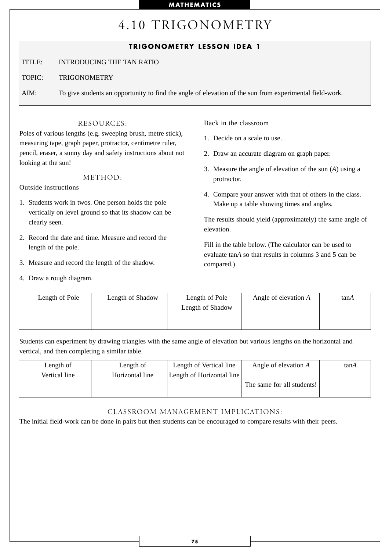## 4.10 TRIGONOMETRY

### **TRIGONOMETRY LESSON IDEA 1**

TITLE: INTRODUCING THE TAN RATIO

TOPIC: TRIGONOMETRY

AIM: To give students an opportunity to find the angle of elevation of the sun from experimental field-work.

#### RESOURCES:

Poles of various lengths (e.g. sweeping brush, metre stick), measuring tape, graph paper, protractor, centimetre ruler, pencil, eraser, a sunny day and safety instructions about not looking at the sun!

#### METHOD:

Outside instructions

- 1. Students work in twos. One person holds the pole vertically on level ground so that its shadow can be clearly seen.
- 2. Record the date and time. Measure and record the length of the pole.
- 3. Measure and record the length of the shadow.
- 4. Draw a rough diagram.

Back in the classroom

- 1. Decide on a scale to use.
- 2. Draw an accurate diagram on graph paper.
- 3. Measure the angle of elevation of the sun (*A*) using a protractor.
- 4. Compare your answer with that of others in the class. Make up a table showing times and angles.

The results should yield (approximately) the same angle of elevation.

Fill in the table below. (The calculator can be used to evaluate tan*A* so that results in columns 3 and 5 can be compared.)

| Length of Pole | Length of Shadow | Length of Pole<br>Length of Shadow | Angle of elevation $A$ | tanA |
|----------------|------------------|------------------------------------|------------------------|------|
|----------------|------------------|------------------------------------|------------------------|------|

Students can experiment by drawing triangles with the same angle of elevation but various lengths on the horizontal and vertical, and then completing a similar table.

| Length of     | Length of       | Length of Vertical line   | Angle of elevation $A$     | tanA |
|---------------|-----------------|---------------------------|----------------------------|------|
| Vertical line | Horizontal line | Length of Horizontal line |                            |      |
|               |                 |                           | The same for all students! |      |
|               |                 |                           |                            |      |

#### CLASSROOM MANAGEMENT IMPLICATIONS:

The initial field-work can be done in pairs but then students can be encouraged to compare results with their peers.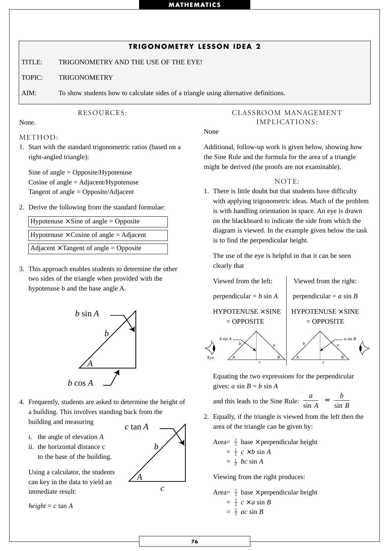### **TRIGONOMETRY LESSON IDEA 2**

TITLE: TRIGONOMETRY AND THE USE OF THE EYE!

TOPIC: TRIGONOMETRY

AIM: To show students how to calculate sides of a triangle using alternative definitions.

#### RESOURCES:

#### None.

#### METHOD:

1. Start with the standard trigonometric ratios (based on a right-angled triangle):

Sine of angle = Opposite/Hypotenuse Cosine of angle = Adjacent/Hypotenuse Tangent of angle = Opposite/Adjacent

2. Derive the following from the standard formulae:

Hypotenuse  $\times$  Sine of angle = Opposite Hypotenuse  $\times$  Cosine of angle = Adjacent

Adjacent  $\times$  Tangent of angle = Opposite

3. This approach enables students to determine the other two sides of the triangle when provided with the hypotenuse b and the base angle A.



- 4. Frequently, students are asked to determine the height of a building. This involves standing back from the building and measuring
	-
	- i. the angle of elevation *A*
	- ii. the horizontal distance c to the base of the building.

Using a calculator, the students can key in the data to yield an immediate result:

 $height = c \tan A$ 



### CLASSROOM MANAGEMENT IMPLICATIONS:

#### None

Additional, follow-up work is given below, showing how the Sine Rule and the formula for the area of a triangle might be derived (the proofs are not examinable).

#### NOTE:

1. There is little doubt but that students have difficulty with applying trigonometric ideas. Much of the problem is with handling orientation in space. An eye is drawn on the blackboard to indicate the side from which the diagram is viewed. In the example given below the task is to find the perpendicular height.

The use of the eye is helpful in that it can be seen clearly that





Equating the two expressions for the perpendicular gives:  $a \sin B = b \sin A$ 

and this leads to the Sine Rule:

- *a A*  $rac{a}{\sin A} = \frac{b}{\sin B}$
- 2. Equally, if the triangle is viewed from the left then the area of the triangle can be given by:

Area=  $\frac{1}{2}$  base  $\times$  perpendicular height

$$
= \frac{1}{2} c \times b \sin A
$$
  

$$
= \frac{1}{2} bc \sin A
$$

Viewing from the right produces:

Area=
$$
\frac{1}{2}
$$
 base × perpendicular height  
=  $\frac{1}{2}$   $c \times a \sin B$   
=  $\frac{1}{2}$   $ac \sin B$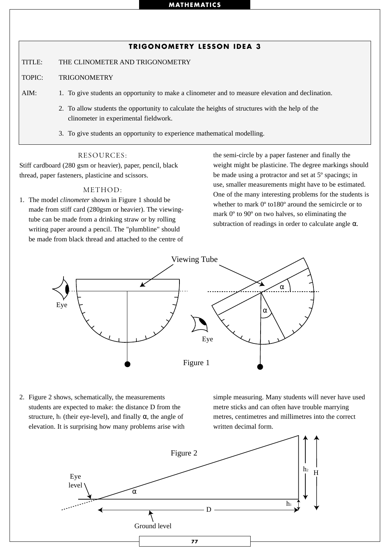#### **TRIGONOMETRY LESSON IDEA 3**

TITLE: THE CLINOMETER AND TRIGONOMETRY

- TOPIC: TRIGONOMETRY
- AIM: 1. To give students an opportunity to make a clinometer and to measure elevation and declination.
	- 2. To allow students the opportunity to calculate the heights of structures with the help of the clinometer in experimental fieldwork.
	- 3. To give students an opportunity to experience mathematical modelling.

#### RESOURCES:

Stiff cardboard (280 gsm or heavier), paper, pencil, black thread, paper fasteners, plasticine and scissors.

#### METHOD:

1. The model *clinometer* shown in Figure 1 should be made from stiff card (280gsm or heavier). The viewingtube can be made from a drinking straw or by rolling writing paper around a pencil. The "plumbline" should be made from black thread and attached to the centre of

the semi-circle by a paper fastener and finally the weight might be plasticine. The degree markings should be made using a protractor and set at 5º spacings; in use, smaller measurements might have to be estimated. One of the many interesting problems for the students is whether to mark 0º to180º around the semicircle or to mark 0º to 90º on two halves, so eliminating the subtraction of readings in order to calculate angle  $\alpha$ .



2. Figure 2 shows, schematically, the measurements students are expected to make: the distance D from the structure, h<sub>1</sub> (their eye-level), and finally  $\alpha$ , the angle of elevation. It is surprising how many problems arise with

simple measuring. Many students will never have used metre sticks and can often have trouble marrying metres, centimetres and millimetres into the correct written decimal form.

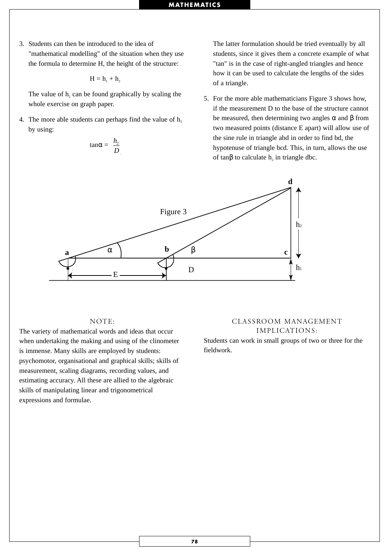3. Students can then be introduced to the idea of "mathematical modelling" of the situation when they use the formula to determine H, the height of the structure:

$$
H=h_{1}+h_{2}
$$

The value of  $h_2$  can be found graphically by scaling the whole exercise on graph paper.

4. The more able students can perhaps find the value of  $h_2$ by using:

$$
\tan\alpha = \frac{h_2}{D}
$$

The latter formulation should be tried eventually by all students, since it gives them a concrete example of what "tan" is in the case of right-angled triangles and hence how it can be used to calculate the lengths of the sides of a triangle.

5. For the more able mathematicians Figure 3 shows how, if the measurement D to the base of the structure cannot be measured, then determining two angles  $\alpha$  and  $\beta$  from two measured points (distance E apart) will allow use of the sine rule in triangle abd in order to find bd, the hypotenuse of triangle bcd. This, in turn, allows the use of tan $\beta$  to calculate h<sub>2</sub> in triangle dbc.



#### NOTE:

The variety of mathematical words and ideas that occur when undertaking the making and using of the clinometer is immense. Many skills are employed by students: psychomotor, organisational and graphical skills; skills of measurement, scaling diagrams, recording values, and estimating accuracy. All these are allied to the algebraic skills of manipulating linear and trigonometrical expressions and formulae.

#### CLASSROOM MANAGEMENT IMPLICATIONS:

Students can work in small groups of two or three for the fieldwork.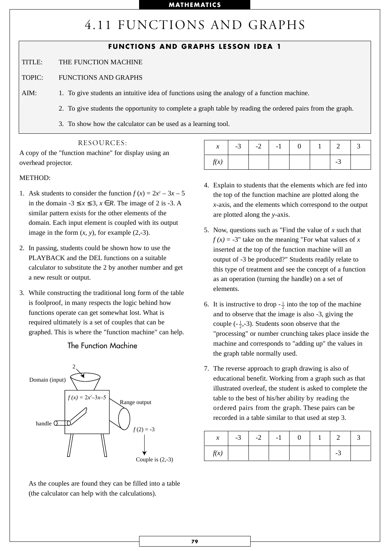# 4.11 FUNCTIONS AND GRAPHS

### **FUNCTIONS AND GRAPHS LESSON IDEA 1**

- TITLE: THE FUNCTION MACHINE
- TOPIC: FUNCTIONS AND GRAPHS
- AIM: 1. To give students an intuitive idea of functions using the analogy of a function machine.
	- 2. To give students the opportunity to complete a graph table by reading the ordered pairs from the graph.
	- 3. To show how the calculator can be used as a learning tool.

#### RESOURCES:

A copy of the "function machine" for display using an overhead projector.

#### METHOD:

- 1. Ask students to consider the function  $f(x) = 2x^2 3x 5$ in the domain  $-3 \le x \le 3$ ,  $x \in R$ . The image of 2 is  $-3$ . A similar pattern exists for the other elements of the domain. Each input element is coupled with its output image in the form  $(x, y)$ , for example  $(2,-3)$ .
- 2. In passing, students could be shown how to use the PLAYBACK and the DEL functions on a suitable calculator to substitute the 2 by another number and get a new result or output.
- 3. While constructing the traditional long form of the table is foolproof, in many respects the logic behind how functions operate can get somewhat lost. What is required ultimately is a set of couples that can be graphed. This is where the "function machine" can help.

#### The Function Machine



As the couples are found they can be filled into a table (the calculator can help with the calculations).

| $\boldsymbol{\chi}$ | $-3$ | $-2$ | $-1$ |  |    |  |
|---------------------|------|------|------|--|----|--|
| f(x)                |      |      |      |  | -3 |  |

- 4. Explain to students that the elements which are fed into the top of the function machine are plotted along the *x*-axis, and the elements which correspond to the output are plotted along the *y*-axis.
- 5. Now, questions such as "Find the value of *x* such that  $f(x) = -3$ " take on the meaning "For what values of *x* inserted at the top of the function machine will an output of -3 be produced?" Students readily relate to this type of treatment and see the concept of a function as an operation (turning the handle) on a set of elements.
- 6. It is instructive to drop  $-\frac{1}{2}$  into the top of the machine and to observe that the image is also -3, giving the couple  $\left(-\frac{1}{2}, -3\right)$ . Students soon observe that the "processing" or number crunching takes place inside the machine and corresponds to "adding up" the values in the graph table normally used.
- 7. The reverse approach to graph drawing is also of educational benefit. Working from a graph such as that illustrated overleaf, the student is asked to complete the table to the best of his/her ability by reading the ordered pairs from the graph. These pairs can be recorded in a table similar to that used at step 3.

| $\boldsymbol{x}$ | $-3$ $-3$ | $-2$ | $-1$ |  |     |  |
|------------------|-----------|------|------|--|-----|--|
| f(x)             |           |      |      |  | - 1 |  |

**79**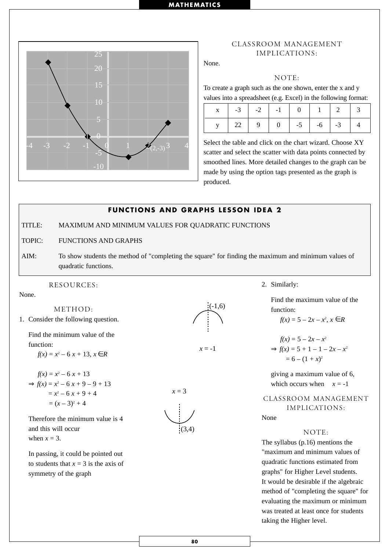

#### CLASSROOM MANAGEMENT IMPLICATIONS:

None.

#### NOTE:

To create a graph such as the one shown, enter the x and y values into a spreadsheet (e.g. Excel) in the following format:

Select the table and click on the chart wizard. Choose XY scatter and select the scatter with data points connected by smoothed lines. More detailed changes to the graph can be made by using the option tags presented as the graph is produced.

## **FUNCTIONS AND GRAPHS LESSON IDEA 2** TITLE: MAXIMUM AND MINIMUM VALUES FOR QUADRATIC FUNCTIONS

TOPIC: FUNCTIONS AND GRAPHS

AIM: To show students the method of "completing the square" for finding the maximum and minimum values of quadratic functions.

RESOURCES:

None.

METHOD: 1. Consider the following question.

Find the minimum value of the function:

 $f(x) = x^2 - 6x + 13, x \in R$ 

$$
f(x) = x2 - 6x + 13
$$
  
\n
$$
\Rightarrow f(x) = x2 - 6x + 9 - 9 + 13
$$
  
\n
$$
= x2 - 6x + 9 + 4
$$
  
\n
$$
= (x - 3)2 + 4
$$

Therefore the minimum value is 4 and this will occur

when  $x = 3$ .

In passing, it could be pointed out to students that  $x = 3$  is the axis of symmetry of the graph



 $x = -1$ 



2. Similarly:

Find the maximum value of the function:

$$
f(x) = 5 - 2x - x^2, x \in R
$$

$$
f(x) = 5 - 2x - x^{2}
$$
  
\n
$$
\Rightarrow f(x) = 5 + 1 - 1 - 2x - x^{2}
$$
  
\n
$$
= 6 - (1 + x)^{2}
$$

giving a maximum value of 6, which occurs when  $x = -1$ 

CLASSROOM MANAGEMENT IMPLICATIONS:

None

#### NOTE:

The syllabus (p.16) mentions the "maximum and minimum values of quadratic functions estimated from graphs" for Higher Level students. It would be desirable if the algebraic method of "completing the square" for evaluating the maximum or minimum was treated at least once for students taking the Higher level.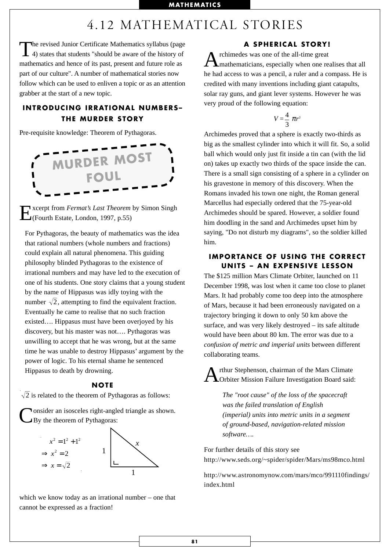## 4.12 MATHEMATICAL STORIES

The revised Junior Certificate Mathematics syllabus (page 4) states that students "should be aware of the history of mathematics and hence of its past, present and future role as part of our culture". A number of mathematical stories now follow which can be used to enliven a topic or as an attention grabber at the start of a new topic.

### **INTRODUCING IRRATIONAL NUMBERS– THE MURDER STORY**

Pre-requisite knowledge: Theorem of Pythagoras.



Excerpt from *Fermat's Last Theorem* by Simon Singh (Fourth Estate, London, 1997, p.55)

For Pythagoras, the beauty of mathematics was the idea that rational numbers (whole numbers and fractions) could explain all natural phenomena. This guiding philosophy blinded Pythagoras to the existence of irrational numbers and may have led to the execution of one of his students. One story claims that a young student by the name of Hippasus was idly toying with the number  $\sqrt{2}$ , attempting to find the equivalent fraction. Eventually he came to realise that no such fraction existed…. Hippasus must have been overjoyed by his discovery, but his master was not…. Pythagoras was unwilling to accept that he was wrong, but at the same time he was unable to destroy Hippasus' argument by the power of logic. To his eternal shame he sentenced Hippasus to death by drowning.

#### **NOTE**

2 is related to the theorem of Pythagoras as follows:

**Nonsider an isosceles right-angled triangle as shown.** By the theorem of Pythagoras:



which we know today as an irrational number – one that cannot be expressed as a fraction!

#### **A SPHERICAL STORY!**

A rchimedes was one of the all-time great<br> **A** mathematicians, especially when one realises that all he had access to was a pencil, a ruler and a compass. He is credited with many inventions including giant catapults, solar ray guns, and giant lever systems. However he was very proud of the following equation:

$$
V=\frac{4}{3} \pi r^3
$$

Archimedes proved that a sphere is exactly two-thirds as big as the smallest cylinder into which it will fit. So, a solid ball which would only just fit inside a tin can (with the lid on) takes up exactly two thirds of the space inside the can. There is a small sign consisting of a sphere in a cylinder on his gravestone in memory of this discovery. When the Romans invaded his town one night, the Roman general Marcellus had especially ordered that the 75-year-old Archimedes should be spared. However, a soldier found him doodling in the sand and Archimedes upset him by saying, "Do not disturb my diagrams", so the soldier killed him.

#### **IMPORTANCE OF USING THE CORRECT UNITS – AN EXPENSIVE LESSON**

The \$125 million Mars Climate Orbiter, launched on 11 December 1998, was lost when it came too close to planet Mars. It had probably come too deep into the atmosphere of Mars, because it had been erroneously navigated on a trajectory bringing it down to only 50 km above the surface, and was very likely destroyed – its safe altitude would have been about 80 km. The error was due to a *confusion of metric and imperial units* between different collaborating teams.

rthur Stephenson, chairman of the Mars Climate Orbiter Mission Failure Investigation Board said:

*The "root cause" of the loss of the spacecraft was the failed translation of English (imperial) units into metric units in a segment of ground-based, navigation-related mission software….*

For further details of this story see http://www.seds.org/~spider/spider/Mars/ms98mco.html

http://www.astronomynow.com/mars/mco/991110findings/ index.html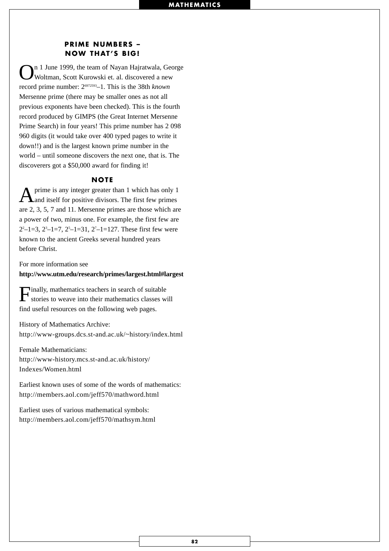#### **PRIME NUMBERS – NOW THAT'S BIG!**

On 1 June 1999, the team of Nayan Hajratwala, George Woltman, Scott Kurowski et. al. discovered a new record prime number: 26972593–1. This is the 38th *known* Mersenne prime (there may be smaller ones as not all previous exponents have been checked). This is the fourth record produced by GIMPS (the Great Internet Mersenne Prime Search) in four years! This prime number has 2 098 960 digits (it would take over 400 typed pages to write it down!!) and is the largest known prime number in the world – until someone discovers the next one, that is. The discoverers got a \$50,000 award for finding it!

#### **NOTE**

A prime is any integer greater than 1 which has only 1 and itself for positive divisors. The first few primes are 2, 3, 5, 7 and 11. Mersenne primes are those which are a power of two, minus one. For example, the first few are  $2^2-1=3$ ,  $2^3-1=7$ ,  $2^5-1=31$ ,  $2^7-1=127$ . These first few were known to the ancient Greeks several hundred years before Christ.

For more information see

**http://www.utm.edu/research/primes/largest.html#largest**

Finally, mathematics teachers in search of suitable stories to weave into their mathematics classes will find useful resources on the following web pages.

History of Mathematics Archive: http://www-groups.dcs.st-and.ac.uk/~history/index.html

Female Mathematicians: http://www-history.mcs.st-and.ac.uk/history/ Indexes/Women.html

Earliest known uses of some of the words of mathematics: http://members.aol.com/jeff570/mathword.html

Earliest uses of various mathematical symbols: http://members.aol.com/jeff570/mathsym.html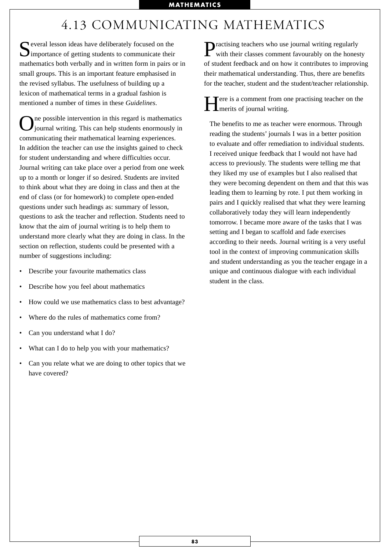## 4.13 COMMUNICATING MATHEMATICS

Several lesson ideas have deliberately focused on the importance of getting students to communicate their mathematics both verbally and in written form in pairs or in small groups. This is an important feature emphasised in the revised syllabus. The usefulness of building up a lexicon of mathematical terms in a gradual fashion is mentioned a number of times in these *Guidelines*.

ne possible intervention in this regard is mathematics journal writing. This can help students enormously in communicating their mathematical learning experiences. In addition the teacher can use the insights gained to check for student understanding and where difficulties occur. Journal writing can take place over a period from one week up to a month or longer if so desired. Students are invited to think about what they are doing in class and then at the end of class (or for homework) to complete open-ended questions under such headings as: summary of lesson, questions to ask the teacher and reflection. Students need to know that the aim of journal writing is to help them to understand more clearly what they are doing in class. In the section on reflection, students could be presented with a number of suggestions including:

- Describe your favourite mathematics class
- Describe how you feel about mathematics
- How could we use mathematics class to best advantage?
- Where do the rules of mathematics come from?
- Can you understand what I do?
- What can I do to help you with your mathematics?
- Can you relate what we are doing to other topics that we have covered?

Practising teachers who use journal writing regularly with their classes comment favourably on the honesty of student feedback and on how it contributes to improving their mathematical understanding. Thus, there are benefits for the teacher, student and the student/teacher relationship.

 $\blacksquare$  ere is a comment from one practising teacher on the **L**merits of journal writing.

The benefits to me as teacher were enormous. Through reading the students' journals I was in a better position to evaluate and offer remediation to individual students. I received unique feedback that I would not have had access to previously. The students were telling me that they liked my use of examples but I also realised that they were becoming dependent on them and that this was leading them to learning by rote. I put them working in pairs and I quickly realised that what they were learning collaboratively today they will learn independently tomorrow. I became more aware of the tasks that I was setting and I began to scaffold and fade exercises according to their needs. Journal writing is a very useful tool in the context of improving communication skills and student understanding as you the teacher engage in a unique and continuous dialogue with each individual student in the class.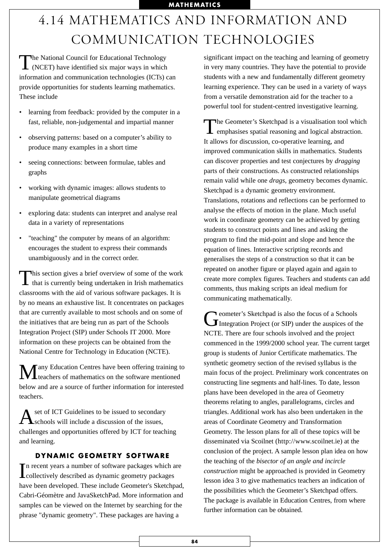# 4.14 MATHEMATICS AND INFORMATION AND COMMUNICATION TECHNOLOGIES

The National Council for Educational Technology<br>(NCET) have identified six major ways in which information and communication technologies (ICTs) can provide opportunities for students learning mathematics. These include

- learning from feedback: provided by the computer in a fast, reliable, non-judgemental and impartial manner
- observing patterns: based on a computer's ability to produce many examples in a short time
- seeing connections: between formulae, tables and graphs
- working with dynamic images: allows students to manipulate geometrical diagrams
- exploring data: students can interpret and analyse real data in a variety of representations
- "teaching" the computer by means of an algorithm: encourages the student to express their commands unambiguously and in the correct order.

This section gives a brief overview of some of the work that is currently being undertaken in Irish mathematics classrooms with the aid of various software packages. It is by no means an exhaustive list. It concentrates on packages that are currently available to most schools and on some of the initiatives that are being run as part of the Schools Integration Project (SIP) under Schools IT 2000. More information on these projects can be obtained from the National Centre for Technology in Education (NCTE).

 $\mathbf{M}$ any Education Centres have been offering training to teachers of mathematics on the software mentioned below and are a source of further information for interested teachers.

Aset of ICT Guidelines to be issued to secondary<br>
Schools will include a discussion of the issues, challenges and opportunities offered by ICT for teaching and learning.

#### **DYNAMIC GEOMETRY SOFTWARE**

In recent years a number of software packages which are collectively described as dynamic geometry packages collectively described as dynamic geometry packages have been developed. These include Geometer's Sketchpad, Cabri-Géomètre and JavaSketchPad. More information and samples can be viewed on the Internet by searching for the phrase "dynamic geometry". These packages are having a

significant impact on the teaching and learning of geometry in very many countries. They have the potential to provide students with a new and fundamentally different geometry learning experience. They can be used in a variety of ways from a versatile demonstration aid for the teacher to a powerful tool for student-centred investigative learning.

The Geometer's Sketchpad is a visualisation tool which emphasises spatial reasoning and logical abstraction. It allows for discussion, co-operative learning, and improved communication skills in mathematics. Students can discover properties and test conjectures by *dragging* parts of their constructions. As constructed relationships remain valid while one *drags*, geometry becomes dynamic. Sketchpad is a dynamic geometry environment. Translations, rotations and reflections can be performed to analyse the effects of motion in the plane. Much useful work in coordinate geometry can be achieved by getting students to construct points and lines and asking the program to find the mid-point and slope and hence the equation of lines. Interactive scripting records and generalises the steps of a construction so that it can be repeated on another figure or played again and again to create more complex figures. Teachers and students can add comments, thus making scripts an ideal medium for communicating mathematically.

Geometer's Sketchpad is also the focus of a Schools<br>
Integration Project (or SIP) under the auspices of the NCTE. There are four schools involved and the project commenced in the 1999/2000 school year. The current target group is students of Junior Certificate mathematics. The synthetic geometry section of the revised syllabus is the main focus of the project. Preliminary work concentrates on constructing line segments and half-lines. To date, lesson plans have been developed in the area of Geometry theorems relating to angles, parallelograms, circles and triangles. Additional work has also been undertaken in the areas of Coordinate Geometry and Transformation Geometry. The lesson plans for all of these topics will be disseminated via Scoilnet (http://www.scoilnet.ie) at the conclusion of the project. A sample lesson plan idea on how the teaching of the *bisector of an angle and incircle construction* might be approached is provided in Geometry lesson idea 3 to give mathematics teachers an indication of the possibilities which the Geometer's Sketchpad offers. The package is available in Education Centres, from where further information can be obtained.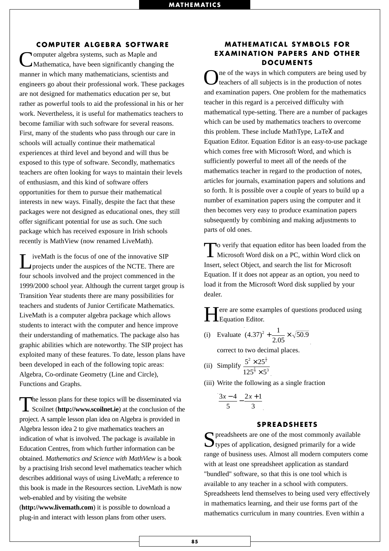#### **COMPUTER ALGEBRA SOFTWARE**

**Nomputer algebra systems, such as Maple and** Mathematica, have been significantly changing the manner in which many mathematicians, scientists and engineers go about their professional work. These packages are not designed for mathematics education per se, but rather as powerful tools to aid the professional in his or her work. Nevertheless, it is useful for mathematics teachers to become familiar with such software for several reasons. First, many of the students who pass through our care in schools will actually continue their mathematical experiences at third level and beyond and will thus be exposed to this type of software. Secondly, mathematics teachers are often looking for ways to maintain their levels of enthusiasm, and this kind of software offers opportunities for them to pursue their mathematical interests in new ways. Finally, despite the fact that these packages were not designed as educational ones, they still offer significant potential for use as such. One such package which has received exposure in Irish schools recently is MathView (now renamed LiveMath).

LiveMath is the focus of one of the innovative SIP projects under the auspices of the NCTE. There are four schools involved and the project commenced in the 1999/2000 school year. Although the current target group is Transition Year students there are many possibilities for teachers and students of Junior Certificate Mathematics. LiveMath is a computer algebra package which allows students to interact with the computer and hence improve their understanding of mathematics. The package also has graphic abilities which are noteworthy. The SIP project has exploited many of these features. To date, lesson plans have been developed in each of the following topic areas: Algebra, Co-ordinate Geometry (Line and Circle), Functions and Graphs.

The lesson plans for these topics will be disseminated via<br>Scoilnet (**http://www.scoilnet.ie**) at the conclusion of the project. A sample lesson plan idea on Algebra is provided in Algebra lesson idea 2 to give mathematics teachers an indication of what is involved. The package is available in Education Centres, from which further information can be obtained. *Mathematics and Science with MathView* is a book by a practising Irish second level mathematics teacher which describes additional ways of using LiveMath; a reference to this book is made in the Resources section. LiveMath is now web-enabled and by visiting the website

(**http://www.livemath.com**) it is possible to download a plug-in and interact with lesson plans from other users.

#### **MATHEMATICAL SYMBOLS FOR EXAMINATION PAPERS AND OTHER DOCUMENTS**

ne of the ways in which computers are being used by teachers of all subjects is in the production of notes and examination papers. One problem for the mathematics teacher in this regard is a perceived difficulty with mathematical type-setting. There are a number of packages which can be used by mathematics teachers to overcome this problem. These include MathType, LaTeλ and Equation Editor. Equation Editor is an easy-to-use package which comes free with Microsoft Word, and which is sufficiently powerful to meet all of the needs of the mathematics teacher in regard to the production of notes, articles for journals, examination papers and solutions and so forth. It is possible over a couple of years to build up a number of examination papers using the computer and it then becomes very easy to produce examination papers subsequently by combining and making adjustments to parts of old ones.

To verify that equation editor has been loaded from the Microsoft Word disk on a PC, within Word click on Insert, select Object, and search the list for Microsoft Equation. If it does not appear as an option, you need to load it from the Microsoft Word disk supplied by your dealer.

Fere are some examples of questions produced using **L**Equation Editor.

(i) Evaluate  $(4.37)^2 + \frac{1}{2.05} \times \sqrt{50}$ .  $^{2}$  +  $\frac{1}{2.05}$   $\times$   $\sqrt{50.9}$ 

correct to two decimal places.

- (ii) Simplify  $\frac{5^2 \times 25}{2}$  $125^{\frac{2}{3}} \times 5$ 2 3  $\frac{1}{2}$ 2 3 × ×
- (iii) Write the following as a single fraction

$$
\frac{3x-4}{5} - \frac{2x+1}{3}
$$

#### **SPREADSHEETS**

 $\bigcap$  preadsheets are one of the most commonly available  $\bigcup$  types of application, designed primarily for a wide range of business uses. Almost all modern computers come with at least one spreadsheet application as standard "bundled" software, so that this is one tool which is available to any teacher in a school with computers. Spreadsheets lend themselves to being used very effectively in mathematics learning, and their use forms part of the mathematics curriculum in many countries. Even within a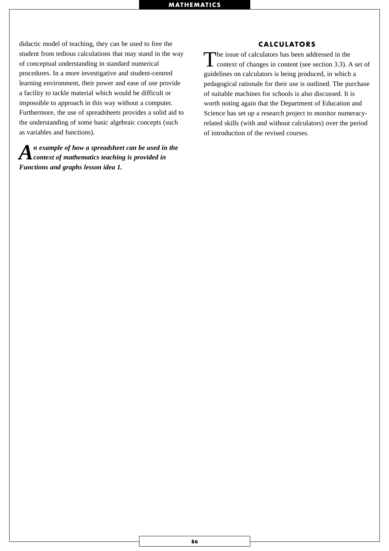didactic model of teaching, they can be used to free the student from tedious calculations that may stand in the way of conceptual understanding in standard numerical procedures. In a more investigative and student-centred learning environment, their power and ease of use provide a facility to tackle material which would be difficult or impossible to approach in this way without a computer. Furthermore, the use of spreadsheets provides a solid aid to the understanding of some basic algebraic concepts (such as variables and functions).

*An example of how a spreadsheet can be used in the context of mathematics teaching is provided in Functions and graphs lesson idea 1.*

#### **CALCULATORS**

The issue of calculators has been addressed in the context of changes in content (see section 3.3). A set of guidelines on calculators is being produced, in which a pedagogical rationale for their use is outlined. The purchase of suitable machines for schools is also discussed. It is worth noting again that the Department of Education and Science has set up a research project to monitor numeracyrelated skills (with and without calculators) over the period of introduction of the revised courses.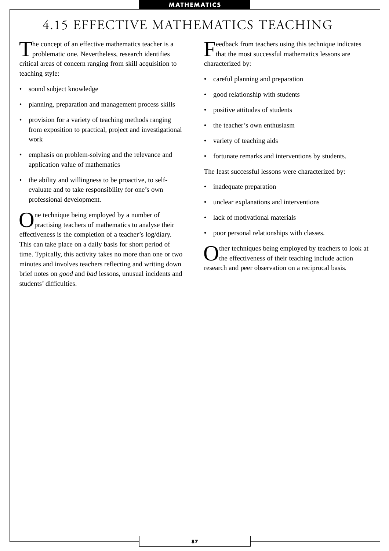## 4.15 EFFECTIVE MATHEMATICS TEACHING

The concept of an effective mathematics teacher is a problematic one. Nevertheless, research identifies critical areas of concern ranging from skill acquisition to teaching style:

- sound subject knowledge
- planning, preparation and management process skills
- provision for a variety of teaching methods ranging from exposition to practical, project and investigational work
- emphasis on problem-solving and the relevance and application value of mathematics
- the ability and willingness to be proactive, to selfevaluate and to take responsibility for one's own professional development.

One technique being employed by a number of practising teachers of mathematics to analyse their effectiveness is the completion of a teacher's log/diary. This can take place on a daily basis for short period of time. Typically, this activity takes no more than one or two minutes and involves teachers reflecting and writing down brief notes on *good* and *bad* lessons, unusual incidents and students' difficulties.

Feedback from teachers using this technique indicates that the most successful mathematics lessons are characterized by:

- careful planning and preparation
- good relationship with students
- positive attitudes of students
- the teacher's own enthusiasm
- variety of teaching aids
- fortunate remarks and interventions by students.

The least successful lessons were characterized by:

- inadequate preparation
- unclear explanations and interventions
- lack of motivational materials
- poor personal relationships with classes.

ther techniques being employed by teachers to look at the effectiveness of their teaching include action research and peer observation on a reciprocal basis.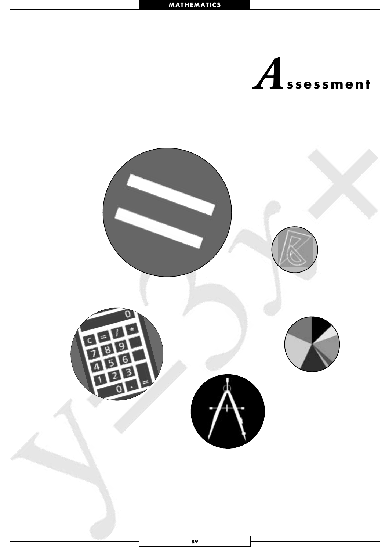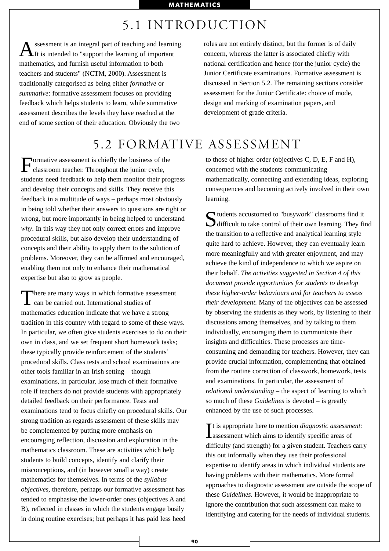## 5.1 INTRODUCTION

ssessment is an integral part of teaching and learning. It is intended to "support the learning of important mathematics, and furnish useful information to both teachers and students" (NCTM, 2000). Assessment is traditionally categorised as being either *formative* or *summative*: formative assessment focuses on providing feedback which helps students to learn, while summative assessment describes the levels they have reached at the end of some section of their education. Obviously the two

roles are not entirely distinct, but the former is of daily concern, whereas the latter is associated chiefly with national certification and hence (for the junior cycle) the Junior Certificate examinations. Formative assessment is discussed in Section 5.2. The remaining sections consider assessment for the Junior Certificate: choice of mode, design and marking of examination papers, and development of grade criteria.

## 5.2 FORMATIVE ASSESSMENT

Formative assessment is chiefly the business of the classroom teacher. Throughout the junior cycle, students need feedback to help them monitor their progress and develop their concepts and skills. They receive this feedback in a multitude of ways – perhaps most obviously in being told whether their answers to questions are right or wrong, but more importantly in being helped to understand *why*. In this way they not only correct errors and improve procedural skills, but also develop their understanding of concepts and their ability to apply them to the solution of problems. Moreover, they can be affirmed and encouraged, enabling them not only to enhance their mathematical expertise but also to grow as people.

There are many ways in which formative assessment **L** can be carried out. International studies of mathematics education indicate that we have a strong tradition in this country with regard to some of these ways. In particular, we often give students exercises to do on their own in class, and we set frequent short homework tasks; these typically provide reinforcement of the students' procedural skills. Class tests and school examinations are other tools familiar in an Irish setting – though examinations, in particular, lose much of their formative role if teachers do not provide students with appropriately detailed feedback on their performance. Tests and examinations tend to focus chiefly on procedural skills. Our strong tradition as regards assessment of these skills may be complemented by putting more emphasis on encouraging reflection, discussion and exploration in the mathematics classroom. These are activities which help students to build concepts, identify and clarify their misconceptions, and (in however small a way) create mathematics for themselves. In terms of the *syllabus objectives*, therefore, perhaps our formative assessment has tended to emphasise the lower-order ones (objectives A and B), reflected in classes in which the students engage busily in doing routine exercises; but perhaps it has paid less heed

to those of higher order (objectives C, D, E, F and H), concerned with the students communicating mathematically, connecting and extending ideas, exploring consequences and becoming actively involved in their own learning.

 $\sum$  tudents accustomed to "busywork" classrooms find it<br>difficult to take control of their own learning. They find the transition to a reflective and analytical learning style quite hard to achieve. However, they can eventually learn more meaningfully and with greater enjoyment, and may achieve the kind of independence to which we aspire on their behalf. *The activities suggested in Section 4 of this document provide opportunities for students to develop these higher-order behaviours and for teachers to assess their development.* Many of the objectives can be assessed by observing the students as they work, by listening to their discussions among themselves, and by talking to them individually, encouraging them to communicate their insights and difficulties. These processes are timeconsuming and demanding for teachers. However, they can provide crucial information, complementing that obtained from the routine correction of classwork, homework, tests and examinations. In particular, the assessment of *relational understanding –* the aspect of learning to which so much of these *Guidelines* is devoted – is greatly enhanced by the use of such processes.

It is appropriate here to mention *diagnostic assessm*<br>assessment which aims to identify specific areas of t is appropriate here to mention *diagnostic assessment:* difficulty (and strength) for a given student. Teachers carry this out informally when they use their professional expertise to identify areas in which individual students are having problems with their mathematics. More formal approaches to diagnostic assessment are outside the scope of these *Guidelines.* However, it would be inappropriate to ignore the contribution that such assessment can make to identifying and catering for the needs of individual students.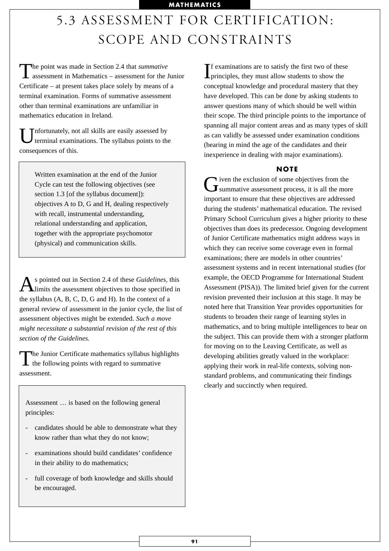# 5.3 ASSESSMENT FOR CERTIFICATION: SCOPE AND CONSTRAINTS

The point was made in Section 2.4 that *summative*<br>assessment in Mathematics – assessment for the Junior Certificate – at present takes place solely by means of a terminal examination. Forms of summative assessment other than terminal examinations are unfamiliar in mathematics education in Ireland.

Unfortunately, not all skills are easily assessed by terminal examinations. The syllabus points to the consequences of this.

> Written examination at the end of the Junior Cycle can test the following objectives (see section 1.3 [of the syllabus document]): objectives A to D, G and H, dealing respectively with recall, instrumental understanding, relational understanding and application, together with the appropriate psychomotor (physical) and communication skills.

As pointed out in Section 2.4 of these *Guidelines*, this limits the assessment objectives to those specified in the syllabus (A, B, C, D, G and H). In the context of a general review of assessment in the junior cycle, the list of assessment objectives might be extended. *Such a move might necessitate a substantial revision of the rest of this section of the Guidelines.*

The Junior Certificate mathematics syllabus highlights<br>the following points with regard to summative assessment.

Assessment … is based on the following general principles:

- candidates should be able to demonstrate what they know rather than what they do not know;
- examinations should build candidates' confidence in their ability to do mathematics;
- full coverage of both knowledge and skills should be encouraged.

If examinations are to satisfy the first two of these principles, they must allow students to show the f examinations are to satisfy the first two of these conceptual knowledge and procedural mastery that they have developed. This can be done by asking students to answer questions many of which should be well within their scope. The third principle points to the importance of spanning all major content areas and as many types of skill as can validly be assessed under examination conditions (bearing in mind the age of the candidates and their inexperience in dealing with major examinations).

#### **NOTE**

Given the exclusion of some objectives from the summative assessment process, it is all the more important to ensure that these objectives are addressed during the students' mathematical education. The revised Primary School Curriculum gives a higher priority to these objectives than does its predecessor. Ongoing development of Junior Certificate mathematics might address ways in which they can receive some coverage even in formal examinations; there are models in other countries' assessment systems and in recent international studies (for example, the OECD Programme for International Student Assessment (PISA)). The limited brief given for the current revision prevented their inclusion at this stage. It may be noted here that Transition Year provides opportunities for students to broaden their range of learning styles in mathematics, and to bring multiple intelligences to bear on the subject. This can provide them with a stronger platform for moving on to the Leaving Certificate, as well as developing abilities greatly valued in the workplace: applying their work in real-life contexts, solving nonstandard problems, and communicating their findings clearly and succinctly when required.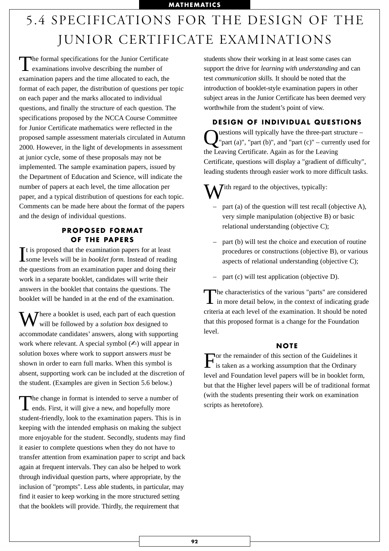# 5.4 SPECIFICATIONS FOR THE DESIGN OF THE JUNIOR CERTIFICATE EXAMINATIONS

The formal specifications for the Junior Certificate<br>examinations involve describing the number of examination papers and the time allocated to each, the format of each paper, the distribution of questions per topic on each paper and the marks allocated to individual questions, and finally the structure of each question. The specifications proposed by the NCCA Course Committee for Junior Certificate mathematics were reflected in the proposed sample assessment materials circulated in Autumn 2000. However, in the light of developments in assessment at junior cycle, some of these proposals may not be implemented. The sample examination papers, issued by the Department of Education and Science, will indicate the number of papers at each level, the time allocation per paper, and a typical distribution of questions for each topic. Comments can be made here about the format of the papers and the design of individual questions.

#### **PROPOSED FORMAT OF THE PAPERS**

It is proposed that the examination papers for at least<br>some levels will be in *booklet form*. Instead of reading t is proposed that the examination papers for at least the questions from an examination paper and doing their work in a separate booklet, candidates will write their answers in the booklet that contains the questions. The booklet will be handed in at the end of the examination.

T There a booklet is used, each part of each question will be followed by a *solution box* designed to accommodate candidates' answers, along with supporting work where relevant. A special symbol  $(\triangle)$  will appear in solution boxes where work to support answers *must* be shown in order to earn full marks. When this symbol is absent, supporting work can be included at the discretion of the student. (Examples are given in Section 5.6 below.)

The change in format is intended to serve a number of ends. First, it will give a new, and hopefully more student-friendly, look to the examination papers. This is in keeping with the intended emphasis on making the subject more enjoyable for the student. Secondly, students may find it easier to complete questions when they do not have to transfer attention from examination paper to script and back again at frequent intervals. They can also be helped to work through individual question parts, where appropriate, by the inclusion of "prompts". Less able students, in particular, may find it easier to keep working in the more structured setting that the booklets will provide. Thirdly, the requirement that

students show their working in at least some cases can support the drive for *learning with understanding* and can test *communication skills.* It should be noted that the introduction of booklet-style examination papers in other subject areas in the Junior Certificate has been deemed very worthwhile from the student's point of view.

**DESIGN OF INDIVIDUAL QUESTIONS** uestions will typically have the three-part structure – "part (a)", "part (b)", and "part  $(c)$ " – currently used for the Leaving Certificate. Again as for the Leaving Certificate, questions will display a "gradient of difficulty", leading students through easier work to more difficult tasks.

 $\sum$  Tith regard to the objectives, typically:

- part (a) of the question will test recall (objective A), very simple manipulation (objective B) or basic relational understanding (objective C);
- part (b) will test the choice and execution of routine procedures or constructions (objective B), or various aspects of relational understanding (objective C);
- part (c) will test application (objective D).

The characteristics of the various "parts" are considered<br>in more detail below, in the context of indicating grade criteria at each level of the examination. It should be noted that this proposed format is a change for the Foundation level.

#### **NOTE**

For the remainder of this section of the Guidelines it is taken as a working assumption that the Ordinary level and Foundation level papers will be in booklet form, but that the Higher level papers will be of traditional format (with the students presenting their work on examination scripts as heretofore).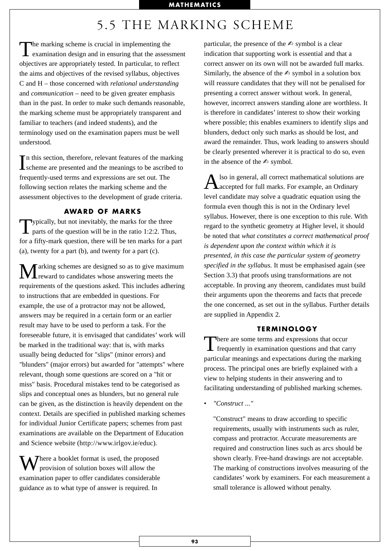## 5.5 THE MARKING SCHEME

The marking scheme is crucial in implementing the examination design and in ensuring that the assessment objectives are appropriately tested. In particular, to reflect the aims and objectives of the revised syllabus, objectives C and H – those concerned with *relational understanding* and *communication* – need to be given greater emphasis than in the past. In order to make such demands reasonable, the marking scheme must be appropriately transparent and familiar to teachers (and indeed students), and the terminology used on the examination papers must be well understood.

In this section, therefore, relevant features of the marking<br>scheme are presented and the meanings to be ascribed to **L** scheme are presented and the meanings to be ascribed to frequently-used terms and expressions are set out. The following section relates the marking scheme and the assessment objectives to the development of grade criteria.

#### **AWARD OF MARKS**

Typically, but not inevitably, the marks for the three parts of the question will be in the ratio 1:2:2. Thus, for a fifty-mark question, there will be ten marks for a part (a), twenty for a part (b), and twenty for a part (c).

arking schemes are designed so as to give maximum **L** reward to candidates whose answering meets the requirements of the questions asked. This includes adhering to instructions that are embedded in questions. For example, the use of a protractor may not be allowed, answers may be required in a certain form or an earlier result may have to be used to perform a task. For the foreseeable future, it is envisaged that candidates' work will be marked in the traditional way: that is, with marks usually being deducted for "slips" (minor errors) and "blunders" (major errors) but awarded for "attempts" where relevant, though some questions are scored on a "hit or miss" basis. Procedural mistakes tend to be categorised as slips and conceptual ones as blunders, but no general rule can be given, as the distinction is heavily dependent on the context. Details are specified in published marking schemes for individual Junior Certificate papers; schemes from past examinations are available on the Department of Education and Science website (http://www.irlgov.ie/educ).

 $\sum$  There a booklet format is used, the proposed provision of solution boxes will allow the examination paper to offer candidates considerable guidance as to what type of answer is required. In

particular, the presence of the  $\triangle$  symbol is a clear indication that supporting work is essential and that a correct answer on its own will not be awarded full marks. Similarly, the absence of the  $\triangle$  symbol in a solution box will reassure candidates that they will not be penalised for presenting a correct answer without work. In general, however, incorrect answers standing alone are worthless. It is therefore in candidates' interest to show their working where possible; this enables examiners to identify slips and blunders, deduct only such marks as should be lost, and award the remainder. Thus, work leading to answers should be clearly presented wherever it is practical to do so, even in the absence of the  $\triangle$  symbol.

Also in general, all correct mathematical solutions are accepted for full marks. For example, an Ordinary level candidate may solve a quadratic equation using the formula even though this is not in the Ordinary level syllabus. However, there is one exception to this rule. With regard to the synthetic geometry at Higher level, it should be noted that *what constitutes a correct mathematical proof is dependent upon the context within which it is presented, in this case the particular system of geometry specified in the syllabus.* It must be emphasised again (see Section 3.3) that proofs using transformations are not acceptable. In proving any theorem, candidates must build their arguments upon the theorems and facts that precede the one concerned, as set out in the syllabus. Further details are supplied in Appendix 2.

#### **TERMINOLOGY**

There are some terms and expressions that occur<br>frequently in examination questions and that carry particular meanings and expectations during the marking process. The principal ones are briefly explained with a view to helping students in their answering and to facilitating understanding of published marking schemes.

• *"Construct ..."*

"Construct" means to draw according to specific requirements, usually with instruments such as ruler, compass and protractor. Accurate measurements are required and construction lines such as arcs should be shown clearly. Free-hand drawings are not acceptable. The marking of constructions involves measuring of the candidates' work by examiners. For each measurement a small tolerance is allowed without penalty.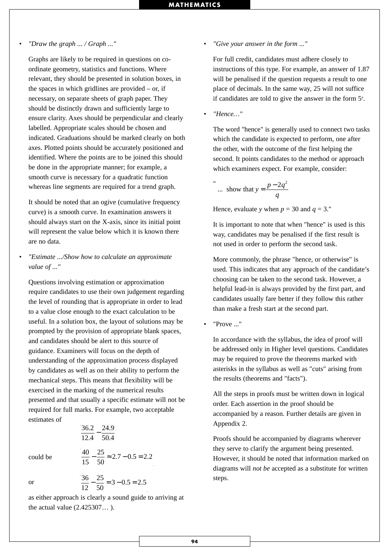#### • *"Draw the graph ... / Graph ..."*

Graphs are likely to be required in questions on coordinate geometry, statistics and functions. Where relevant, they should be presented in solution boxes, in the spaces in which gridlines are provided – or, if necessary, on separate sheets of graph paper. They should be distinctly drawn and sufficiently large to ensure clarity. Axes should be perpendicular and clearly labelled. Appropriate scales should be chosen and indicated. Graduations should be marked clearly on both axes. Plotted points should be accurately positioned and identified. Where the points are to be joined this should be done in the appropriate manner; for example, a smooth curve is necessary for a quadratic function whereas line segments are required for a trend graph.

It should be noted that an ogive (cumulative frequency curve) is a smooth curve. In examination answers it should always start on the X-axis, since its initial point will represent the value below which it is known there are no data.

#### • *"Estimate .../Show how to calculate an approximate value of ..."*

Questions involving estimation or approximation require candidates to use their own judgement regarding the level of rounding that is appropriate in order to lead to a value close enough to the exact calculation to be useful. In a solution box, the layout of solutions may be prompted by the provision of appropriate blank spaces, and candidates should be alert to this source of guidance. Examiners will focus on the depth of understanding of the approximation process displayed by candidates as well as on their ability to perform the mechanical steps. This means that flexibility will be exercised in the marking of the numerical results presented and that usually a specific estimate will not be required for full marks. For example, two acceptable estimates of

> 36 2 12 4 24.9 50 4 . .  $-\frac{24}{50}$ . 40 15  $-\frac{25}{50} \approx 2.7 - 0.5 = 2.2$

could be

or

$$
\frac{36}{12} - \frac{25}{50} = 3 - 0.5 = 2.5
$$

as either approach is clearly a sound guide to arriving at the actual value (2.425307… ).

• *"Give your answer in the form ..."*

For full credit, candidates must adhere closely to instructions of this type. For example, an answer of 1.87 will be penalised if the question requests a result to one place of decimals. In the same way, 25 will not suffice if candidates are told to give the answer in the form 5*<sup>n</sup>* .

• *"Hence…"*

The word "hence" is generally used to connect two tasks which the candidate is expected to perform, one after the other, with the outcome of the first helping the second. It points candidates to the method or approach which examiners expect. For example, consider:

$$
\therefore \text{ show that } y = \frac{p - 2q^2}{q}
$$

Hence, evaluate *y* when  $p = 30$  and  $q = 3$ ."

It is important to note that when "hence" is used is this way, candidates may be penalised if the first result is not used in order to perform the second task.

More commonly, the phrase "hence, or otherwise" is used. This indicates that any approach of the candidate's choosing can be taken to the second task. However, a helpful lead-in is always provided by the first part, and candidates usually fare better if they follow this rather than make a fresh start at the second part.

• "Prove ..."

In accordance with the syllabus, the idea of proof will be addressed only in Higher level questions. Candidates may be required to prove the theorems marked with asterisks in the syllabus as well as "cuts" arising from the results (theorems and "facts").

All the steps in proofs must be written down in logical order. Each assertion in the proof should be accompanied by a reason. Further details are given in Appendix 2.

Proofs should be accompanied by diagrams wherever they serve to clarify the argument being presented. However, it should be noted that information marked on diagrams will *not be* accepted as a substitute for written steps.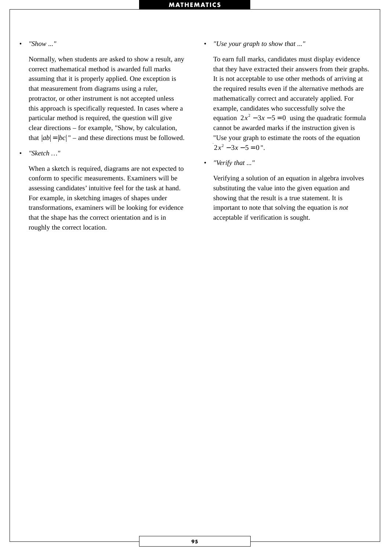#### • *"Show ..."*

Normally, when students are asked to show a result, any correct mathematical method is awarded full marks assuming that it is properly applied. One exception is that measurement from diagrams using a ruler, protractor, or other instrument is not accepted unless this approach is specifically requested. In cases where a particular method is required, the question will give clear directions – for example, "Show, by calculation, that  $|ab| = |bc|$  " – and these directions must be followed.

• *"Sketch …"*

When a sketch is required, diagrams are not expected to conform to specific measurements. Examiners will be assessing candidates' intuitive feel for the task at hand. For example, in sketching images of shapes under transformations, examiners will be looking for evidence that the shape has the correct orientation and is in roughly the correct location.

• *"Use your graph to show that ..."*

To earn full marks, candidates must display evidence that they have extracted their answers from their graphs. It is not acceptable to use other methods of arriving at the required results even if the alternative methods are mathematically correct and accurately applied. For example, candidates who successfully solve the equation  $2x^2 - 3x - 5 = 0$  using the quadratic formula cannot be awarded marks if the instruction given is "Use your graph to estimate the roots of the equation  $2x^2 - 3x - 5 = 0$ ".

• *"Verify that ..."*

Verifying a solution of an equation in algebra involves substituting the value into the given equation and showing that the result is a true statement. It is important to note that solving the equation is *not* acceptable if verification is sought.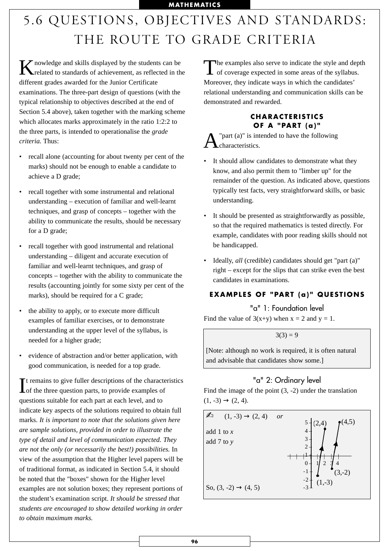# 5.6 QUESTIONS, OBJECTIVES AND STANDARDS: THE ROUTE TO GRADE CRITERIA

 $K_{\text{related to circuit}}$ related to standards of achievement, as reflected in the different grades awarded for the Junior Certificate examinations. The three-part design of questions (with the typical relationship to objectives described at the end of Section 5.4 above), taken together with the marking scheme which allocates marks approximately in the ratio 1:2:2 to the three parts, is intended to operationalise the *grade criteria.* Thus:

- recall alone (accounting for about twenty per cent of the marks) should not be enough to enable a candidate to achieve a D grade;
- recall together with some instrumental and relational understanding – execution of familiar and well-learnt techniques, and grasp of concepts – together with the ability to communicate the results, should be necessary for a D grade;
- recall together with good instrumental and relational understanding – diligent and accurate execution of familiar and well-learnt techniques, and grasp of concepts – together with the ability to communicate the results (accounting jointly for some sixty per cent of the marks), should be required for a C grade;
- the ability to apply, or to execute more difficult examples of familiar exercises, or to demonstrate understanding at the upper level of the syllabus, is needed for a higher grade;
- evidence of abstraction and/or better application, with good communication, is needed for a top grade.

It remains to give fuller descriptions of the character of the three question parts, to provide examples of t remains to give fuller descriptions of the characteristics questions suitable for each part at each level, and to indicate key aspects of the solutions required to obtain full marks. *It is important to note that the solutions given here are sample solutions, provided in order to illustrate the type of detail and level of communication expected. They are not the only (or necessarily the best!) possibilities.* In view of the assumption that the Higher level papers will be of traditional format, as indicated in Section 5.4, it should be noted that the "boxes" shown for the Higher level examples are not solution boxes; they represent portions of the student's examination script. *It should be stressed that students are encouraged to show detailed working in order to obtain maximum marks.* 

The examples also serve to indicate the style and depth of coverage expected in some areas of the syllabus. Moreover, they indicate ways in which the candidates' relational understanding and communication skills can be demonstrated and rewarded.

#### **CHARACTERISTICS OF A "PART (a)"**

"part (a)" is intended to have the following characteristics.

- It should allow candidates to demonstrate what they know, and also permit them to "limber up" for the remainder of the question. As indicated above, questions typically test facts, very straightforward skills, or basic understanding.
- It should be presented as straightforwardly as possible, so that the required mathematics is tested directly. For example, candidates with poor reading skills should not be handicapped.
- Ideally, *all* (credible) candidates should get "part (a)" right – except for the slips that can strike even the best candidates in examinations.

### **EXAMPLES OF "PART (a)" QUESTIONS**

"a" 1: Foundation level

Find the value of  $3(x+y)$  when  $x = 2$  and  $y = 1$ .

 $3(3) = 9$ 

[Note: although no work is required, it is often natural and advisable that candidates show some.]

## "a" 2: Ordinary level

Find the image of the point  $(3, -2)$  under the translation  $(1, -3) \rightarrow (2, 4)$ .

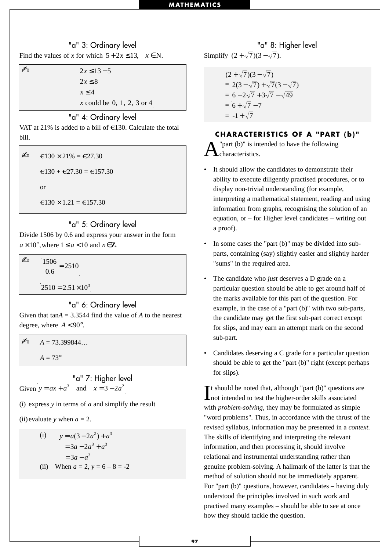## "a" 3: Ordinary level Find the values of *x* for which  $5 + 2x \le 13$ ,  $x \in N$ .

**a**  $2x \le 13 - 5$  $2x \le 8$  $x \leq 4$ *x* could be 0, 1, 2, 3 or 4

#### "a" 4: Ordinary level

VAT at 21% is added to a bill of  $\epsilon$ 130. Calculate the total bill.

$$
€130 \times 21\% = €27.30
$$

$$
€130 + €27.30 = €157.30
$$
or
$$
€130 \times 1.21 = €157.30
$$

"a" 5: Ordinary level

Divide 1506 by 0.6 and express your answer in the form  $a \times 10^n$ , where  $1 \le a < 10$  and  $n \in \mathbb{Z}$ .

✍ <sup>1506</sup>  $\frac{566}{0.6}$  = 2510  $2510 = 2.51 \times 10^3$ 

#### "a" 6: Ordinary level

Given that tan*A* = 3.3544 find the value of *A* to the nearest degree, where  $A < 90^\circ$ .

 $A = 73.399844...$  $A = 73^{\circ}$ 

"a" 7: Higher level Given  $y = ax + a^3$  and  $x = 3 - 2a^2$ 

(i) express *y* in terms of *a* and simplify the result

(ii) evaluate *y* when  $a = 2$ .

(i) 
$$
y = a(3-2a^2) + a^3
$$
  
=  $3a - 2a^3 + a^3$   
=  $3a - a^3$ 

(ii) When 
$$
a = 2
$$
,  $y = 6 - 8 = -2$ 

"a" 8: Higher level  $5 + 2x \le 13$ ,  $x \in N$ . Simplify  $(2 + \sqrt{7})(3 - \sqrt{7})$ .

$$
(2+\sqrt{7})(3-\sqrt{7})
$$
  
= 2(3-\sqrt{7})+\sqrt{7}(3-\sqrt{7})  
= 6-2\sqrt{7}+3\sqrt{7}-\sqrt{49}  
= 6+\sqrt{7}-7  
= -1+\sqrt{7}

#### **CHARACTERISTICS OF A "PART (b)"**

"part  $(b)$ " is intended to have the following characteristics.

- It should allow the candidates to demonstrate their ability to execute diligently practised procedures, or to display non-trivial understanding (for example, interpreting a mathematical statement, reading and using information from graphs, recognising the solution of an equation, or – for Higher level candidates – writing out a proof).
- In some cases the "part  $(b)$ " may be divided into subparts, containing (say) slightly easier and slightly harder "sums" in the required area.
- The candidate who *just* deserves a D grade on a particular question should be able to get around half of the marks available for this part of the question. For example, in the case of a "part (b)" with two sub-parts, the candidate may get the first sub-part correct except for slips, and may earn an attempt mark on the second sub-part.
- Candidates deserving a C grade for a particular question should be able to get the "part (b)" right (except perhaps for slips).

It should be noted that, although "part (b)" questions and intended to test the higher-order skills associated  $\mathbf{T}$ t should be noted that, although "part (b)" questions are with *problem-solving*, they may be formulated as simple "word problems". Thus, in accordance with the thrust of the revised syllabus, information may be presented in a *context.* The skills of identifying and interpreting the relevant information, and then processing it, should involve relational and instrumental understanding rather than genuine problem-solving. A hallmark of the latter is that the method of solution should not be immediately apparent. For "part (b)" questions, however, candidates – having duly understood the principles involved in such work and practised many examples – should be able to see at once how they should tackle the question.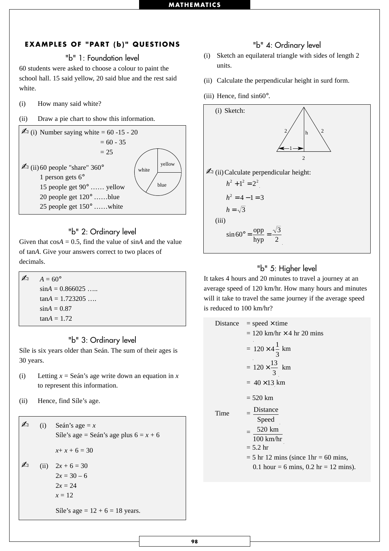#### **EXAMPLES OF "PART (b)" QUESTIONS**

"b" 1: Foundation level

60 students were asked to choose a colour to paint the school hall. 15 said yellow, 20 said blue and the rest said white.

- (i) How many said white?
- (ii) Draw a pie chart to show this information.



### "b" 2: Ordinary level

Given that  $\cos A = 0.5$ , find the value of  $\sin A$  and the value of tan*A*. Give your answers correct to two places of decimals.

 $\triangle$   $A = 60^{\circ}$  $\sin A = 0.866025...$  $tan A = 1.723205$  ...  $sinA = 0.87$  $tan A = 1.72$ 

### "b" 3: Ordinary level

Síle is six years older than Seán. The sum of their ages is 30 years.

- (i) Letting  $x =$  Seán's age write down an equation in  $x$ to represent this information.
- (ii) Hence, find Síle's age.

 $\triangle$  (i) Seán's age = *x* Síle's age = Seán's age plus  $6 = x + 6$  $x + x + 6 = 30$  $\therefore$  (ii)  $2x + 6 = 30$  $2x = 30 - 6$  $2x = 24$  $x = 12$ 

Síle's age =  $12 + 6 = 18$  years.

#### "b" 4: Ordinary level

- (i) Sketch an equilateral triangle with sides of length 2 units.
- (ii) Calculate the perpendicular height in surd form.
- (iii) Hence, find sin60°.



## "b" 5: Higher level

It takes 4 hours and 20 minutes to travel a journey at an average speed of 120 km/hr. How many hours and minutes will it take to travel the same journey if the average speed is reduced to 100 km/hr?

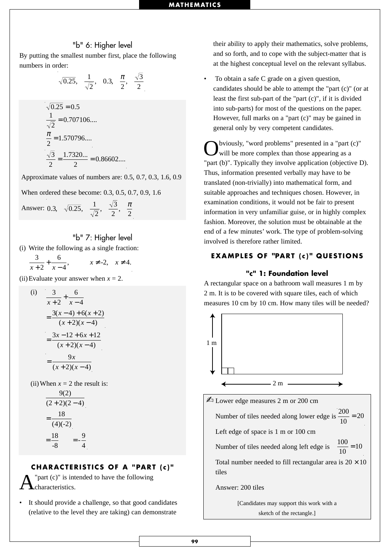#### "b" 6: Higher level

By putting the smallest number first, place the following numbers in order:

$$
\sqrt{0.25}
$$
,  $\frac{1}{\sqrt{2}}$ , 0.3,  $\frac{\pi}{2}$ ,  $\frac{\sqrt{3}}{2}$ 

$$
\sqrt{0.25} = 0.5
$$
  
\n
$$
\frac{1}{\sqrt{2}} = 0.707106...
$$
  
\n
$$
\frac{\pi}{2} = 1.570796...
$$
  
\n
$$
\frac{\sqrt{3}}{2} = \frac{1.7320...}{2} = 0.86602...
$$

Approximate values of numbers are: 0.5, 0.7, 0.3, 1.6, 0.9

When ordered these become: 0.3, 0.5, 0.7, 0.9, 1.6

Answer: 0.3, 
$$
\sqrt{0.25}
$$
,  $\frac{1}{\sqrt{2}}$ ,  $\frac{\sqrt{3}}{2}$ ,  $\frac{\pi}{2}$ 

#### "b" 7: Higher level

(i) Write the following as a single fraction:

3 2 6 4 2,  $x \neq 4$  $x + 2 \, x$  $x \neq -2$ ,  $x$  $\frac{5}{x+2} + \frac{6}{x-4}$ ,  $x \neq -2$ ,  $x \neq 4$ .

(ii) Evaluate your answer when  $x = 2$ .

(i) 
$$
\frac{3}{x+2} + \frac{6}{x-4}
$$

$$
= \frac{3(x-4) + 6(x+2)}{(x+2)(x-4)}
$$

$$
= \frac{3x-12+6x+12}{(x+2)(x-4)}
$$

$$
= \frac{9x}{(x+2)(x-4)}
$$

(ii) When  $x = 2$  the result is:

$$
\frac{9(2)}{(2+2)(2-4)}
$$
  
= 
$$
\frac{18}{(4)(-2)}
$$
  
= 
$$
\frac{18}{-8} = -\frac{9}{4}
$$

#### **CHARACTERISTICS OF A "PART (c)"**

"part  $(c)$ " is intended to have the following characteristics.

It should provide a challenge, so that good candidates (relative to the level they are taking) can demonstrate

their ability to apply their mathematics, solve problems, and so forth, and to cope with the subject-matter that is at the highest conceptual level on the relevant syllabus.

• To obtain a safe C grade on a given question. candidates should be able to attempt the "part (c)" (or at least the first sub-part of the "part (c)", if it is divided into sub-parts) for most of the questions on the paper. However, full marks on a "part (c)" may be gained in general only by very competent candidates.

Obviously, "word problems" presented in a "part (c)" will be more complex than those appearing as a "part (b)". Typically they involve application (objective D). Thus, information presented verbally may have to be translated (non-trivially) into mathematical form, and suitable approaches and techniques chosen. However, in examination conditions, it would not be fair to present information in very unfamiliar guise, or in highly complex fashion. Moreover, the solution must be obtainable at the end of a few minutes' work. The type of problem-solving involved is therefore rather limited.

#### **EXAMPLES OF "PART (c) " QUESTIONS**

#### **"c" 1: Foundation level**

A rectangular space on a bathroom wall measures 1 m by 2 m. It is to be covered with square tiles, each of which measures 10 cm by 10 cm. How many tiles will be needed?



Number of tiles needed along lower edge is  $\frac{200}{10} = 20$ Left edge of space is 1 m or 100 cm

Number of tiles needed along left edge is  $\frac{100}{10} = 10$ 

Total number needed to fill rectangular area is  $20 \times 10$ tiles

#### Answer: 200 tiles

[Candidates may support this work with a sketch of the rectangle.]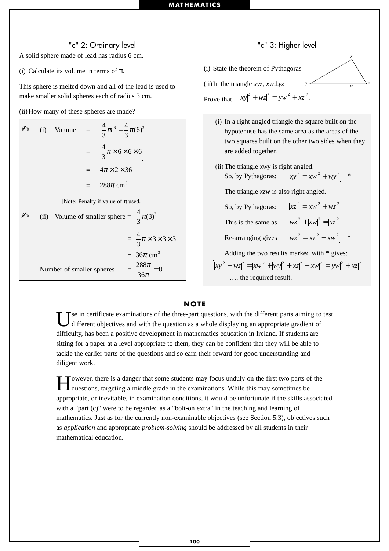#### "c" 2: Ordinary level

A solid sphere made of lead has radius 6 cm.

(i) Calculate its volume in terms of  $\pi$ .

This sphere is melted down and all of the lead is used to make smaller solid spheres each of radius 3 cm.

(ii) How many of these spheres are made?

|  | (i) Volume                | = $\frac{4}{3}\pi r^3 = \frac{4}{3}\pi (6)^3$ |                                                       |
|--|---------------------------|-----------------------------------------------|-------------------------------------------------------|
|  |                           | $=\frac{4}{3}\pi\times6\times6\times6$        |                                                       |
|  |                           | $= 4\pi \times 2 \times 36$                   |                                                       |
|  |                           | $= 288\pi$ cm <sup>3</sup>                    |                                                       |
|  |                           | [Note: Penalty if value of $\pi$ used.]       |                                                       |
|  |                           |                                               | (ii) Volume of smaller sphere = $\frac{4}{3}\pi(3)^3$ |
|  |                           |                                               | $=\frac{4}{3}\pi \times 3 \times 3 \times 3$          |
|  |                           |                                               | = $36\pi$ cm <sup>3</sup>                             |
|  | Number of smaller spheres |                                               | $=\frac{288\pi}{36\pi}=8$                             |

#### "c" 3: Higher level

*y*

*x*

 $\frac{1}{w}$  *z* 

(i) State the theorem of Pythagoras

(ii) In the triangle *xyz, xw*⊥*yz*

Prove that  $|xy|^2 + |wz|^2 = |yw|^2 + |xz|^2$ .

- (i) In a right angled triangle the square built on the hypotenuse has the same area as the areas of the two squares built on the other two sides when they are added together.
- (ii) The triangle *xwy* is right angled. So, by Pythagoras:  $|xy|^2 = |xw|^2 + |wy|^2$  \*

The triangle *xzw* is also right angled.

So, by Pythagoras:  $|xz|^2 = |xw|^2 + |wz|^2$ 

This is the same as  $|wz|^2 + |xw|^2 = |xz|^2$ 

Re-arranging gives  $|wz|^2 = |xz|^2 - |xw|^2$  \*

Adding the two results marked with \* gives: …. the required result.  $|xy|^2 + |wz|^2 = |xw|^2 + |wy|^2 + |xz|^2 - |xw|^2 = |yw|^2 + |xz|^2$ 

#### **NOTE**

Tse in certificate examinations of the three-part questions, with the different parts aiming to test different objectives and with the question as a whole displaying an appropriate gradient of difficulty, has been a positive development in mathematics education in Ireland. If students are sitting for a paper at a level appropriate to them, they can be confident that they will be able to tackle the earlier parts of the questions and so earn their reward for good understanding and diligent work.

Towever, there is a danger that some students may focus unduly on the first two parts of the questions, targeting a middle grade in the examinations. While this may sometimes be appropriate, or inevitable, in examination conditions, it would be unfortunate if the skills associated with a "part (c)" were to be regarded as a "bolt-on extra" in the teaching and learning of mathematics. Just as for the currently non-examinable objectives (see Section 5.3), objectives such as *application* and appropriate *problem-solving* should be addressed by all students in their mathematical education.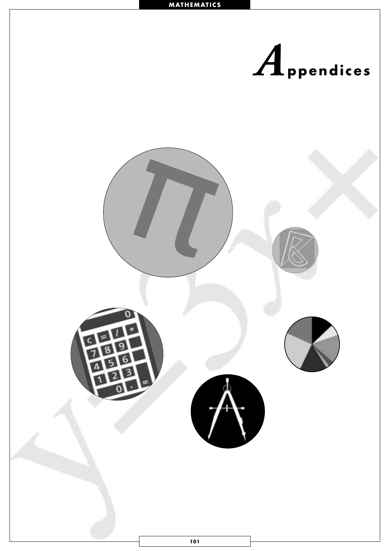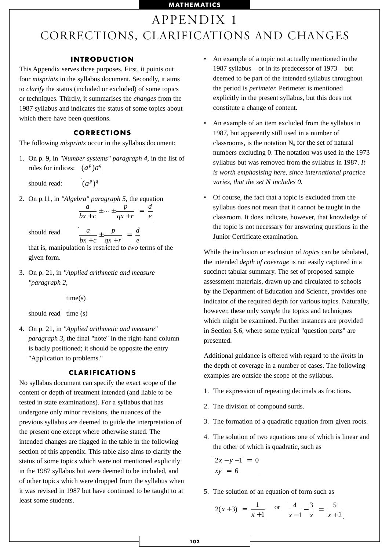## APPENDIX 1 CORRECTIONS, CLARIFICATIONS AND CHANGES

#### **INTRODUCTION**

This Appendix serves three purposes. First, it points out four *misprints* in the syllabus document. Secondly, it aims to *clarify* the status (included or excluded) of some topics or techniques. Thirdly, it summarises the *changes* from the 1987 syllabus and indicates the status of some topics about which there have been questions.

#### **CORRECTIONS**

The following *misprints* occur in the syllabus document:

1. On p. 9, in *"Number systems" paragraph 4,* in the list of rules for indices:  $(a^p)a^q$ 

should read:  $(a^p)^q$ 

2. On p.11, in *"Algebra" paragraph 5,* the equation

$$
\frac{a}{bx+c} \pm \cdots \pm \frac{p}{qx+r} = \frac{d}{e}
$$

should read

$$
\text{read} \qquad \frac{a}{bx+c} \pm \frac{p}{qx+r} = \frac{d}{e}
$$

that is, manipulation is restricted to *two* terms of the given form.

3. On p. 21, in *"Applied arithmetic and measure "paragraph 2,* 

time(s)

should read time (s)

4. On p. 21, in *"Applied arithmetic and measure" paragraph 3,* the final "note" in the right-hand column is badly positioned; it should be opposite the entry "Application to problems."

#### **CLARIFICATIONS**

No syllabus document can specify the exact scope of the content or depth of treatment intended (and liable to be tested in state examinations). For a syllabus that has undergone only minor revisions, the nuances of the previous syllabus are deemed to guide the interpretation of the present one except where otherwise stated. The intended changes are flagged in the table in the following section of this appendix. This table also aims to clarify the status of some topics which were not mentioned explicitly in the 1987 syllabus but were deemed to be included, and of other topics which were dropped from the syllabus when it was revised in 1987 but have continued to be taught to at least some students.

- An example of a topic not actually mentioned in the 1987 syllabus – or in its predecessor of 1973 – but deemed to be part of the intended syllabus throughout the period is *perimeter.* Perimeter is mentioned explicitly in the present syllabus, but this does not constitute a change of content.
- An example of an item excluded from the syllabus in 1987, but apparently still used in a number of classrooms, is the notation  $N_0$  for the set of natural numbers excluding 0. The notation was used in the 1973 syllabus but was removed from the syllabus in 1987. *It is worth emphasising here, since international practice varies, that the set N includes 0.*
- Of course, the fact that a topic is excluded from the syllabus does not mean that it cannot be taught in the classroom. It does indicate, however, that knowledge of the topic is not necessary for answering questions in the Junior Certificate examination.

While the inclusion or exclusion of *topics* can be tabulated, the intended *depth of coverage* is not easily captured in a succinct tabular summary. The set of proposed sample assessment materials, drawn up and circulated to schools by the Department of Education and Science, provides one indicator of the required depth for various topics. Naturally, however, these only *sample* the topics and techniques which might be examined. Further instances are provided in Section 5.6, where some typical "question parts" are presented.

Additional guidance is offered with regard to the *limits* in the depth of coverage in a number of cases. The following examples are outside the scope of the syllabus.

- 1. The expression of repeating decimals as fractions.
- 2. The division of compound surds.
- 3. The formation of a quadratic equation from given roots.
- 4. The solution of two equations one of which is linear and the other of which is quadratic, such as

$$
2x - y - 1 = 0
$$
  

$$
xy = 6
$$

5. The solution of an equation of form such as

$$
2(x+3) = \frac{1}{x+1}
$$
 or  $\frac{4}{x-1} - \frac{3}{x} = \frac{5}{x+2}$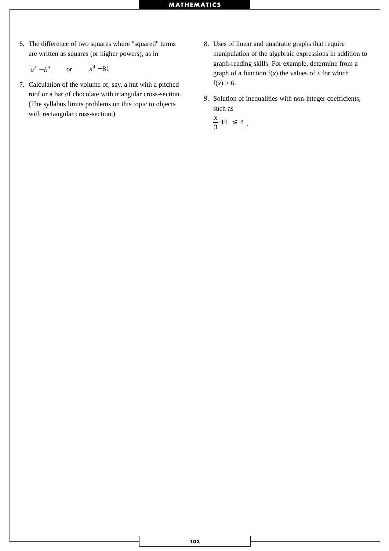6. The difference of two squares where "squared" terms are written as squares (or higher powers), as in

$$
a^4-b^4 \qquad \text{or} \qquad x^4-81
$$

- 7. Calculation of the volume of, say, a hut with a pitched roof or a bar of chocolate with triangular cross-section. (The syllabus limits problems on this topic to objects with rectangular cross-section.)
- 8. Uses of linear and quadratic graphs that require manipulation of the algebraic expressions in addition to graph-reading skills. For example, determine from a graph of a function  $f(x)$  the values of  $x$  for which  $f(x) > 6$ .
- 9. Solution of inequalities with non-integer coefficients, such as

$$
\frac{x}{3} + 1 \leq 4
$$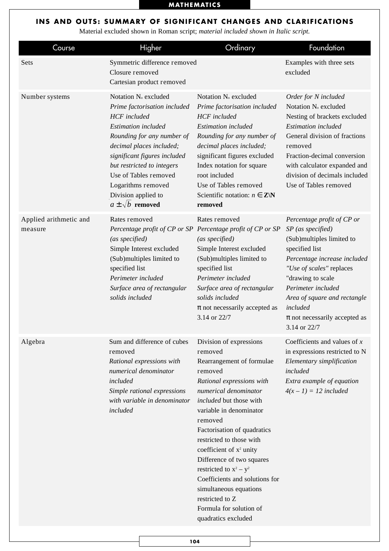## **INS AND OUTS: SUMMARY OF SIGNIFICANT CHANGES AND CLARIFICATIONS**

Material excluded shown in Roman script; *material included shown in Italic script.*

| Course                            | Higher                                                                                                                                                                                                                                                                                                                                          | Ordinary                                                                                                                                                                                                                                                                                                                                                                                                                                                                                       | Foundation                                                                                                                                                                                                                                                                                               |
|-----------------------------------|-------------------------------------------------------------------------------------------------------------------------------------------------------------------------------------------------------------------------------------------------------------------------------------------------------------------------------------------------|------------------------------------------------------------------------------------------------------------------------------------------------------------------------------------------------------------------------------------------------------------------------------------------------------------------------------------------------------------------------------------------------------------------------------------------------------------------------------------------------|----------------------------------------------------------------------------------------------------------------------------------------------------------------------------------------------------------------------------------------------------------------------------------------------------------|
| Sets                              | Symmetric difference removed<br>Closure removed<br>Cartesian product removed                                                                                                                                                                                                                                                                    |                                                                                                                                                                                                                                                                                                                                                                                                                                                                                                | Examples with three sets<br>excluded                                                                                                                                                                                                                                                                     |
| Number systems                    | Notation N <sub>o</sub> excluded<br>Prime factorisation included<br><b>HCF</b> included<br><b>Estimation</b> included<br>Rounding for any number of<br>decimal places included;<br>significant figures included<br>but restricted to integers<br>Use of Tables removed<br>Logarithms removed<br>Division applied to<br>$a \pm \sqrt{b}$ removed | Notation N <sub>o</sub> excluded<br>Prime factorisation included<br><b>HCF</b> included<br><b>Estimation</b> included<br>Rounding for any number of<br>decimal places included;<br>significant figures excluded<br>Index notation for square<br>root included<br>Use of Tables removed<br>Scientific notation: $n \in \mathbb{Z}\backslash\mathbb{N}$<br>removed                                                                                                                               | Order for N included<br>Notation N <sub>o</sub> excluded<br>Nesting of brackets excluded<br><b>Estimation</b> included<br>General division of fractions<br>removed<br>Fraction-decimal conversion<br>with calculator expanded and<br>division of decimals included<br>Use of Tables removed              |
| Applied arithmetic and<br>measure | Rates removed<br>(as specified)<br>Simple Interest excluded<br>(Sub)multiples limited to<br>specified list<br>Perimeter included<br>Surface area of rectangular<br>solids included                                                                                                                                                              | Rates removed<br>Percentage profit of CP or SP Percentage profit of CP or SP<br>(as specified)<br>Simple Interest excluded<br>(Sub)multiples limited to<br>specified list<br>Perimeter included<br>Surface area of rectangular<br>solids included<br>$\pi$ not necessarily accepted as<br>3.14 or 22/7                                                                                                                                                                                         | Percentage profit of CP or<br>$SP$ (as specified)<br>(Sub)multiples limited to<br>specified list<br>Percentage increase included<br>"Use of scales" replaces<br>"drawing to scale<br>Perimeter included<br>Area of square and rectangle<br>included<br>$\pi$ not necessarily accepted as<br>3.14 or 22/7 |
| Algebra                           | Sum and difference of cubes<br>removed<br>Rational expressions with<br>numerical denominator<br>included<br>Simple rational expressions<br>with variable in denominator<br>included                                                                                                                                                             | Division of expressions<br>removed<br>Rearrangement of formulae<br>removed<br>Rational expressions with<br>numerical denominator<br>included but those with<br>variable in denominator<br>removed<br>Factorisation of quadratics<br>restricted to those with<br>coefficient of x <sup>2</sup> unity<br>Difference of two squares<br>restricted to $x^2 - y^2$<br>Coefficients and solutions for<br>simultaneous equations<br>restricted to Z<br>Formula for solution of<br>quadratics excluded | Coefficients and values of $x$<br>in expressions restricted to N<br>Elementary simplification<br>included<br>Extra example of equation<br>$4(x - 1) = 12$ included                                                                                                                                       |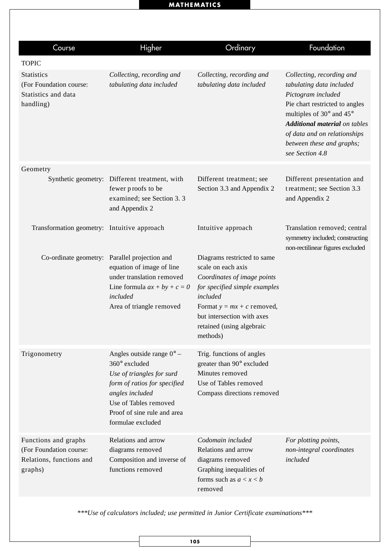| Course                                                                                 | Higher                                                                                                                                                                                                           | Ordinary                                                                                                                                                                                                                             | Foundation                                                                                                                                                                                                                                                        |
|----------------------------------------------------------------------------------------|------------------------------------------------------------------------------------------------------------------------------------------------------------------------------------------------------------------|--------------------------------------------------------------------------------------------------------------------------------------------------------------------------------------------------------------------------------------|-------------------------------------------------------------------------------------------------------------------------------------------------------------------------------------------------------------------------------------------------------------------|
| <b>TOPIC</b>                                                                           |                                                                                                                                                                                                                  |                                                                                                                                                                                                                                      |                                                                                                                                                                                                                                                                   |
| <b>Statistics</b><br>(For Foundation course:<br>Statistics and data<br>handling)       | Collecting, recording and<br>tabulating data included                                                                                                                                                            | Collecting, recording and<br>tabulating data included                                                                                                                                                                                | Collecting, recording and<br>tabulating data included<br>Pictogram included<br>Pie chart restricted to angles<br>multiples of 30° and 45°<br><b>Additional material</b> on tables<br>of data and on relationships<br>between these and graphs;<br>see Section 4.8 |
| Geometry                                                                               |                                                                                                                                                                                                                  |                                                                                                                                                                                                                                      |                                                                                                                                                                                                                                                                   |
|                                                                                        | Synthetic geometry: Different treatment, with<br>fewer proofs to be<br>examined; see Section 3.3<br>and Appendix 2                                                                                               | Different treatment; see<br>Section 3.3 and Appendix 2                                                                                                                                                                               | Different presentation and<br>treatment; see Section 3.3<br>and Appendix 2                                                                                                                                                                                        |
| Transformation geometry: Intuitive approach                                            |                                                                                                                                                                                                                  | Intuitive approach                                                                                                                                                                                                                   | Translation removed; central<br>symmetry included; constructing<br>non-rectilinear figures excluded                                                                                                                                                               |
|                                                                                        | Co-ordinate geometry: Parallel projection and<br>equation of image of line<br>under translation removed<br>Line formula $ax + by + c = 0$<br>included<br>Area of triangle removed                                | Diagrams restricted to same<br>scale on each axis<br>Coordinates of image points<br>for specified simple examples<br>included<br>Format $y = mx + c$ removed,<br>but intersection with axes<br>retained (using algebraic<br>methods) |                                                                                                                                                                                                                                                                   |
| Trigonometry                                                                           | Angles outside range $0^{\circ}$ –<br>360° excluded<br>Use of triangles for surd<br>form of ratios for specified<br>angles included<br>Use of Tables removed<br>Proof of sine rule and area<br>formulae excluded | Trig. functions of angles<br>greater than 90° excluded<br>Minutes removed<br>Use of Tables removed<br>Compass directions removed                                                                                                     |                                                                                                                                                                                                                                                                   |
| Functions and graphs<br>(For Foundation course:<br>Relations, functions and<br>graphs) | Relations and arrow<br>diagrams removed<br>Composition and inverse of<br>functions removed                                                                                                                       | Codomain included<br>Relations and arrow<br>diagrams removed<br>Graphing inequalities of<br>forms such as $a < x < b$<br>removed                                                                                                     | For plotting points,<br>non-integral coordinates<br>included                                                                                                                                                                                                      |

*\*\*\*Use of calculators included; use permitted in Junior Certificate examinations\*\*\**

**105**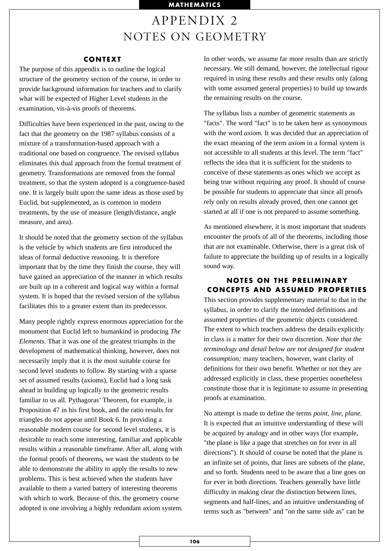# APPENDIX 2 NOTES ON GEOMETRY

#### **CONTEXT**

The purpose of this appendix is to outline the logical structure of the geometry section of the course, in order to provide background information for teachers and to clarify what will be expected of Higher Level students in the examination, vis-à-vis proofs of theorems.

Difficulties have been experienced in the past, owing to the fact that the geometry on the 1987 syllabus consists of a mixture of a transformation-based approach with a traditional one based on congruence. The revised syllabus eliminates this dual approach from the formal treatment of geometry. Transformations are removed from the formal treatment, so that the system adopted is a congruence-based one. It is largely built upon the same ideas as those used by Euclid, but supplemented, as is common in modern treatments, by the use of measure (length/distance, angle measure, and area).

It should be noted that the geometry section of the syllabus is the vehicle by which students are first introduced the ideas of formal deductive reasoning. It is therefore important that by the time they finish the course, they will have gained an appreciation of the manner in which results are built up in a coherent and logical way within a formal system. It is hoped that the revised version of the syllabus facilitates this to a greater extent than its predecessor.

Many people rightly express enormous appreciation for the monument that Euclid left to humankind in producing *The Elements*. That it was one of the greatest triumphs in the development of mathematical thinking, however, does not necessarily imply that it is the most suitable course for second level students to follow. By starting with a sparse set of assumed results (axioms), Euclid had a long task ahead in building up logically to the geometric results familiar to us all. Pythagoras' Theorem, for example, is Proposition 47 in his first book, and the ratio results for triangles do not appear until Book 6. In providing a reasonable modern course for second level students, it is desirable to reach some interesting, familiar and applicable results within a reasonable timeframe. After all, along with the formal proofs of theorems, we want the students to be able to demonstrate the ability to apply the results to new problems. This is best achieved when the students have available to them a varied battery of interesting theorems with which to work. Because of this, the geometry course adopted is one involving a highly redundant axiom system. In other words, we assume far more results than are strictly necessary. We still demand, however, the intellectual rigour required in using these results and these results only (along with some assumed general properties) to build up towards the remaining results on the course.

The syllabus lists a number of geometric statements as "facts". The word "fact" is to be taken here as synonymous with the word *axiom*. It was decided that an appreciation of the exact meaning of the term *axiom* in a formal system is not accessible to all students at this level. The term "fact" reflects the idea that it is sufficient for the students to conceive of these statements as ones which we accept as being true without requiring any proof. It should of course be possible for students to appreciate that since all proofs rely only on results already proved, then one cannot get started at all if one is not prepared to assume something.

As mentioned elsewhere, it is most important that students encounter the proofs of all of the theorems, including those that are not examinable. Otherwise, there is a great risk of failure to appreciate the building up of results in a logically sound way.

# **NOTES ON THE PRELIMINARY CONCEPTS AND ASSUMED PROPERTIES**

This section provides supplementary material to that in the syllabus, in order to clarify the intended definitions and assumed properties of the geometric objects considered. The extent to which teachers address the details explicitly in class is a matter for their own discretion. *Note that the terminology and detail below are not designed for student consumption;* many teachers, however, want clarity of definitions for their own benefit. Whether or not they are addressed explicitly in class, these properties nonetheless constitute those that it is legitimate to assume in presenting proofs at examination.

No attempt is made to define the terms *point, line, plane*. It is expected that an intuitive understanding of these will be acquired by analogy and in other ways (for example, "the plane is like a page that stretches on for ever in all directions"). It should of course be noted that the plane is an infinite set of points, that lines are subsets of the plane, and so forth. Students need to be aware that a line goes on for ever in both directions. Teachers generally have little difficulty in making clear the distinction between lines, segments and half-lines, and an intuitive understanding of terms such as "between" and "on the same side as" can be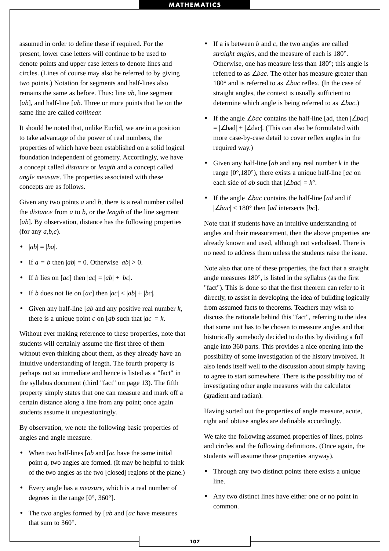assumed in order to define these if required. For the present, lower case letters will continue to be used to denote points and upper case letters to denote lines and circles. (Lines of course may also be referred to by giving two points.) Notation for segments and half-lines also remains the same as before. Thus: line *ab,* line segment [*ab*], and half-line [*ab*. Three or more points that lie on the same line are called *collinear.*

It should be noted that, unlike Euclid, we are in a position to take advantage of the power of real numbers, the properties of which have been established on a solid logical foundation independent of geometry. Accordingly, we have a concept called *distance* or *length* and a concept called *angle measure*. The properties associated with these concepts are as follows.

Given any two points *a* and *b*, there is a real number called the *distance* from *a* to *b*, or the *length* of the line segment [*ab*]. By observation, distance has the following properties (for any *a,b,c*).

- $|ab| = |ba|$ .
- If  $a = b$  then  $|ab| = 0$ . Otherwise  $|ab| > 0$ .
- If *b* lies on [*ac*] then  $|ac| = |ab| + |bc|$ .
- If *b* does not lie on  $[ac]$  then  $|ac| < |ab| + |bc|$ .
- Given any half-line [*ab* and any positive real number *k*, there is a unique point *c* on [*ab* such that  $|ac| = k$ .

Without ever making reference to these properties, note that students will certainly assume the first three of them without even thinking about them, as they already have an intuitive understanding of length. The fourth property is perhaps not so immediate and hence is listed as a "fact" in the syllabus document (third "fact" on page 13). The fifth property simply states that one can measure and mark off a certain distance along a line from any point; once again students assume it unquestioningly.

By observation, we note the following basic properties of angles and angle measure.

- When two half-lines [*ab* and [*ac* have the same initial point *a*, two angles are formed. (It may be helpful to think of the two angles as the two [closed] regions of the plane.)
- Every angle has a *measure*, which is a real number of degrees in the range [0°, 360°].
- The two angles formed by [*ab* and [*ac* have measures that sum to 360°.
- If a is between *b* and *c*, the two angles are called *straight angles*, and the measure of each is 180°. Otherwise, one has measure less than 180°; this angle is referred to as ∠*bac*. The other has measure greater than 180° and is referred to as ∠*bac* reflex. (In the case of straight angles, the context is usually sufficient to determine which angle is being referred to as ∠*bac*.)
- If the angle ∠*bac* contains the half-line [ad, then |∠*bac*| = |∠bad| + |∠dac|. (This can also be formulated with more case-by-case detail to cover reflex angles in the required way.)
- Given any half-line [*ab* and any real number *k* in the range [0°,180°), there exists a unique half-line [*ac* on each side of *ab* such that  $|\angle bac| = k^{\circ}$ .
- If the angle ∠*bac* contains the half-line [*ad* and if |∠*bac*| < 180° then [*ad* intersects [*bc*].

Note that if students have an intuitive understanding of angles and their measurement, then the above properties are already known and used, although not verbalised. There is no need to address them unless the students raise the issue.

Note also that one of these properties, the fact that a straight angle measures 180°, is listed in the syllabus (as the first "fact"). This is done so that the first theorem can refer to it directly, to assist in developing the idea of building logically from assumed facts to theorems. Teachers may wish to discuss the rationale behind this "fact", referring to the idea that some unit has to be chosen to measure angles and that historically somebody decided to do this by dividing a full angle into 360 parts. This provides a nice opening into the possibility of some investigation of the history involved. It also lends itself well to the discussion about simply having to agree to start somewhere. There is the possibility too of investigating other angle measures with the calculator (gradient and radian).

Having sorted out the properties of angle measure, acute, right and obtuse angles are definable accordingly.

We take the following assumed properties of lines, points and circles and the following definitions. (Once again, the students will assume these properties anyway).

- Through any two distinct points there exists a unique line.
- Any two distinct lines have either one or no point in common.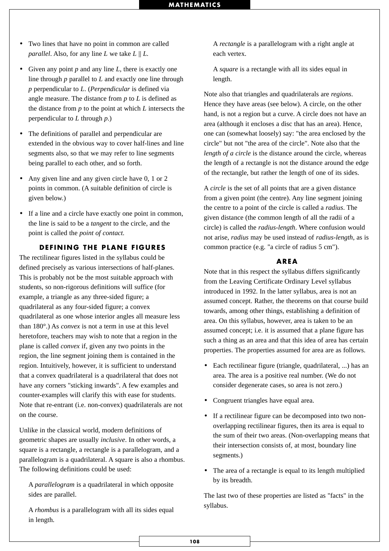- Two lines that have no point in common are called *parallel*. Also, for any line *L* we take  $L \parallel L$ .
- Given any point *p* and any line *L*, there is exactly one line through *p* parallel to *L* and exactly one line through *p* perpendicular to *L*. (*Perpendicular* is defined via angle measure. The distance from *p* to *L* is defined as the distance from *p* to the point at which *L* intersects the perpendicular to *L* through *p*.)
- The definitions of parallel and perpendicular are extended in the obvious way to cover half-lines and line segments also, so that we may refer to line segments being parallel to each other, and so forth.
- Any given line and any given circle have 0, 1 or 2 points in common. (A suitable definition of circle is given below.)
- If a line and a circle have exactly one point in common, the line is said to be a *tangent* to the circle, and the point is called the *point of contact.*

#### **DEFINING THE PLANE FIGURES**

The rectilinear figures listed in the syllabus could be defined precisely as various intersections of half-planes. This is probably not be the most suitable approach with students, so non-rigorous definitions will suffice (for example, a triangle as any three-sided figure; a quadrilateral as any four-sided figure; a convex quadrilateral as one whose interior angles all measure less than 180°.) As *convex* is not a term in use at this level heretofore, teachers may wish to note that a region in the plane is called *convex* if, given any two points in the region, the line segment joining them is contained in the region. Intuitively, however, it is sufficient to understand that a convex quadrilateral is a quadrilateral that does not have any corners "sticking inwards". A few examples and counter-examples will clarify this with ease for students. Note that re-entrant (i.e. non-convex) quadrilaterals are not on the course.

Unlike in the classical world, modern definitions of geometric shapes are usually *inclusive*. In other words, a square is a rectangle, a rectangle is a parallelogram, and a parallelogram is a quadrilateral. A square is also a rhombus. The following definitions could be used:

A *parallelogram* is a quadrilateral in which opposite sides are parallel.

A *rhombus* is a parallelogram with all its sides equal in length.

A *rectangle* is a parallelogram with a right angle at each vertex.

A *square* is a rectangle with all its sides equal in length.

Note also that triangles and quadrilaterals are *regions*. Hence they have areas (see below). A circle, on the other hand, is not a region but a curve. A circle does not have an area (although it encloses a disc that has an area). Hence, one can (somewhat loosely) say: "the area enclosed by the circle" but not "the area of the circle". Note also that the *length of a circle* is the distance around the circle, whereas the length of a rectangle is not the distance around the edge of the rectangle, but rather the length of one of its sides.

A *circle* is the set of all points that are a given distance from a given point (the centre). Any line segment joining the centre to a point of the circle is called a *radius*. The given distance (the common length of all the radii of a circle) is called the *radius-length*. Where confusion would not arise, *radius* may be used instead of *radius-length*, as is common practice (e.g. "a circle of radius 5 cm").

#### **AREA**

Note that in this respect the syllabus differs significantly from the Leaving Certificate Ordinary Level syllabus introduced in 1992. In the latter syllabus, area is not an assumed concept. Rather, the theorems on that course build towards, among other things, establishing a definition of area. On this syllabus, however, area is taken to be an assumed concept; i.e. it is assumed that a plane figure has such a thing as an area and that this idea of area has certain properties. The properties assumed for area are as follows.

- Each rectilinear figure (triangle, quadrilateral, ...) has an area. The area is a positive real number. (We do not consider degenerate cases, so area is not zero.)
- Congruent triangles have equal area.
- If a rectilinear figure can be decomposed into two nonoverlapping rectilinear figures, then its area is equal to the sum of their two areas. (Non-overlapping means that their intersection consists of, at most, boundary line segments.)
- The area of a rectangle is equal to its length multiplied by its breadth.

The last two of these properties are listed as "facts" in the syllabus.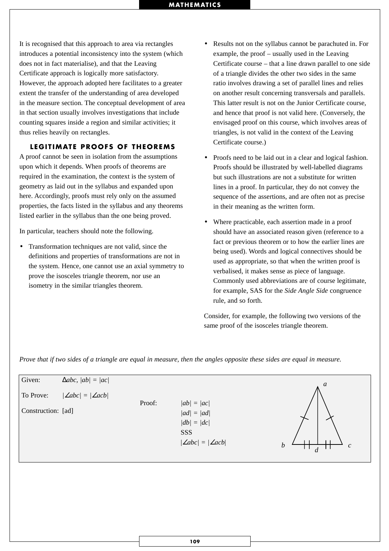It is recognised that this approach to area via rectangles introduces a potential inconsistency into the system (which does not in fact materialise), and that the Leaving Certificate approach is logically more satisfactory. However, the approach adopted here facilitates to a greater extent the transfer of the understanding of area developed in the measure section. The conceptual development of area in that section usually involves investigations that include counting squares inside a region and similar activities; it thus relies heavily on rectangles.

#### **LEGITIMATE PROOFS OF THEOREMS**

A proof cannot be seen in isolation from the assumptions upon which it depends. When proofs of theorems are required in the examination, the context is the system of geometry as laid out in the syllabus and expanded upon here. Accordingly, proofs must rely only on the assumed properties, the facts listed in the syllabus and any theorems listed earlier in the syllabus than the one being proved.

In particular, teachers should note the following.

• Transformation techniques are not valid, since the definitions and properties of transformations are not in the system. Hence, one cannot use an axial symmetry to prove the isosceles triangle theorem, nor use an isometry in the similar triangles theorem.

- Results not on the syllabus cannot be parachuted in. For example, the proof – usually used in the Leaving Certificate course – that a line drawn parallel to one side of a triangle divides the other two sides in the same ratio involves drawing a set of parallel lines and relies on another result concerning transversals and parallels. This latter result is not on the Junior Certificate course, and hence that proof is not valid here. (Conversely, the envisaged proof on this course, which involves areas of triangles, is not valid in the context of the Leaving Certificate course.)
- Proofs need to be laid out in a clear and logical fashion. Proofs should be illustrated by well-labelled diagrams but such illustrations are not a substitute for written lines in a proof. In particular, they do not convey the sequence of the assertions, and are often not as precise in their meaning as the written form.
- Where practicable, each assertion made in a proof should have an associated reason given (reference to a fact or previous theorem or to how the earlier lines are being used). Words and logical connectives should be used as appropriate, so that when the written proof is verbalised, it makes sense as piece of language. Commonly used abbreviations are of course legitimate, for example, SAS for the *Side Angle Side* congruence rule, and so forth.

Consider, for example, the following two versions of the same proof of the isosceles triangle theorem.

*Prove that if two sides of a triangle are equal in measure, then the angles opposite these sides are equal in measure.*

| Given:             | $\Delta abc,  ab  =  ac $     |        |                                                                        | $\boldsymbol{a}$                                                       |
|--------------------|-------------------------------|--------|------------------------------------------------------------------------|------------------------------------------------------------------------|
| To Prove:          | $ \angle abc  =  \angle acb $ | Proof: | $ ab  =  ac $                                                          |                                                                        |
| Construction: [ad] |                               |        | $ ad  =  ad $<br>$ db  =  dc $<br>SSS<br>$ \angle abc  =  \angle acb $ | $\boldsymbol{b}$<br>$\boldsymbol{c}$<br>$\mathbf{I}$<br>$\overline{d}$ |
|                    |                               |        |                                                                        |                                                                        |
|                    |                               |        |                                                                        |                                                                        |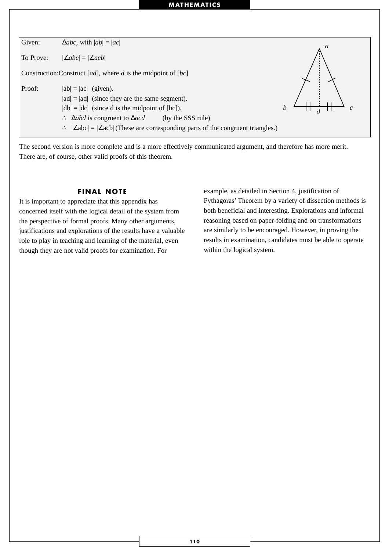

The second version is more complete and is a more effectively communicated argument, and therefore has more merit. There are, of course, other valid proofs of this theorem.

#### **FINAL NOTE**

It is important to appreciate that this appendix has concerned itself with the logical detail of the system from the perspective of formal proofs. Many other arguments, justifications and explorations of the results have a valuable role to play in teaching and learning of the material, even though they are not valid proofs for examination. For

example, as detailed in Section 4, justification of Pythagoras' Theorem by a variety of dissection methods is both beneficial and interesting. Explorations and informal reasoning based on paper-folding and on transformations are similarly to be encouraged. However, in proving the results in examination, candidates must be able to operate within the logical system.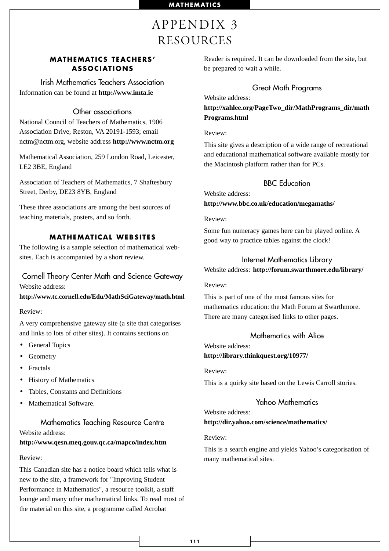# APPENDIX 3 RESOURCES

# **MATHEMATICS TEACHERS' ASSOCIATIONS**

Irish Mathematics Teachers Association Information can be found at **http://www.imta.ie**

# Other associations

National Council of Teachers of Mathematics, 1906 Association Drive, Reston, VA 20191-1593; email nctm@nctm.org, website address **http://www.nctm.org**

Mathematical Association, 259 London Road, Leicester, LE2 3BE, England

Association of Teachers of Mathematics, 7 Shaftesbury Street, Derby, DE23 8YB, England

These three associations are among the best sources of teaching materials, posters, and so forth.

# **MATHEMATICAL WEBSITES**

The following is a sample selection of mathematical websites. Each is accompanied by a short review.

Cornell Theory Center Math and Science Gateway Website address:

#### **http://www.tc.cornell.edu/Edu/MathSciGateway/math.html**

#### Review:

A very comprehensive gateway site (a site that categorises and links to lots of other sites). It contains sections on

- General Topics
- Geometry
- Fractals
- History of Mathematics
- Tables, Constants and Definitions
- Mathematical Software.

# Mathematics Teaching Resource Centre Website address:

#### **http://www.qesn.meq.gouv.qc.ca/mapco/index.htm**

#### Review:

This Canadian site has a notice board which tells what is new to the site, a framework for "Improving Student Performance in Mathematics", a resource toolkit, a staff lounge and many other mathematical links. To read most of the material on this site, a programme called Acrobat

Reader is required. It can be downloaded from the site, but be prepared to wait a while.

### Great Math Programs

Website address:

**http://xahlee.org/PageTwo\_dir/MathPrograms\_dir/math Programs.html**

Review:

This site gives a description of a wide range of recreational and educational mathematical software available mostly for the Macintosh platform rather than for PCs.

# BBC Education

Website address: **http://www.bbc.co.uk/education/megamaths/**

Review:

Some fun numeracy games here can be played online. A good way to practice tables against the clock!

#### Internet Mathematics Library

Website address: **http://forum.swarthmore.edu/library/**

Review:

This is part of one of the most famous sites for mathematics education: the Math Forum at Swarthmore. There are many categorised links to other pages.

### Mathematics with Alice

Website address: **http://library.thinkquest.org/10977/**

Review:

This is a quirky site based on the Lewis Carroll stories.

# Yahoo Mathematics

# Website address:

#### **http://dir.yahoo.com/science/mathematics/**

Review:

This is a search engine and yields Yahoo's categorisation of many mathematical sites.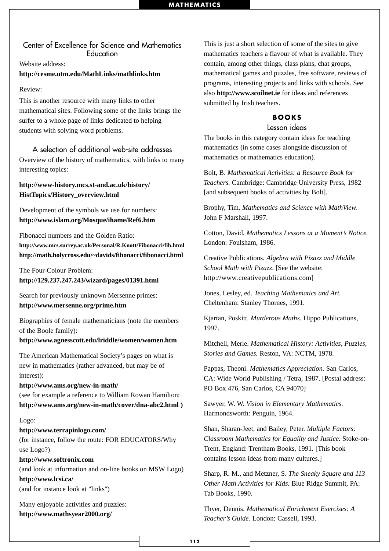# Center of Excellence for Science and Mathematics **Education**

#### Website address:

#### **http://cesme.utm.edu/MathLinks/mathlinks.htm**

#### Review:

This is another resource with many links to other mathematical sites. Following some of the links brings the surfer to a whole page of links dedicated to helping students with solving word problems.

# A selection of additional web-site addresses

Overview of the history of mathematics, with links to many interesting topics:

## **http://www-history.mcs.st-and.ac.uk/history/ HistTopics/History\_overview.html**

Development of the symbols we use for numbers: **http://www.islam.org/Mosque/ihame/Ref6.htm**

Fibonacci numbers and the Golden Ratio: **http://www.mcs.surrey.ac.uk/Personal/R.Knott/Fibonacci/fib.html http://math.holycross.edu/~davids/fibonacci/fibonacci.html**

# The Four-Colour Problem: **http://129.237.247.243/wizard/pages/01391.html**

Search for previously unknown Mersenne primes: **http://www.mersenne.org/prime.htm**

Biographies of female mathematicians (note the members of the Boole family):

#### **http://www.agnesscott.edu/lriddle/women/women.htm**

The American Mathematical Society's pages on what is new in mathematics (rather advanced, but may be of interest):

#### **http://www.ams.org/new-in-math/**

(see for example a reference to William Rowan Hamilton: **http://www.ams.org/new-in-math/cover/dna-abc2.html )**

#### Logo:

#### **http://www.terrapinlogo.com/**

(for instance, follow the route: FOR EDUCATORS/Why use Logo?)

#### **http://www.softronix.com**

(and look at information and on-line books on MSW Logo) **http://www.lcsi.ca/** (and for instance look at "links")

Many enjoyable activities and puzzles: **http://www.mathsyear2000.org/**

This is just a short selection of some of the sites to give mathematics teachers a flavour of what is available. They contain, among other things, class plans, chat groups, mathematical games and puzzles, free software, reviews of programs, interesting projects and links with schools. See also **http://www.scoilnet.ie** for ideas and references submitted by Irish teachers.

#### **BOOKS**

# Lesson ideas

The books in this category contain ideas for teaching mathematics (in some cases alongside discussion of mathematics or mathematics education).

Bolt, B. *Mathematical Activities: a Resource Book for Teachers.* Cambridge: Cambridge University Press, 1982 [and subsequent books of activities by Bolt].

Brophy, Tim. *Mathematics and Science with MathView.* John F Marshall, 1997.

Cotton, David. *Mathematics Lessons at a Moment's Notice.* London: Foulsham, 1986.

Creative Publications. *Algebra with Pizazz and Middle School Math with Pizazz*. [See the website: http://www.creativepublications.com]

Jones, Lesley, ed. *Teaching Mathematics and Art.* Cheltenham: Stanley Thornes, 1991.

Kjartan, Poskitt. *Murderous Maths.* Hippo Publications, 1997.

Mitchell, Merle. *Mathematical History: Activities, Puzzles, Stories and Games.* Reston, VA: NCTM, 1978.

Pappas, Theoni. *Mathematics Appreciation.* San Carlos, CA: Wide World Publishing / Tetra, 1987. [Postal address: PO Box 476, San Carlos, CA 94070]

Sawyer, W. W. *Vision in Elementary Mathematics.* Harmondsworth: Penguin, 1964.

Shan, Sharan-Jeet, and Bailey, Peter. *Multiple Factors: Classroom Mathematics for Equality and Justice.* Stoke-on-Trent, England: Trentham Books, 1991. [This book contains lesson ideas from many cultures.]

Sharp, R. M., and Metzner, S. *The Sneaky Square and 113 Other Math Activities for Kids.* Blue Ridge Summit, PA: Tab Books, 1990.

Thyer, Dennis. *Mathematical Enrichment Exercises: A Teacher's Guide.* London: Cassell, 1993.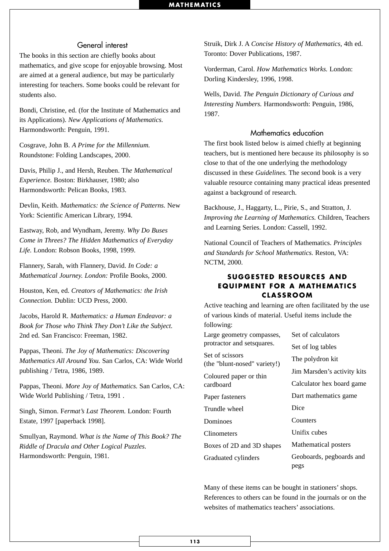#### General interest

The books in this section are chiefly books about mathematics, and give scope for enjoyable browsing. Most are aimed at a general audience, but may be particularly interesting for teachers. Some books could be relevant for students also.

Bondi, Christine, ed. (for the Institute of Mathematics and its Applications). *New Applications of Mathematics.* Harmondsworth: Penguin, 1991.

Cosgrave, John B. *A Prime for the Millennium.* Roundstone: Folding Landscapes, 2000.

Davis, Philip J., and Hersh, Reuben. T*he Mathematical Experience.* Boston: Birkhauser, 1980; also Harmondsworth: Pelican Books, 1983.

Devlin, Keith. *Mathematics: the Science of Patterns.* New York: Scientific American Library, 1994.

Eastway, Rob, and Wyndham, Jeremy. *Why Do Buses Come in Threes? The Hidden Mathematics of Everyday Life.* London: Robson Books, 1998, 1999.

Flannery, Sarah, with Flannery, David. *In Code: a Mathematical Journey. London:* Profile Books, 2000.

Houston, Ken, ed. *Creators of Mathematics: the Irish Connection.* Dublin: UCD Press, 2000.

Jacobs, Harold R. *Mathematics: a Human Endeavor: a Book for Those who Think They Don't Like the Subject.* 2nd ed. San Francisco: Freeman, 1982.

Pappas, Theoni. *The Joy of Mathematics: Discovering Mathematics All Around You.* San Carlos, CA: Wide World publishing / Tetra, 1986, 1989.

Pappas, Theoni. *More Joy of Mathematics.* San Carlos, CA: Wide World Publishing / Tetra, 1991 .

Singh, Simon. F*ermat's Last Theorem.* London: Fourth Estate, 1997 [paperback 1998].

Smullyan, Raymond. *What is the Name of This Book? The Riddle of Dracula and Other Logical Puzzles.* Harmondsworth: Penguin, 1981.

Struik, Dirk J. A *Concise History of Mathematics,* 4th ed. Toronto: Dover Publications, 1987.

Vorderman, Carol. *How Mathematics Works.* London: Dorling Kindersley, 1996, 1998.

Wells, David. *The Penguin Dictionary of Curious and Interesting Numbers.* Harmondsworth: Penguin, 1986, 1987.

# Mathematics education

The first book listed below is aimed chiefly at beginning teachers, but is mentioned here because its philosophy is so close to that of the one underlying the methodology discussed in these *Guidelines.* The second book is a very valuable resource containing many practical ideas presented against a background of research.

Backhouse, J., Haggarty, L., Pirie, S., and Stratton, J. *Improving the Learning of Mathematics.* Children, Teachers and Learning Series. London: Cassell, 1992.

National Council of Teachers of Mathematics. *Principles and Standards for School Mathematics.* Reston, VA: NCTM, 2000.

#### **SUGGESTED RESOURCES AND EQUIPMENT FOR A MATHEMATICS CLASSROOM**

Active teaching and learning are often facilitated by the use of various kinds of material. Useful items include the following:

| Large geometry compasses,                       | Set of calculators               |  |  |  |  |
|-------------------------------------------------|----------------------------------|--|--|--|--|
| protractor and setsquares.                      | Set of log tables                |  |  |  |  |
| Set of scissors<br>(the "blunt-nosed" variety!) | The polydron kit                 |  |  |  |  |
| Coloured paper or thin                          | Jim Marsden's activity kits      |  |  |  |  |
| cardboard                                       | Calculator hex board game        |  |  |  |  |
| Paper fasteners                                 | Dart mathematics game            |  |  |  |  |
| Trundle wheel                                   | Dice                             |  |  |  |  |
| Dominoes                                        | Counters                         |  |  |  |  |
| <b>Clinometers</b>                              | Unifix cubes                     |  |  |  |  |
| Boxes of 2D and 3D shapes                       | Mathematical posters             |  |  |  |  |
| Graduated cylinders                             | Geoboards, pegboards and<br>pegs |  |  |  |  |

Many of these items can be bought in stationers' shops. References to others can be found in the journals or on the websites of mathematics teachers' associations.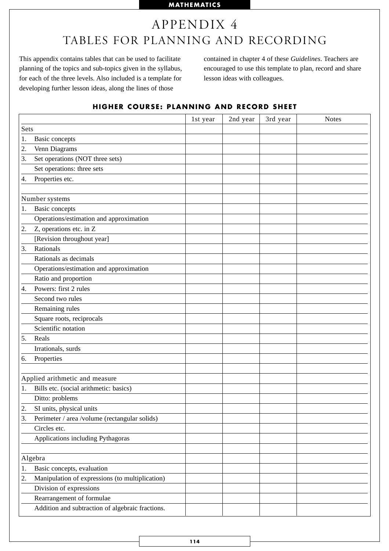# APPENDIX 4 TABLES FOR PLANNING AND RECORDING

This appendix contains tables that can be used to facilitate planning of the topics and sub-topics given in the syllabus, for each of the three levels. Also included is a template for developing further lesson ideas, along the lines of those

contained in chapter 4 of these *Guidelines*. Teachers are encouraged to use this template to plan, record and share lesson ideas with colleagues.

# **HIGHER COURSE: PLANNING AND RECORD SHEET**

|      |                                                  | 1st year | 2nd year | 3rd year | <b>Notes</b> |
|------|--------------------------------------------------|----------|----------|----------|--------------|
| Sets |                                                  |          |          |          |              |
| 1.   | <b>Basic</b> concepts                            |          |          |          |              |
| 2.   | Venn Diagrams                                    |          |          |          |              |
| 3.   | Set operations (NOT three sets)                  |          |          |          |              |
|      | Set operations: three sets                       |          |          |          |              |
| 4.   | Properties etc.                                  |          |          |          |              |
|      |                                                  |          |          |          |              |
|      | Number systems                                   |          |          |          |              |
| 1.   | <b>Basic</b> concepts                            |          |          |          |              |
|      | Operations/estimation and approximation          |          |          |          |              |
| 2.   | Z, operations etc. in Z                          |          |          |          |              |
|      | [Revision throughout year]                       |          |          |          |              |
| 3.   | Rationals                                        |          |          |          |              |
|      | Rationals as decimals                            |          |          |          |              |
|      | Operations/estimation and approximation          |          |          |          |              |
|      | Ratio and proportion                             |          |          |          |              |
| 4.   | Powers: first 2 rules                            |          |          |          |              |
|      | Second two rules                                 |          |          |          |              |
|      | Remaining rules                                  |          |          |          |              |
|      | Square roots, reciprocals                        |          |          |          |              |
|      | Scientific notation                              |          |          |          |              |
| 5.   | Reals                                            |          |          |          |              |
|      | Irrationals, surds                               |          |          |          |              |
| 6.   | Properties                                       |          |          |          |              |
|      |                                                  |          |          |          |              |
|      | Applied arithmetic and measure                   |          |          |          |              |
| 1.   | Bills etc. (social arithmetic: basics)           |          |          |          |              |
|      | Ditto: problems                                  |          |          |          |              |
| 2.   | SI units, physical units                         |          |          |          |              |
| 3.   | Perimeter / area /volume (rectangular solids)    |          |          |          |              |
|      | Circles etc.                                     |          |          |          |              |
|      | Applications including Pythagoras                |          |          |          |              |
|      |                                                  |          |          |          |              |
|      | Algebra                                          |          |          |          |              |
| 1.   | Basic concepts, evaluation                       |          |          |          |              |
| 2.   | Manipulation of expressions (to multiplication)  |          |          |          |              |
|      | Division of expressions                          |          |          |          |              |
|      | Rearrangement of formulae                        |          |          |          |              |
|      | Addition and subtraction of algebraic fractions. |          |          |          |              |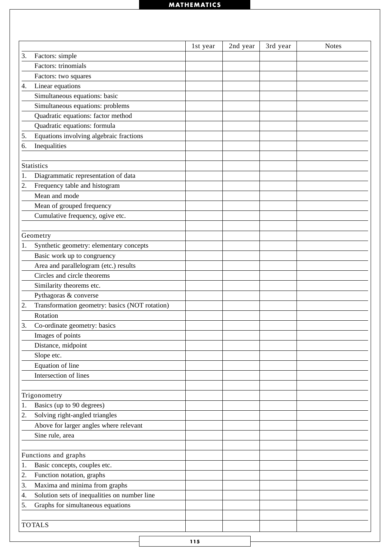|    |                                                                    |          |          |          | <b>Notes</b> |
|----|--------------------------------------------------------------------|----------|----------|----------|--------------|
| 3. | Factors: simple                                                    | 1st year | 2nd year | 3rd year |              |
|    | Factors: trinomials                                                |          |          |          |              |
|    | Factors: two squares                                               |          |          |          |              |
| 4. | Linear equations                                                   |          |          |          |              |
|    | Simultaneous equations: basic                                      |          |          |          |              |
|    | Simultaneous equations: problems                                   |          |          |          |              |
|    |                                                                    |          |          |          |              |
|    | Quadratic equations: factor method<br>Quadratic equations: formula |          |          |          |              |
|    |                                                                    |          |          |          |              |
| 5. | Equations involving algebraic fractions                            |          |          |          |              |
| 6. | Inequalities                                                       |          |          |          |              |
|    |                                                                    |          |          |          |              |
|    | <b>Statistics</b>                                                  |          |          |          |              |
| 1. | Diagrammatic representation of data                                |          |          |          |              |
| 2. | Frequency table and histogram                                      |          |          |          |              |
|    | Mean and mode                                                      |          |          |          |              |
|    | Mean of grouped frequency                                          |          |          |          |              |
|    | Cumulative frequency, ogive etc.                                   |          |          |          |              |
|    |                                                                    |          |          |          |              |
|    | Geometry                                                           |          |          |          |              |
| 1. | Synthetic geometry: elementary concepts                            |          |          |          |              |
|    | Basic work up to congruency                                        |          |          |          |              |
|    | Area and parallelogram (etc.) results                              |          |          |          |              |
|    | Circles and circle theorems                                        |          |          |          |              |
|    | Similarity theorems etc.                                           |          |          |          |              |
|    | Pythagoras & converse                                              |          |          |          |              |
| 2. | Transformation geometry: basics (NOT rotation)                     |          |          |          |              |
|    | Rotation                                                           |          |          |          |              |
| 3. | Co-ordinate geometry: basics                                       |          |          |          |              |
|    | Images of points                                                   |          |          |          |              |
|    | Distance, midpoint                                                 |          |          |          |              |
|    | Slope etc.                                                         |          |          |          |              |
|    | Equation of line                                                   |          |          |          |              |
|    | Intersection of lines                                              |          |          |          |              |
|    |                                                                    |          |          |          |              |
|    | Trigonometry                                                       |          |          |          |              |
| 1. | Basics (up to 90 degrees)                                          |          |          |          |              |
| 2. | Solving right-angled triangles                                     |          |          |          |              |
|    | Above for larger angles where relevant                             |          |          |          |              |
|    | Sine rule, area                                                    |          |          |          |              |
|    |                                                                    |          |          |          |              |
|    | Functions and graphs                                               |          |          |          |              |
| 1. | Basic concepts, couples etc.                                       |          |          |          |              |
| 2. | Function notation, graphs                                          |          |          |          |              |
| 3. | Maxima and minima from graphs                                      |          |          |          |              |
| 4. | Solution sets of inequalities on number line                       |          |          |          |              |
| 5. | Graphs for simultaneous equations                                  |          |          |          |              |
|    |                                                                    |          |          |          |              |
|    | <b>TOTALS</b>                                                      |          |          |          |              |
|    |                                                                    |          |          |          |              |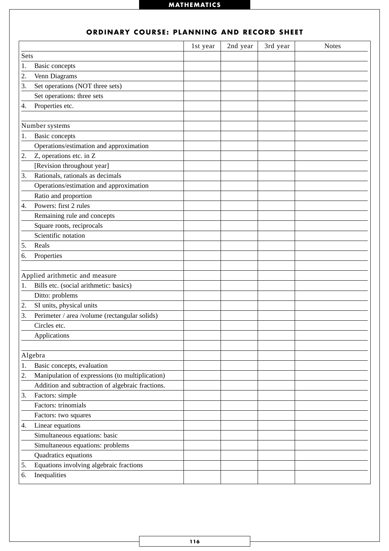|      |                                                  | 1st year | 2nd year | 3rd year | <b>Notes</b> |
|------|--------------------------------------------------|----------|----------|----------|--------------|
| Sets |                                                  |          |          |          |              |
| 1.   | <b>Basic</b> concepts                            |          |          |          |              |
| 2.   | Venn Diagrams                                    |          |          |          |              |
| 3.   | Set operations (NOT three sets)                  |          |          |          |              |
|      | Set operations: three sets                       |          |          |          |              |
| 4.   | Properties etc.                                  |          |          |          |              |
|      |                                                  |          |          |          |              |
|      | Number systems                                   |          |          |          |              |
| 1.   | <b>Basic</b> concepts                            |          |          |          |              |
|      | Operations/estimation and approximation          |          |          |          |              |
| 2.   | Z, operations etc. in Z                          |          |          |          |              |
|      | [Revision throughout year]                       |          |          |          |              |
| 3.   | Rationals, rationals as decimals                 |          |          |          |              |
|      | Operations/estimation and approximation          |          |          |          |              |
|      | Ratio and proportion                             |          |          |          |              |
| 4.   | Powers: first 2 rules                            |          |          |          |              |
|      | Remaining rule and concepts                      |          |          |          |              |
|      | Square roots, reciprocals                        |          |          |          |              |
|      | Scientific notation                              |          |          |          |              |
| 5.   | Reals                                            |          |          |          |              |
| 6.   | Properties                                       |          |          |          |              |
|      |                                                  |          |          |          |              |
|      | Applied arithmetic and measure                   |          |          |          |              |
| 1.   | Bills etc. (social arithmetic: basics)           |          |          |          |              |
|      | Ditto: problems                                  |          |          |          |              |
| 2.   | SI units, physical units                         |          |          |          |              |
| 3.   | Perimeter / area /volume (rectangular solids)    |          |          |          |              |
|      | Circles etc.                                     |          |          |          |              |
|      | Applications                                     |          |          |          |              |
|      |                                                  |          |          |          |              |
|      | Algebra                                          |          |          |          |              |
| 1.   | Basic concepts, evaluation                       |          |          |          |              |
| 2.   | Manipulation of expressions (to multiplication)  |          |          |          |              |
|      | Addition and subtraction of algebraic fractions. |          |          |          |              |
| 3.   | Factors: simple                                  |          |          |          |              |
|      | Factors: trinomials                              |          |          |          |              |
|      | Factors: two squares                             |          |          |          |              |
| 4.   | Linear equations                                 |          |          |          |              |
|      | Simultaneous equations: basic                    |          |          |          |              |
|      | Simultaneous equations: problems                 |          |          |          |              |
|      | Quadratics equations                             |          |          |          |              |
| 5.   | Equations involving algebraic fractions          |          |          |          |              |
| 6.   | Inequalities                                     |          |          |          |              |
|      |                                                  |          |          |          |              |

# **ORDINARY COURSE: PLANNING AND RECORD SHEET**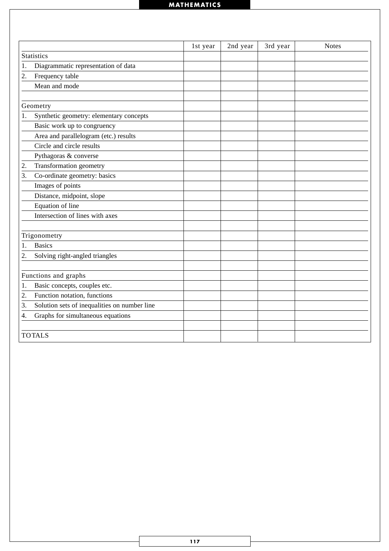|    |                                              | 1st year | 2nd year | 3rd year | <b>Notes</b> |
|----|----------------------------------------------|----------|----------|----------|--------------|
|    | <b>Statistics</b>                            |          |          |          |              |
| 1. | Diagrammatic representation of data          |          |          |          |              |
| 2. | Frequency table                              |          |          |          |              |
|    | Mean and mode                                |          |          |          |              |
|    |                                              |          |          |          |              |
|    | Geometry                                     |          |          |          |              |
| 1. | Synthetic geometry: elementary concepts      |          |          |          |              |
|    | Basic work up to congruency                  |          |          |          |              |
|    | Area and parallelogram (etc.) results        |          |          |          |              |
|    | Circle and circle results                    |          |          |          |              |
|    | Pythagoras & converse                        |          |          |          |              |
| 2. | Transformation geometry                      |          |          |          |              |
| 3. | Co-ordinate geometry: basics                 |          |          |          |              |
|    | Images of points                             |          |          |          |              |
|    | Distance, midpoint, slope                    |          |          |          |              |
|    | Equation of line                             |          |          |          |              |
|    | Intersection of lines with axes              |          |          |          |              |
|    |                                              |          |          |          |              |
|    | Trigonometry                                 |          |          |          |              |
| 1. | <b>Basics</b>                                |          |          |          |              |
| 2. | Solving right-angled triangles               |          |          |          |              |
|    |                                              |          |          |          |              |
|    | Functions and graphs                         |          |          |          |              |
| 1. | Basic concepts, couples etc.                 |          |          |          |              |
| 2. | Function notation, functions                 |          |          |          |              |
| 3. | Solution sets of inequalities on number line |          |          |          |              |
| 4. | Graphs for simultaneous equations            |          |          |          |              |
|    |                                              |          |          |          |              |
|    | <b>TOTALS</b>                                |          |          |          |              |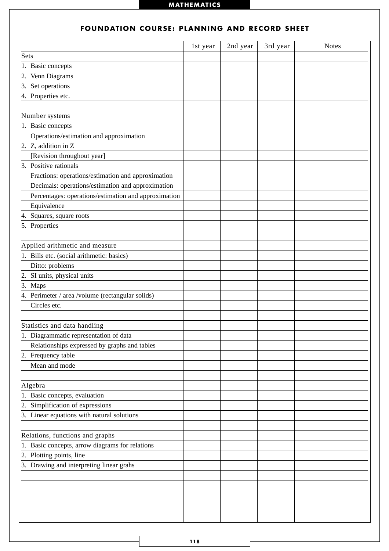|                                                      | 1st year | 2nd year | 3rd year | <b>Notes</b> |
|------------------------------------------------------|----------|----------|----------|--------------|
| Sets                                                 |          |          |          |              |
| 1. Basic concepts                                    |          |          |          |              |
| Venn Diagrams<br>2.                                  |          |          |          |              |
| 3. Set operations                                    |          |          |          |              |
| 4. Properties etc.                                   |          |          |          |              |
|                                                      |          |          |          |              |
| Number systems                                       |          |          |          |              |
| 1. Basic concepts                                    |          |          |          |              |
| Operations/estimation and approximation              |          |          |          |              |
| 2. Z, addition in Z                                  |          |          |          |              |
| [Revision throughout year]                           |          |          |          |              |
| 3. Positive rationals                                |          |          |          |              |
| Fractions: operations/estimation and approximation   |          |          |          |              |
| Decimals: operations/estimation and approximation    |          |          |          |              |
| Percentages: operations/estimation and approximation |          |          |          |              |
| Equivalence                                          |          |          |          |              |
| 4. Squares, square roots                             |          |          |          |              |
| 5. Properties                                        |          |          |          |              |
|                                                      |          |          |          |              |
| Applied arithmetic and measure                       |          |          |          |              |
| 1. Bills etc. (social arithmetic: basics)            |          |          |          |              |
| Ditto: problems                                      |          |          |          |              |
| 2. SI units, physical units                          |          |          |          |              |
| 3. Maps                                              |          |          |          |              |
| 4. Perimeter / area /volume (rectangular solids)     |          |          |          |              |
| Circles etc.                                         |          |          |          |              |
|                                                      |          |          |          |              |
| Statistics and data handling                         |          |          |          |              |
| 1. Diagrammatic representation of data               |          |          |          |              |
| Relationships expressed by graphs and tables         |          |          |          |              |
| 2. Frequency table                                   |          |          |          |              |
| Mean and mode                                        |          |          |          |              |
|                                                      |          |          |          |              |
| Algebra                                              |          |          |          |              |
| 1. Basic concepts, evaluation                        |          |          |          |              |
| Simplification of expressions<br>2.                  |          |          |          |              |
| 3. Linear equations with natural solutions           |          |          |          |              |
|                                                      |          |          |          |              |
| Relations, functions and graphs                      |          |          |          |              |
| 1. Basic concepts, arrow diagrams for relations      |          |          |          |              |
| 2. Plotting points, line                             |          |          |          |              |
| 3. Drawing and interpreting linear grahs             |          |          |          |              |
|                                                      |          |          |          |              |
|                                                      |          |          |          |              |
|                                                      |          |          |          |              |
|                                                      |          |          |          |              |
|                                                      |          |          |          |              |

## **FOUNDATION COURSE: PLANNING AND RECORD SHEET**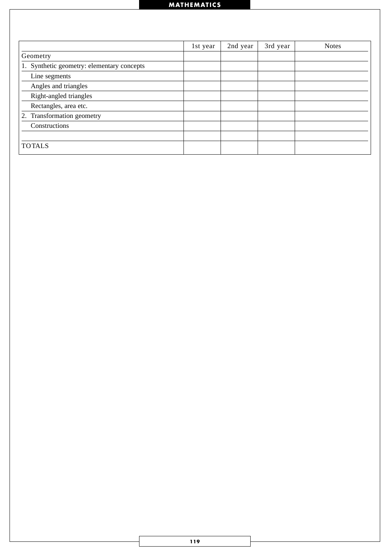|                                               | 1st year | 2nd year | 3rd year | <b>Notes</b> |
|-----------------------------------------------|----------|----------|----------|--------------|
| Geometry                                      |          |          |          |              |
| Synthetic geometry: elementary concepts<br>1. |          |          |          |              |
| Line segments                                 |          |          |          |              |
| Angles and triangles                          |          |          |          |              |
| Right-angled triangles                        |          |          |          |              |
| Rectangles, area etc.                         |          |          |          |              |
| Transformation geometry<br>2.                 |          |          |          |              |
| Constructions                                 |          |          |          |              |
|                                               |          |          |          |              |
| <b>TOTALS</b>                                 |          |          |          |              |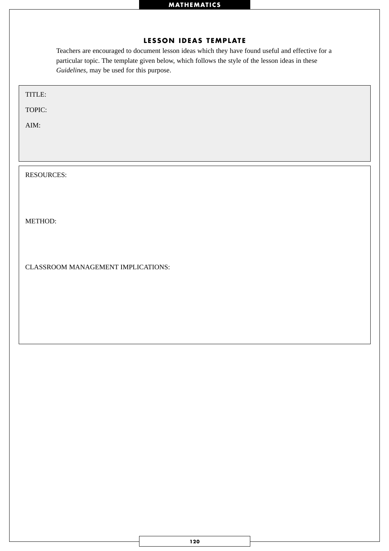# **LESSON IDEAS TEMPLATE**

Teachers are encouraged to document lesson ideas which they have found useful and effective for a particular topic. The template given below, which follows the style of the lesson ideas in these *Guidelines,* may be used for this purpose.

| TITLE:                             |
|------------------------------------|
| TOPIC:                             |
| AIM:                               |
|                                    |
|                                    |
| <b>RESOURCES:</b>                  |
|                                    |
|                                    |
| METHOD:                            |
|                                    |
|                                    |
| CLASSROOM MANAGEMENT IMPLICATIONS: |
|                                    |
|                                    |
|                                    |
|                                    |
|                                    |